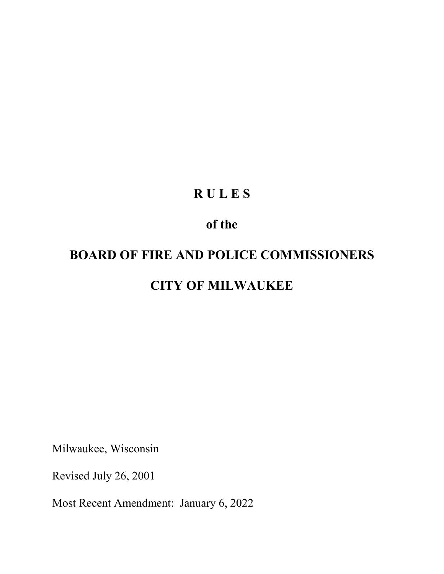# **R U L E S**

# **of the**

# **BOARD OF FIRE AND POLICE COMMISSIONERS CITY OF MILWAUKEE**

Milwaukee, Wisconsin

Revised July 26, 2001

Most Recent Amendment: January 6, 2022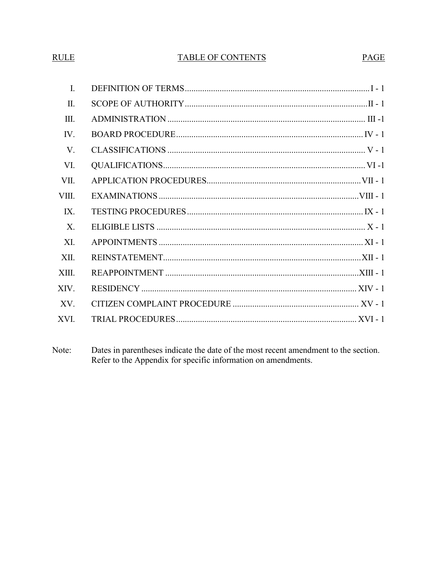# **RULE**

# **TABLE OF CONTENTS**

PAGE

| L.    |
|-------|
| Π.    |
| III.  |
| IV.   |
| V.    |
| VI.   |
| VII.  |
| VIII. |
| IX.   |
| X.    |
| XI.   |
| XII.  |
| XIII. |
| XIV.  |
| XV.   |
| XVI.  |

Note: Dates in parentheses indicate the date of the most recent amendment to the section. Refer to the Appendix for specific information on amendments.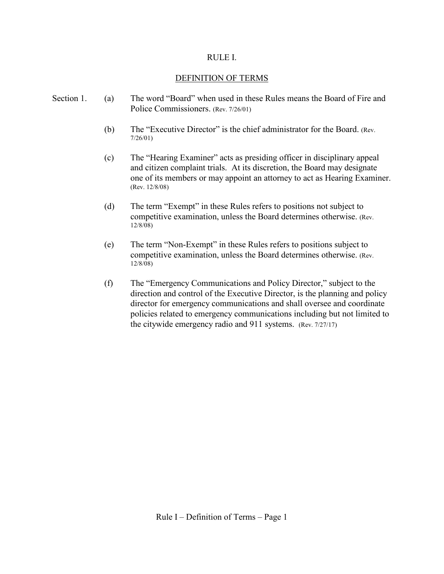#### RULE I.

#### DEFINITION OF TERMS

- Section 1. (a) The word "Board" when used in these Rules means the Board of Fire and Police Commissioners. (Rev. 7/26/01)
	- (b) The "Executive Director" is the chief administrator for the Board. (Rev. 7/26/01)
	- (c) The "Hearing Examiner" acts as presiding officer in disciplinary appeal and citizen complaint trials. At its discretion, the Board may designate one of its members or may appoint an attorney to act as Hearing Examiner. (Rev. 12/8/08)
	- (d) The term "Exempt" in these Rules refers to positions not subject to competitive examination, unless the Board determines otherwise. (Rev. 12/8/08)
	- (e) The term "Non-Exempt" in these Rules refers to positions subject to competitive examination, unless the Board determines otherwise. (Rev. 12/8/08)
	- (f) The "Emergency Communications and Policy Director," subject to the direction and control of the Executive Director, is the planning and policy director for emergency communications and shall oversee and coordinate policies related to emergency communications including but not limited to the citywide emergency radio and 911 systems. (Rev. 7/27/17)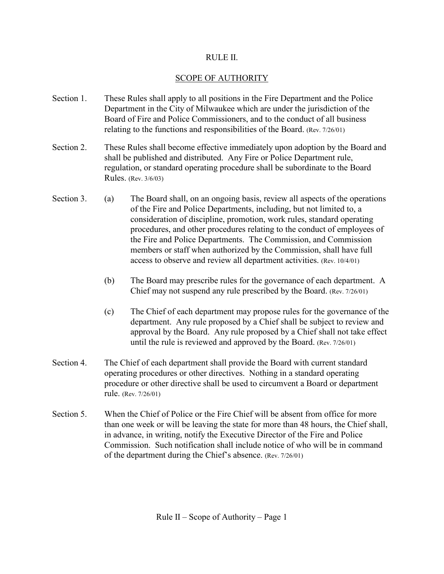#### RULE II.

# SCOPE OF AUTHORITY

- Section 1. These Rules shall apply to all positions in the Fire Department and the Police Department in the City of Milwaukee which are under the jurisdiction of the Board of Fire and Police Commissioners, and to the conduct of all business relating to the functions and responsibilities of the Board. (Rev. 7/26/01)
- Section 2. These Rules shall become effective immediately upon adoption by the Board and shall be published and distributed. Any Fire or Police Department rule, regulation, or standard operating procedure shall be subordinate to the Board Rules. (Rev. 3/6/03)
- Section 3. (a) The Board shall, on an ongoing basis, review all aspects of the operations of the Fire and Police Departments, including, but not limited to, a consideration of discipline, promotion, work rules, standard operating procedures, and other procedures relating to the conduct of employees of the Fire and Police Departments. The Commission, and Commission members or staff when authorized by the Commission, shall have full access to observe and review all department activities. (Rev. 10/4/01)
	- (b) The Board may prescribe rules for the governance of each department. A Chief may not suspend any rule prescribed by the Board. (Rev. 7/26/01)
	- (c) The Chief of each department may propose rules for the governance of the department. Any rule proposed by a Chief shall be subject to review and approval by the Board. Any rule proposed by a Chief shall not take effect until the rule is reviewed and approved by the Board. (Rev. 7/26/01)
- Section 4. The Chief of each department shall provide the Board with current standard operating procedures or other directives. Nothing in a standard operating procedure or other directive shall be used to circumvent a Board or department rule. (Rev. 7/26/01)
- Section 5. When the Chief of Police or the Fire Chief will be absent from office for more than one week or will be leaving the state for more than 48 hours, the Chief shall, in advance, in writing, notify the Executive Director of the Fire and Police Commission. Such notification shall include notice of who will be in command of the department during the Chief's absence. (Rev. 7/26/01)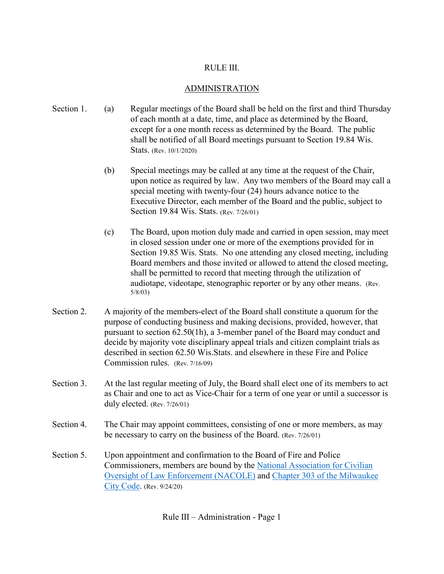#### RULE III.

#### ADMINISTRATION

- Section 1. (a) Regular meetings of the Board shall be held on the first and third Thursday of each month at a date, time, and place as determined by the Board, except for a one month recess as determined by the Board. The public shall be notified of all Board meetings pursuant to Section 19.84 Wis. Stats. (Rev. 10/1/2020)
	- (b) Special meetings may be called at any time at the request of the Chair, upon notice as required by law. Any two members of the Board may call a special meeting with twenty-four (24) hours advance notice to the Executive Director, each member of the Board and the public, subject to Section 19.84 Wis. Stats. (Rev. 7/26/01)
	- (c) The Board, upon motion duly made and carried in open session, may meet in closed session under one or more of the exemptions provided for in Section 19.85 Wis. Stats. No one attending any closed meeting, including Board members and those invited or allowed to attend the closed meeting, shall be permitted to record that meeting through the utilization of audiotape, videotape, stenographic reporter or by any other means. (Rev. 5/8/03)
- Section 2. A majority of the members-elect of the Board shall constitute a quorum for the purpose of conducting business and making decisions, provided, however, that pursuant to section 62.50(1h), a 3-member panel of the Board may conduct and decide by majority vote disciplinary appeal trials and citizen complaint trials as described in section 62.50 Wis.Stats. and elsewhere in these Fire and Police Commission rules. (Rev. 7/16/09)
- Section 3. At the last regular meeting of July, the Board shall elect one of its members to act as Chair and one to act as Vice-Chair for a term of one year or until a successor is duly elected. (Rev. 7/26/01)
- Section 4. The Chair may appoint committees, consisting of one or more members, as may be necessary to carry on the business of the Board. (Rev. 7/26/01)
- Section 5. Upon appointment and confirmation to the Board of Fire and Police Commissioners, members are bound by the [National Association for Civilian](https://www.nacole.org/nacole_code_of_ethics)  [Oversight of Law Enforcement \(NACOLE\)](https://www.nacole.org/nacole_code_of_ethics) and [Chapter 303 of the Milwaukee](https://city.milwaukee.gov/ImageLibrary/Groups/ccClerk/Ordinances/Volume-3/CH303.pdf)  [City Code.](https://city.milwaukee.gov/ImageLibrary/Groups/ccClerk/Ordinances/Volume-3/CH303.pdf) (Rev. 9/24/20)

Rule III – Administration - Page 1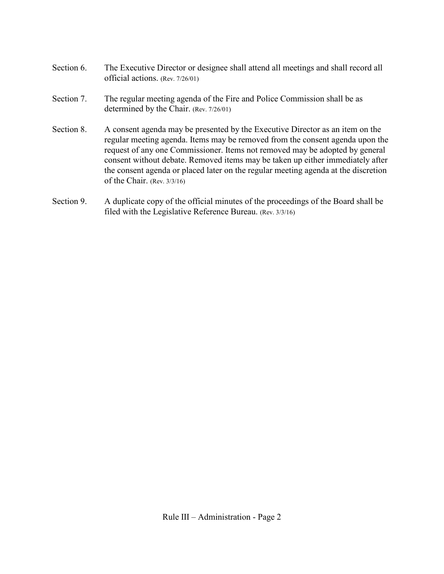- Section 6. The Executive Director or designee shall attend all meetings and shall record all official actions. (Rev. 7/26/01)
- Section 7. The regular meeting agenda of the Fire and Police Commission shall be as determined by the Chair. (Rev. 7/26/01)
- Section 8. A consent agenda may be presented by the Executive Director as an item on the regular meeting agenda. Items may be removed from the consent agenda upon the request of any one Commissioner. Items not removed may be adopted by general consent without debate. Removed items may be taken up either immediately after the consent agenda or placed later on the regular meeting agenda at the discretion of the Chair. (Rev. 3/3/16)
- Section 9. A duplicate copy of the official minutes of the proceedings of the Board shall be filed with the Legislative Reference Bureau. (Rev. 3/3/16)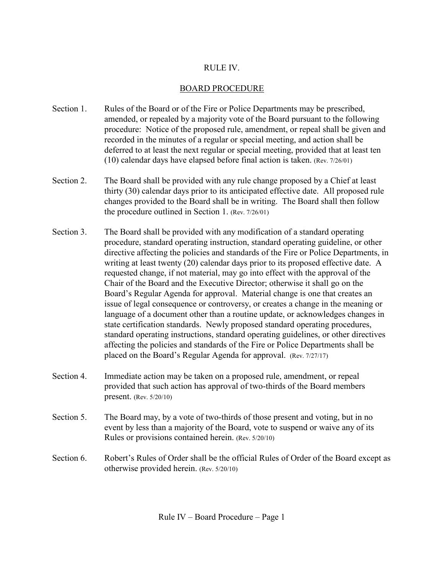# RULE IV.

# BOARD PROCEDURE

- Section 1. Rules of the Board or of the Fire or Police Departments may be prescribed, amended, or repealed by a majority vote of the Board pursuant to the following procedure: Notice of the proposed rule, amendment, or repeal shall be given and recorded in the minutes of a regular or special meeting, and action shall be deferred to at least the next regular or special meeting, provided that at least ten (10) calendar days have elapsed before final action is taken. (Rev. 7/26/01)
- Section 2. The Board shall be provided with any rule change proposed by a Chief at least thirty (30) calendar days prior to its anticipated effective date. All proposed rule changes provided to the Board shall be in writing. The Board shall then follow the procedure outlined in Section 1. (Rev. 7/26/01)
- Section 3. The Board shall be provided with any modification of a standard operating procedure, standard operating instruction, standard operating guideline, or other directive affecting the policies and standards of the Fire or Police Departments, in writing at least twenty (20) calendar days prior to its proposed effective date. A requested change, if not material, may go into effect with the approval of the Chair of the Board and the Executive Director; otherwise it shall go on the Board's Regular Agenda for approval. Material change is one that creates an issue of legal consequence or controversy, or creates a change in the meaning or language of a document other than a routine update, or acknowledges changes in state certification standards. Newly proposed standard operating procedures, standard operating instructions, standard operating guidelines, or other directives affecting the policies and standards of the Fire or Police Departments shall be placed on the Board's Regular Agenda for approval. (Rev. 7/27/17)
- Section 4. Immediate action may be taken on a proposed rule, amendment, or repeal provided that such action has approval of two-thirds of the Board members present. (Rev. 5/20/10)
- Section 5. The Board may, by a vote of two-thirds of those present and voting, but in no event by less than a majority of the Board, vote to suspend or waive any of its Rules or provisions contained herein. (Rev. 5/20/10)
- Section 6. Robert's Rules of Order shall be the official Rules of Order of the Board except as otherwise provided herein. (Rev. 5/20/10)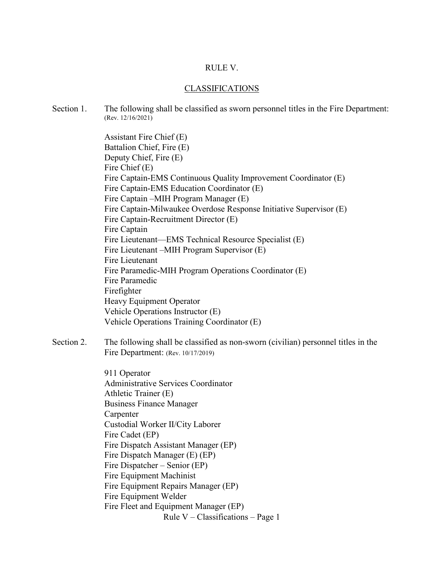#### RULE V.

#### CLASSIFICATIONS

Section 1. The following shall be classified as sworn personnel titles in the Fire Department: (Rev. 12/16/2021)

> Assistant Fire Chief (E) Battalion Chief, Fire (E) Deputy Chief, Fire (E) Fire Chief (E) Fire Captain-EMS Continuous Quality Improvement Coordinator (E) Fire Captain-EMS Education Coordinator (E) Fire Captain –MIH Program Manager (E) Fire Captain-Milwaukee Overdose Response Initiative Supervisor (E) Fire Captain-Recruitment Director (E) Fire Captain Fire Lieutenant—EMS Technical Resource Specialist (E) Fire Lieutenant –MIH Program Supervisor (E) Fire Lieutenant Fire Paramedic-MIH Program Operations Coordinator (E) Fire Paramedic Firefighter Heavy Equipment Operator Vehicle Operations Instructor (E) Vehicle Operations Training Coordinator (E)

Section 2. The following shall be classified as non-sworn (civilian) personnel titles in the Fire Department: (Rev. 10/17/2019)

> Rule V – Classifications – Page 1 911 Operator Administrative Services Coordinator Athletic Trainer (E) Business Finance Manager Carpenter Custodial Worker II/City Laborer Fire Cadet (EP) Fire Dispatch Assistant Manager (EP) Fire Dispatch Manager (E) (EP) Fire Dispatcher – Senior (EP) Fire Equipment Machinist Fire Equipment Repairs Manager (EP) Fire Equipment Welder Fire Fleet and Equipment Manager (EP)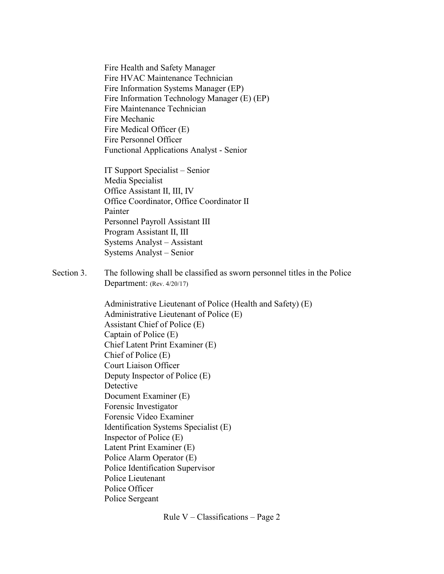Fire Health and Safety Manager Fire HVAC Maintenance Technician Fire Information Systems Manager (EP) Fire Information Technology Manager (E) (EP) Fire Maintenance Technician Fire Mechanic Fire Medical Officer (E) Fire Personnel Officer Functional Applications Analyst - Senior

IT Support Specialist – Senior Media Specialist Office Assistant II, III, IV Office Coordinator, Office Coordinator II Painter Personnel Payroll Assistant III Program Assistant II, III Systems Analyst – Assistant Systems Analyst – Senior

Section 3. The following shall be classified as sworn personnel titles in the Police Department: (Rev. 4/20/17)

> Administrative Lieutenant of Police (Health and Safety) (E) Administrative Lieutenant of Police (E) Assistant Chief of Police (E) Captain of Police (E) Chief Latent Print Examiner (E) Chief of Police (E) Court Liaison Officer Deputy Inspector of Police (E) Detective Document Examiner (E) Forensic Investigator Forensic Video Examiner Identification Systems Specialist (E) Inspector of Police (E) Latent Print Examiner (E) Police Alarm Operator (E) Police Identification Supervisor Police Lieutenant Police Officer Police Sergeant

> > Rule  $V -$ Classifications – Page 2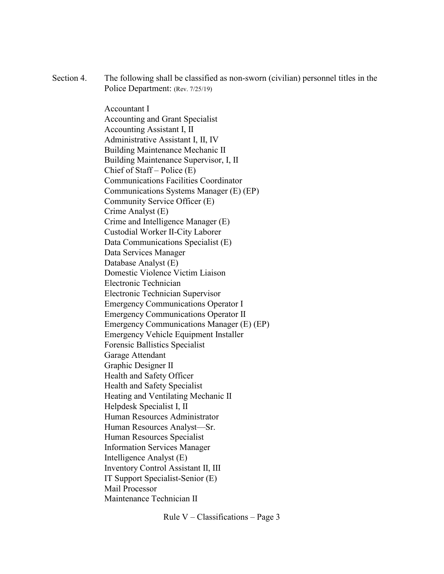Section 4. The following shall be classified as non-sworn (civilian) personnel titles in the Police Department: (Rev. 7/25/19)

> Accountant I Accounting and Grant Specialist Accounting Assistant I, II Administrative Assistant I, II, IV Building Maintenance Mechanic II Building Maintenance Supervisor, I, II Chief of Staff – Police (E) Communications Facilities Coordinator Communications Systems Manager (E) (EP) Community Service Officer (E) Crime Analyst (E) Crime and Intelligence Manager (E) Custodial Worker II-City Laborer Data Communications Specialist (E) Data Services Manager Database Analyst (E) Domestic Violence Victim Liaison Electronic Technician Electronic Technician Supervisor Emergency Communications Operator I Emergency Communications Operator II Emergency Communications Manager (E) (EP) Emergency Vehicle Equipment Installer Forensic Ballistics Specialist Garage Attendant Graphic Designer II Health and Safety Officer Health and Safety Specialist Heating and Ventilating Mechanic II Helpdesk Specialist I, II Human Resources Administrator Human Resources Analyst—Sr. Human Resources Specialist Information Services Manager Intelligence Analyst (E) Inventory Control Assistant II, III IT Support Specialist-Senior (E) Mail Processor Maintenance Technician II

> > Rule  $V -$ Classifications – Page 3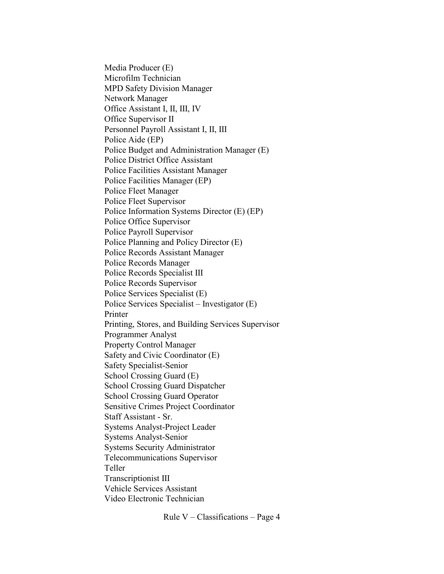Media Producer (E) Microfilm Technician MPD Safety Division Manager Network Manager Office Assistant I, II, III, IV Office Supervisor II Personnel Payroll Assistant I, II, III Police Aide (EP) Police Budget and Administration Manager (E) Police District Office Assistant Police Facilities Assistant Manager Police Facilities Manager (EP) Police Fleet Manager Police Fleet Supervisor Police Information Systems Director (E) (EP) Police Office Supervisor Police Payroll Supervisor Police Planning and Policy Director (E) Police Records Assistant Manager Police Records Manager Police Records Specialist III Police Records Supervisor Police Services Specialist (E) Police Services Specialist – Investigator (E) Printer Printing, Stores, and Building Services Supervisor Programmer Analyst Property Control Manager Safety and Civic Coordinator (E) Safety Specialist-Senior School Crossing Guard (E) School Crossing Guard Dispatcher School Crossing Guard Operator Sensitive Crimes Project Coordinator Staff Assistant - Sr. Systems Analyst-Project Leader Systems Analyst-Senior Systems Security Administrator Telecommunications Supervisor Teller Transcriptionist III Vehicle Services Assistant Video Electronic Technician

Rule  $V -$ Classifications – Page 4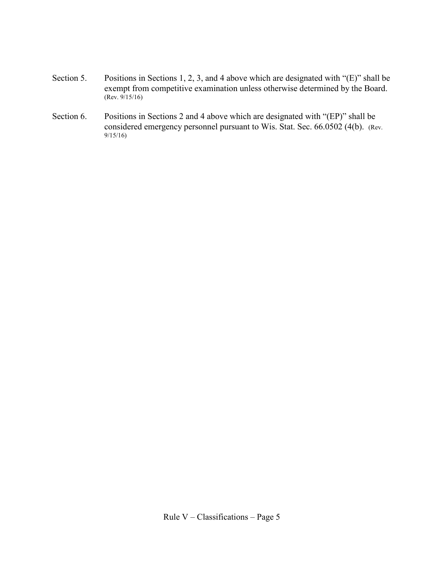- Section 5. Positions in Sections 1, 2, 3, and 4 above which are designated with "(E)" shall be exempt from competitive examination unless otherwise determined by the Board. (Rev. 9/15/16)
- Section 6. Positions in Sections 2 and 4 above which are designated with "(EP)" shall be considered emergency personnel pursuant to Wis. Stat. Sec. 66.0502 (4(b). (Rev. 9/15/16)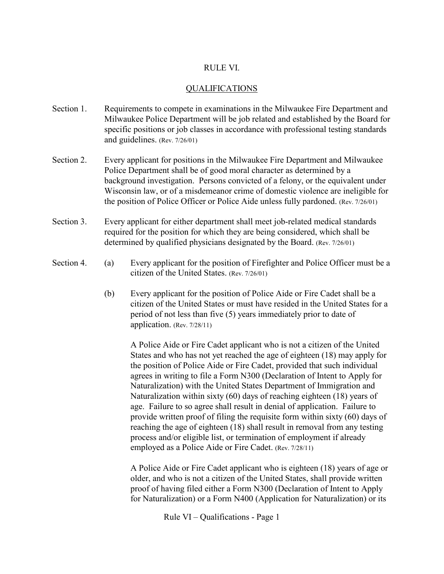#### RULE VI.

#### QUALIFICATIONS

- Section 1. Requirements to compete in examinations in the Milwaukee Fire Department and Milwaukee Police Department will be job related and established by the Board for specific positions or job classes in accordance with professional testing standards and guidelines. (Rev. 7/26/01)
- Section 2. Every applicant for positions in the Milwaukee Fire Department and Milwaukee Police Department shall be of good moral character as determined by a background investigation. Persons convicted of a felony, or the equivalent under Wisconsin law, or of a misdemeanor crime of domestic violence are ineligible for the position of Police Officer or Police Aide unless fully pardoned. (Rev. 7/26/01)
- Section 3. Every applicant for either department shall meet job-related medical standards required for the position for which they are being considered, which shall be determined by qualified physicians designated by the Board. (Rev. 7/26/01)
- Section 4. (a) Every applicant for the position of Firefighter and Police Officer must be a citizen of the United States. (Rev. 7/26/01)
	- (b) Every applicant for the position of Police Aide or Fire Cadet shall be a citizen of the United States or must have resided in the United States for a period of not less than five (5) years immediately prior to date of application. (Rev. 7/28/11)

A Police Aide or Fire Cadet applicant who is not a citizen of the United States and who has not yet reached the age of eighteen (18) may apply for the position of Police Aide or Fire Cadet, provided that such individual agrees in writing to file a Form N300 (Declaration of Intent to Apply for Naturalization) with the United States Department of Immigration and Naturalization within sixty (60) days of reaching eighteen (18) years of age. Failure to so agree shall result in denial of application. Failure to provide written proof of filing the requisite form within sixty (60) days of reaching the age of eighteen (18) shall result in removal from any testing process and/or eligible list, or termination of employment if already employed as a Police Aide or Fire Cadet. (Rev. 7/28/11)

A Police Aide or Fire Cadet applicant who is eighteen (18) years of age or older, and who is not a citizen of the United States, shall provide written proof of having filed either a Form N300 (Declaration of Intent to Apply for Naturalization) or a Form N400 (Application for Naturalization) or its

Rule VI – Qualifications - Page 1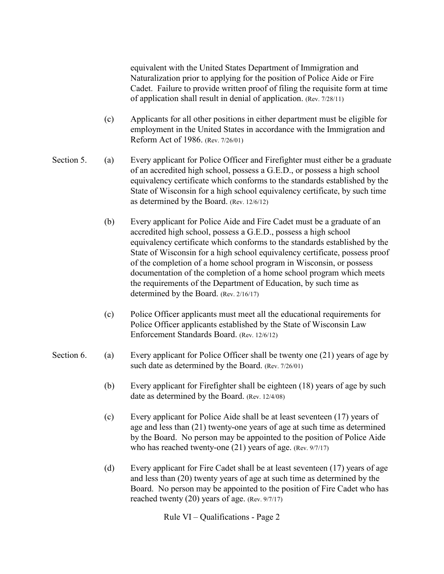equivalent with the United States Department of Immigration and Naturalization prior to applying for the position of Police Aide or Fire Cadet. Failure to provide written proof of filing the requisite form at time of application shall result in denial of application. (Rev. 7/28/11)

- (c) Applicants for all other positions in either department must be eligible for employment in the United States in accordance with the Immigration and Reform Act of 1986. (Rev. 7/26/01)
- Section 5. (a) Every applicant for Police Officer and Firefighter must either be a graduate of an accredited high school, possess a G.E.D., or possess a high school equivalency certificate which conforms to the standards established by the State of Wisconsin for a high school equivalency certificate, by such time as determined by the Board. (Rev. 12/6/12)
	- (b) Every applicant for Police Aide and Fire Cadet must be a graduate of an accredited high school, possess a G.E.D., possess a high school equivalency certificate which conforms to the standards established by the State of Wisconsin for a high school equivalency certificate, possess proof of the completion of a home school program in Wisconsin, or possess documentation of the completion of a home school program which meets the requirements of the Department of Education, by such time as determined by the Board. (Rev. 2/16/17)
	- (c) Police Officer applicants must meet all the educational requirements for Police Officer applicants established by the State of Wisconsin Law Enforcement Standards Board. (Rev. 12/6/12)
- Section 6. (a) Every applicant for Police Officer shall be twenty one (21) years of age by such date as determined by the Board. (Rev. 7/26/01)
	- (b) Every applicant for Firefighter shall be eighteen (18) years of age by such date as determined by the Board. (Rev. 12/4/08)
	- (c) Every applicant for Police Aide shall be at least seventeen (17) years of age and less than (21) twenty-one years of age at such time as determined by the Board. No person may be appointed to the position of Police Aide who has reached twenty-one (21) years of age. (Rev. 9/7/17)
	- (d) Every applicant for Fire Cadet shall be at least seventeen (17) years of age and less than (20) twenty years of age at such time as determined by the Board. No person may be appointed to the position of Fire Cadet who has reached twenty (20) years of age. (Rev. 9/7/17)

Rule VI – Qualifications - Page 2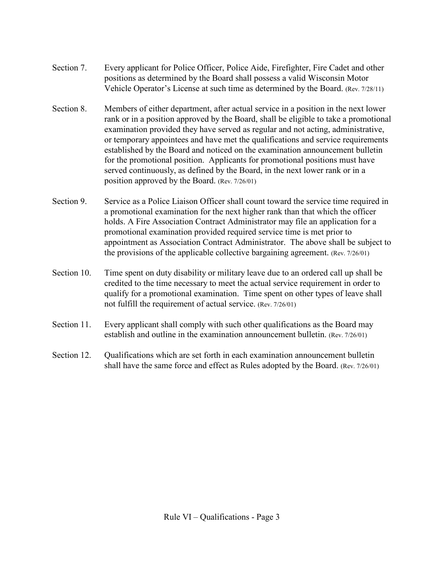- Section 7. Every applicant for Police Officer, Police Aide, Firefighter, Fire Cadet and other positions as determined by the Board shall possess a valid Wisconsin Motor Vehicle Operator's License at such time as determined by the Board. (Rev. 7/28/11)
- Section 8. Members of either department, after actual service in a position in the next lower rank or in a position approved by the Board, shall be eligible to take a promotional examination provided they have served as regular and not acting, administrative, or temporary appointees and have met the qualifications and service requirements established by the Board and noticed on the examination announcement bulletin for the promotional position. Applicants for promotional positions must have served continuously, as defined by the Board, in the next lower rank or in a position approved by the Board. (Rev. 7/26/01)
- Section 9. Service as a Police Liaison Officer shall count toward the service time required in a promotional examination for the next higher rank than that which the officer holds. A Fire Association Contract Administrator may file an application for a promotional examination provided required service time is met prior to appointment as Association Contract Administrator. The above shall be subject to the provisions of the applicable collective bargaining agreement. (Rev. 7/26/01)
- Section 10. Time spent on duty disability or military leave due to an ordered call up shall be credited to the time necessary to meet the actual service requirement in order to qualify for a promotional examination. Time spent on other types of leave shall not fulfill the requirement of actual service. (Rev. 7/26/01)
- Section 11. Every applicant shall comply with such other qualifications as the Board may establish and outline in the examination announcement bulletin. (Rev. 7/26/01)
- Section 12. Oualifications which are set forth in each examination announcement bulletin shall have the same force and effect as Rules adopted by the Board. (Rev. 7/26/01)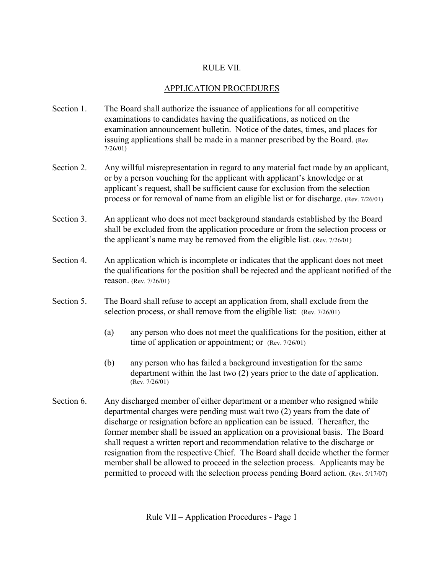# RULE VII.

#### APPLICATION PROCEDURES

- Section 1. The Board shall authorize the issuance of applications for all competitive examinations to candidates having the qualifications, as noticed on the examination announcement bulletin. Notice of the dates, times, and places for issuing applications shall be made in a manner prescribed by the Board. (Rev. 7/26/01)
- Section 2. Any willful misrepresentation in regard to any material fact made by an applicant, or by a person vouching for the applicant with applicant's knowledge or at applicant's request, shall be sufficient cause for exclusion from the selection process or for removal of name from an eligible list or for discharge. (Rev. 7/26/01)
- Section 3. An applicant who does not meet background standards established by the Board shall be excluded from the application procedure or from the selection process or the applicant's name may be removed from the eligible list. (Rev. 7/26/01)
- Section 4. An application which is incomplete or indicates that the applicant does not meet the qualifications for the position shall be rejected and the applicant notified of the reason. (Rev. 7/26/01)
- Section 5. The Board shall refuse to accept an application from, shall exclude from the selection process, or shall remove from the eligible list: (Rev. 7/26/01)
	- (a) any person who does not meet the qualifications for the position, either at time of application or appointment; or (Rev. 7/26/01)
	- (b) any person who has failed a background investigation for the same department within the last two (2) years prior to the date of application. (Rev. 7/26/01)
- Section 6. Any discharged member of either department or a member who resigned while departmental charges were pending must wait two (2) years from the date of discharge or resignation before an application can be issued. Thereafter, the former member shall be issued an application on a provisional basis. The Board shall request a written report and recommendation relative to the discharge or resignation from the respective Chief. The Board shall decide whether the former member shall be allowed to proceed in the selection process. Applicants may be permitted to proceed with the selection process pending Board action. (Rev. 5/17/07)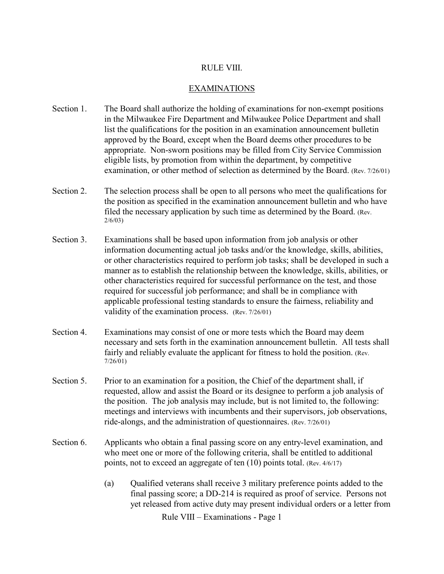#### RULE VIII.

#### EXAMINATIONS

- Section 1. The Board shall authorize the holding of examinations for non-exempt positions in the Milwaukee Fire Department and Milwaukee Police Department and shall list the qualifications for the position in an examination announcement bulletin approved by the Board, except when the Board deems other procedures to be appropriate. Non-sworn positions may be filled from City Service Commission eligible lists, by promotion from within the department, by competitive examination, or other method of selection as determined by the Board. (Rev. 7/26/01)
- Section 2. The selection process shall be open to all persons who meet the qualifications for the position as specified in the examination announcement bulletin and who have filed the necessary application by such time as determined by the Board. (Rev. 2/6/03)
- Section 3. Examinations shall be based upon information from job analysis or other information documenting actual job tasks and/or the knowledge, skills, abilities, or other characteristics required to perform job tasks; shall be developed in such a manner as to establish the relationship between the knowledge, skills, abilities, or other characteristics required for successful performance on the test, and those required for successful job performance; and shall be in compliance with applicable professional testing standards to ensure the fairness, reliability and validity of the examination process. (Rev. 7/26/01)
- Section 4. Examinations may consist of one or more tests which the Board may deem necessary and sets forth in the examination announcement bulletin. All tests shall fairly and reliably evaluate the applicant for fitness to hold the position. (Rev. 7/26/01)
- Section 5. Prior to an examination for a position, the Chief of the department shall, if requested, allow and assist the Board or its designee to perform a job analysis of the position. The job analysis may include, but is not limited to, the following: meetings and interviews with incumbents and their supervisors, job observations, ride-alongs, and the administration of questionnaires. (Rev. 7/26/01)
- Section 6. Applicants who obtain a final passing score on any entry-level examination, and who meet one or more of the following criteria, shall be entitled to additional points, not to exceed an aggregate of ten (10) points total. (Rev. 4/6/17)
	- (a) Qualified veterans shall receive 3 military preference points added to the final passing score; a DD-214 is required as proof of service. Persons not yet released from active duty may present individual orders or a letter from

Rule VIII – Examinations - Page 1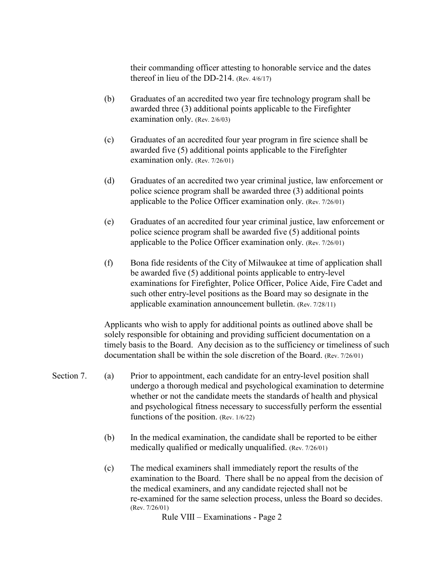their commanding officer attesting to honorable service and the dates thereof in lieu of the DD-214. (Rev. 4/6/17)

- (b) Graduates of an accredited two year fire technology program shall be awarded three (3) additional points applicable to the Firefighter examination only. (Rev. 2/6/03)
- (c) Graduates of an accredited four year program in fire science shall be awarded five (5) additional points applicable to the Firefighter examination only. (Rev. 7/26/01)
- (d) Graduates of an accredited two year criminal justice, law enforcement or police science program shall be awarded three (3) additional points applicable to the Police Officer examination only. (Rev. 7/26/01)
- (e) Graduates of an accredited four year criminal justice, law enforcement or police science program shall be awarded five (5) additional points applicable to the Police Officer examination only. (Rev. 7/26/01)
- (f) Bona fide residents of the City of Milwaukee at time of application shall be awarded five (5) additional points applicable to entry-level examinations for Firefighter, Police Officer, Police Aide, Fire Cadet and such other entry-level positions as the Board may so designate in the applicable examination announcement bulletin. (Rev. 7/28/11)

Applicants who wish to apply for additional points as outlined above shall be solely responsible for obtaining and providing sufficient documentation on a timely basis to the Board. Any decision as to the sufficiency or timeliness of such documentation shall be within the sole discretion of the Board. (Rev. 7/26/01)

- Section 7. (a) Prior to appointment, each candidate for an entry-level position shall undergo a thorough medical and psychological examination to determine whether or not the candidate meets the standards of health and physical and psychological fitness necessary to successfully perform the essential functions of the position. (Rev. 1/6/22)
	- (b) In the medical examination, the candidate shall be reported to be either medically qualified or medically unqualified. (Rev. 7/26/01)
	- (c) The medical examiners shall immediately report the results of the examination to the Board. There shall be no appeal from the decision of the medical examiners, and any candidate rejected shall not be re-examined for the same selection process, unless the Board so decides. (Rev. 7/26/01)

Rule VIII – Examinations - Page 2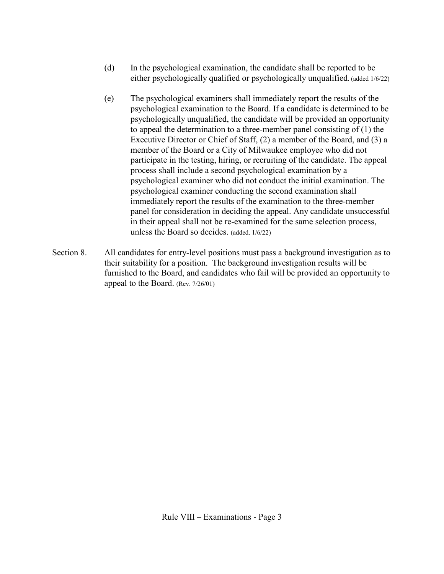- (d) In the psychological examination, the candidate shall be reported to be either psychologically qualified or psychologically unqualified. (added 1/6/22)
- (e) The psychological examiners shall immediately report the results of the psychological examination to the Board. If a candidate is determined to be psychologically unqualified, the candidate will be provided an opportunity to appeal the determination to a three-member panel consisting of (1) the Executive Director or Chief of Staff, (2) a member of the Board, and (3) a member of the Board or a City of Milwaukee employee who did not participate in the testing, hiring, or recruiting of the candidate. The appeal process shall include a second psychological examination by a psychological examiner who did not conduct the initial examination. The psychological examiner conducting the second examination shall immediately report the results of the examination to the three-member panel for consideration in deciding the appeal. Any candidate unsuccessful in their appeal shall not be re-examined for the same selection process, unless the Board so decides. (added. 1/6/22)
- Section 8. All candidates for entry-level positions must pass a background investigation as to their suitability for a position. The background investigation results will be furnished to the Board, and candidates who fail will be provided an opportunity to appeal to the Board. (Rev. 7/26/01)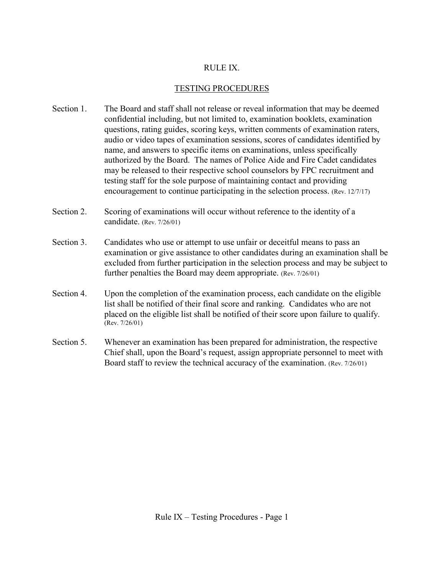#### RULE IX.

### TESTING PROCEDURES

- Section 1. The Board and staff shall not release or reveal information that may be deemed confidential including, but not limited to, examination booklets, examination questions, rating guides, scoring keys, written comments of examination raters, audio or video tapes of examination sessions, scores of candidates identified by name, and answers to specific items on examinations, unless specifically authorized by the Board. The names of Police Aide and Fire Cadet candidates may be released to their respective school counselors by FPC recruitment and testing staff for the sole purpose of maintaining contact and providing encouragement to continue participating in the selection process. (Rev. 12/7/17)
- Section 2. Scoring of examinations will occur without reference to the identity of a candidate. (Rev. 7/26/01)
- Section 3. Candidates who use or attempt to use unfair or deceitful means to pass an examination or give assistance to other candidates during an examination shall be excluded from further participation in the selection process and may be subject to further penalties the Board may deem appropriate. (Rev. 7/26/01)
- Section 4. Upon the completion of the examination process, each candidate on the eligible list shall be notified of their final score and ranking. Candidates who are not placed on the eligible list shall be notified of their score upon failure to qualify. (Rev. 7/26/01)
- Section 5. Whenever an examination has been prepared for administration, the respective Chief shall, upon the Board's request, assign appropriate personnel to meet with Board staff to review the technical accuracy of the examination. (Rev. 7/26/01)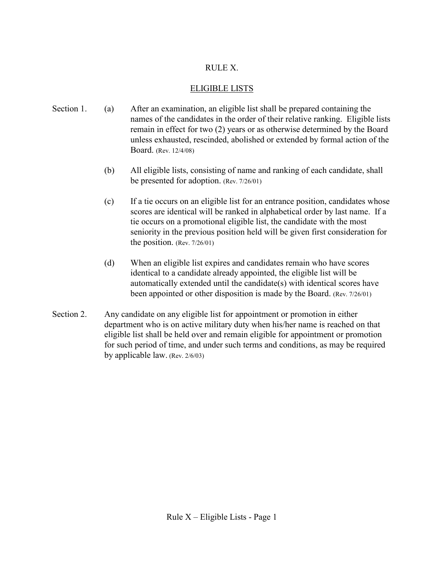# RULE X.

# ELIGIBLE LISTS

- Section 1. (a) After an examination, an eligible list shall be prepared containing the names of the candidates in the order of their relative ranking. Eligible lists remain in effect for two (2) years or as otherwise determined by the Board unless exhausted, rescinded, abolished or extended by formal action of the Board. (Rev. 12/4/08)
	- (b) All eligible lists, consisting of name and ranking of each candidate, shall be presented for adoption. (Rev. 7/26/01)
	- (c) If a tie occurs on an eligible list for an entrance position, candidates whose scores are identical will be ranked in alphabetical order by last name. If a tie occurs on a promotional eligible list, the candidate with the most seniority in the previous position held will be given first consideration for the position. (Rev. 7/26/01)
	- (d) When an eligible list expires and candidates remain who have scores identical to a candidate already appointed, the eligible list will be automatically extended until the candidate(s) with identical scores have been appointed or other disposition is made by the Board. (Rev. 7/26/01)
- Section 2. Any candidate on any eligible list for appointment or promotion in either department who is on active military duty when his/her name is reached on that eligible list shall be held over and remain eligible for appointment or promotion for such period of time, and under such terms and conditions, as may be required by applicable law. (Rev. 2/6/03)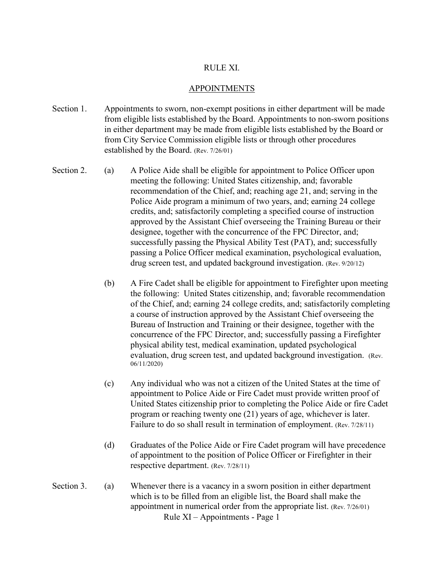#### RULE XI.

#### APPOINTMENTS

- Section 1. Appointments to sworn, non-exempt positions in either department will be made from eligible lists established by the Board. Appointments to non-sworn positions in either department may be made from eligible lists established by the Board or from City Service Commission eligible lists or through other procedures established by the Board. (Rev. 7/26/01)
- Section 2. (a) A Police Aide shall be eligible for appointment to Police Officer upon meeting the following: United States citizenship, and; favorable recommendation of the Chief, and; reaching age 21, and; serving in the Police Aide program a minimum of two years, and; earning 24 college credits, and; satisfactorily completing a specified course of instruction approved by the Assistant Chief overseeing the Training Bureau or their designee, together with the concurrence of the FPC Director, and; successfully passing the Physical Ability Test (PAT), and; successfully passing a Police Officer medical examination, psychological evaluation, drug screen test, and updated background investigation. (Rev. 9/20/12)
	- (b) A Fire Cadet shall be eligible for appointment to Firefighter upon meeting the following: United States citizenship, and; favorable recommendation of the Chief, and; earning 24 college credits, and; satisfactorily completing a course of instruction approved by the Assistant Chief overseeing the Bureau of Instruction and Training or their designee, together with the concurrence of the FPC Director, and; successfully passing a Firefighter physical ability test, medical examination, updated psychological evaluation, drug screen test, and updated background investigation. (Rev. 06/11/2020)
	- (c) Any individual who was not a citizen of the United States at the time of appointment to Police Aide or Fire Cadet must provide written proof of United States citizenship prior to completing the Police Aide or fire Cadet program or reaching twenty one (21) years of age, whichever is later. Failure to do so shall result in termination of employment. (Rev. 7/28/11)
	- (d) Graduates of the Police Aide or Fire Cadet program will have precedence of appointment to the position of Police Officer or Firefighter in their respective department. (Rev. 7/28/11)
- Rule XI Appointments Page 1 Section 3. (a) Whenever there is a vacancy in a sworn position in either department which is to be filled from an eligible list, the Board shall make the appointment in numerical order from the appropriate list. (Rev. 7/26/01)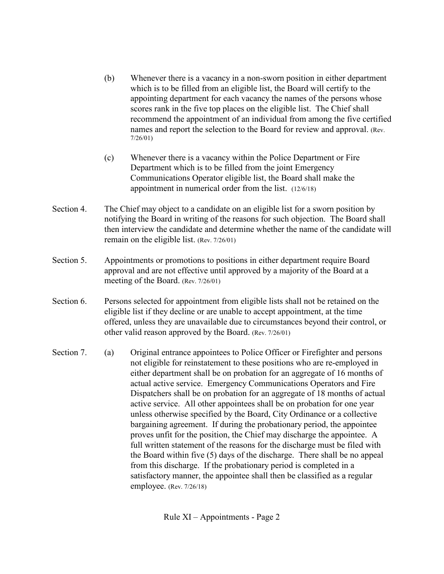- (b) Whenever there is a vacancy in a non-sworn position in either department which is to be filled from an eligible list, the Board will certify to the appointing department for each vacancy the names of the persons whose scores rank in the five top places on the eligible list. The Chief shall recommend the appointment of an individual from among the five certified names and report the selection to the Board for review and approval. (Rev. 7/26/01)
- (c) Whenever there is a vacancy within the Police Department or Fire Department which is to be filled from the joint Emergency Communications Operator eligible list, the Board shall make the appointment in numerical order from the list. (12/6/18)
- Section 4. The Chief may object to a candidate on an eligible list for a sworn position by notifying the Board in writing of the reasons for such objection. The Board shall then interview the candidate and determine whether the name of the candidate will remain on the eligible list. (Rev. 7/26/01)
- Section 5. Appointments or promotions to positions in either department require Board approval and are not effective until approved by a majority of the Board at a meeting of the Board. (Rev. 7/26/01)
- Section 6. Persons selected for appointment from eligible lists shall not be retained on the eligible list if they decline or are unable to accept appointment, at the time offered, unless they are unavailable due to circumstances beyond their control, or other valid reason approved by the Board. (Rev. 7/26/01)
- Section 7. (a) Original entrance appointees to Police Officer or Firefighter and persons not eligible for reinstatement to these positions who are re-employed in either department shall be on probation for an aggregate of 16 months of actual active service. Emergency Communications Operators and Fire Dispatchers shall be on probation for an aggregate of 18 months of actual active service. All other appointees shall be on probation for one year unless otherwise specified by the Board, City Ordinance or a collective bargaining agreement. If during the probationary period, the appointee proves unfit for the position, the Chief may discharge the appointee. A full written statement of the reasons for the discharge must be filed with the Board within five (5) days of the discharge. There shall be no appeal from this discharge. If the probationary period is completed in a satisfactory manner, the appointee shall then be classified as a regular employee. (Rev. 7/26/18)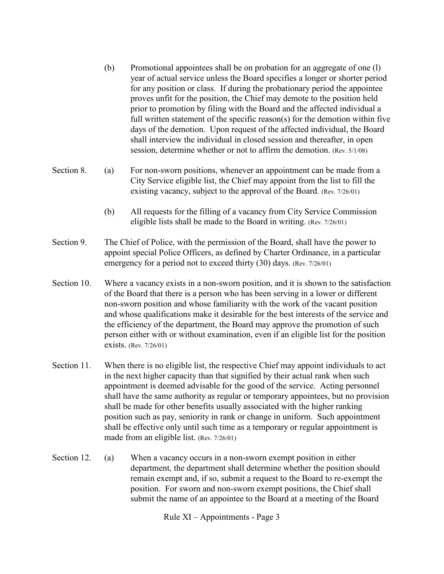- (b) Promotional appointees shall be on probation for an aggregate of one (l) year of actual service unless the Board specifies a longer or shorter period for any position or class. If during the probationary period the appointee proves unfit for the position, the Chief may demote to the position held prior to promotion by filing with the Board and the affected individual a full written statement of the specific reason(s) for the demotion within five days of the demotion. Upon request of the affected individual, the Board shall interview the individual in closed session and thereafter, in open session, determine whether or not to affirm the demotion. (Rev. 5/1/08)
- Section 8. (a) For non-sworn positions, whenever an appointment can be made from a City Service eligible list, the Chief may appoint from the list to fill the existing vacancy, subject to the approval of the Board. (Rev. 7/26/01)
	- (b) All requests for the filling of a vacancy from City Service Commission eligible lists shall be made to the Board in writing. (Rev. 7/26/01)
- Section 9. The Chief of Police, with the permission of the Board, shall have the power to appoint special Police Officers, as defined by Charter Ordinance, in a particular emergency for a period not to exceed thirty (30) days. (Rev. 7/26/01)
- Section 10. Where a vacancy exists in a non-sworn position, and it is shown to the satisfaction of the Board that there is a person who has been serving in a lower or different non-sworn position and whose familiarity with the work of the vacant position and whose qualifications make it desirable for the best interests of the service and the efficiency of the department, the Board may approve the promotion of such person either with or without examination, even if an eligible list for the position exists. (Rev. 7/26/01)
- Section 11. When there is no eligible list, the respective Chief may appoint individuals to act in the next higher capacity than that signified by their actual rank when such appointment is deemed advisable for the good of the service. Acting personnel shall have the same authority as regular or temporary appointees, but no provision shall be made for other benefits usually associated with the higher ranking position such as pay, seniority in rank or change in uniform. Such appointment shall be effective only until such time as a temporary or regular appointment is made from an eligible list. (Rev. 7/26/01)
- Section 12. (a) When a vacancy occurs in a non-sworn exempt position in either department, the department shall determine whether the position should remain exempt and, if so, submit a request to the Board to re-exempt the position. For sworn and non-sworn exempt positions, the Chief shall submit the name of an appointee to the Board at a meeting of the Board

Rule XI – Appointments - Page 3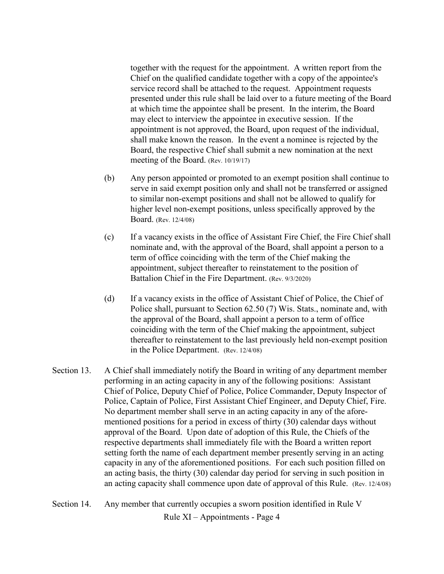together with the request for the appointment. A written report from the Chief on the qualified candidate together with a copy of the appointee's service record shall be attached to the request. Appointment requests presented under this rule shall be laid over to a future meeting of the Board at which time the appointee shall be present. In the interim, the Board may elect to interview the appointee in executive session. If the appointment is not approved, the Board, upon request of the individual, shall make known the reason. In the event a nominee is rejected by the Board, the respective Chief shall submit a new nomination at the next meeting of the Board. (Rev. 10/19/17)

- (b) Any person appointed or promoted to an exempt position shall continue to serve in said exempt position only and shall not be transferred or assigned to similar non-exempt positions and shall not be allowed to qualify for higher level non-exempt positions, unless specifically approved by the Board. (Rev. 12/4/08)
- (c) If a vacancy exists in the office of Assistant Fire Chief, the Fire Chief shall nominate and, with the approval of the Board, shall appoint a person to a term of office coinciding with the term of the Chief making the appointment, subject thereafter to reinstatement to the position of Battalion Chief in the Fire Department. (Rev. 9/3/2020)
- (d) If a vacancy exists in the office of Assistant Chief of Police, the Chief of Police shall, pursuant to Section 62.50 (7) Wis. Stats., nominate and, with the approval of the Board, shall appoint a person to a term of office coinciding with the term of the Chief making the appointment, subject thereafter to reinstatement to the last previously held non-exempt position in the Police Department. (Rev. 12/4/08)
- Section 13. A Chief shall immediately notify the Board in writing of any department member performing in an acting capacity in any of the following positions: Assistant Chief of Police, Deputy Chief of Police, Police Commander, Deputy Inspector of Police, Captain of Police, First Assistant Chief Engineer, and Deputy Chief, Fire. No department member shall serve in an acting capacity in any of the aforementioned positions for a period in excess of thirty (30) calendar days without approval of the Board. Upon date of adoption of this Rule, the Chiefs of the respective departments shall immediately file with the Board a written report setting forth the name of each department member presently serving in an acting capacity in any of the aforementioned positions. For each such position filled on an acting basis, the thirty (30) calendar day period for serving in such position in an acting capacity shall commence upon date of approval of this Rule. (Rev. 12/4/08)
- Section 14. Any member that currently occupies a sworn position identified in Rule V

Rule XI – Appointments - Page 4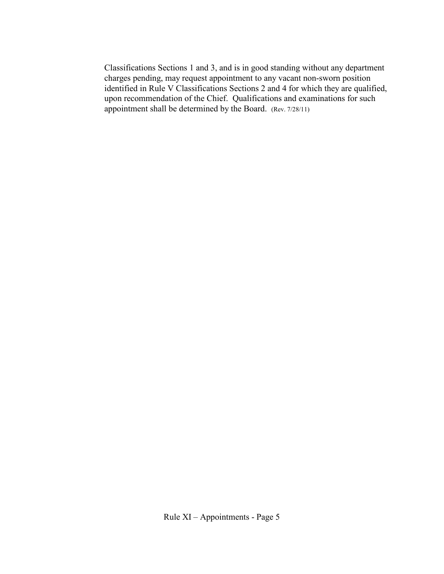Classifications Sections 1 and 3, and is in good standing without any department charges pending, may request appointment to any vacant non-sworn position identified in Rule V Classifications Sections 2 and 4 for which they are qualified, upon recommendation of the Chief. Qualifications and examinations for such appointment shall be determined by the Board. (Rev. 7/28/11)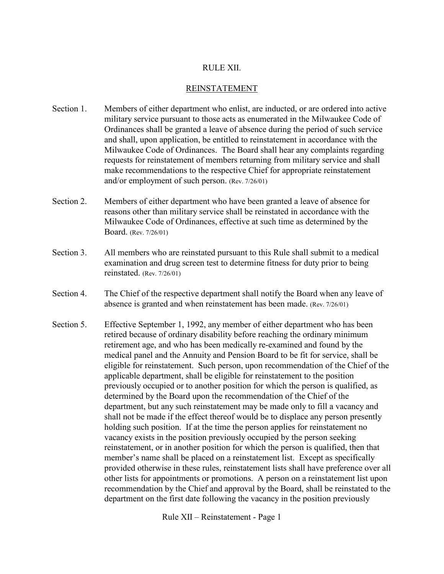#### RULE XII.

#### REINSTATEMENT

- Section 1. Members of either department who enlist, are inducted, or are ordered into active military service pursuant to those acts as enumerated in the Milwaukee Code of Ordinances shall be granted a leave of absence during the period of such service and shall, upon application, be entitled to reinstatement in accordance with the Milwaukee Code of Ordinances. The Board shall hear any complaints regarding requests for reinstatement of members returning from military service and shall make recommendations to the respective Chief for appropriate reinstatement and/or employment of such person. (Rev. 7/26/01)
- Section 2. Members of either department who have been granted a leave of absence for reasons other than military service shall be reinstated in accordance with the Milwaukee Code of Ordinances, effective at such time as determined by the Board. (Rev. 7/26/01)
- Section 3. All members who are reinstated pursuant to this Rule shall submit to a medical examination and drug screen test to determine fitness for duty prior to being reinstated. (Rev. 7/26/01)
- Section 4. The Chief of the respective department shall notify the Board when any leave of absence is granted and when reinstatement has been made. (Rev. 7/26/01)
- Section 5. Effective September 1, 1992, any member of either department who has been retired because of ordinary disability before reaching the ordinary minimum retirement age, and who has been medically re-examined and found by the medical panel and the Annuity and Pension Board to be fit for service, shall be eligible for reinstatement. Such person, upon recommendation of the Chief of the applicable department, shall be eligible for reinstatement to the position previously occupied or to another position for which the person is qualified, as determined by the Board upon the recommendation of the Chief of the department, but any such reinstatement may be made only to fill a vacancy and shall not be made if the effect thereof would be to displace any person presently holding such position. If at the time the person applies for reinstatement no vacancy exists in the position previously occupied by the person seeking reinstatement, or in another position for which the person is qualified, then that member's name shall be placed on a reinstatement list. Except as specifically provided otherwise in these rules, reinstatement lists shall have preference over all other lists for appointments or promotions. A person on a reinstatement list upon recommendation by the Chief and approval by the Board, shall be reinstated to the department on the first date following the vacancy in the position previously

Rule XII – Reinstatement - Page 1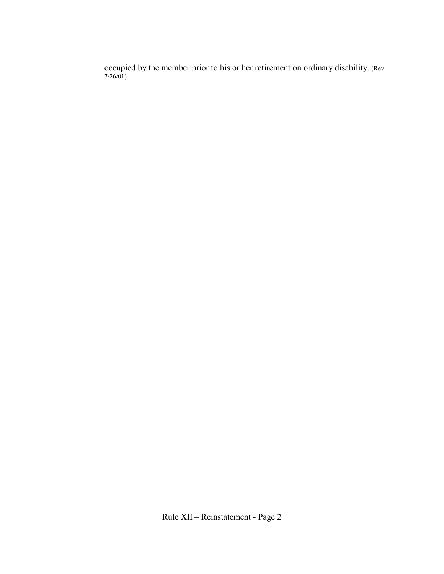occupied by the member prior to his or her retirement on ordinary disability. (Rev. 7/26/01)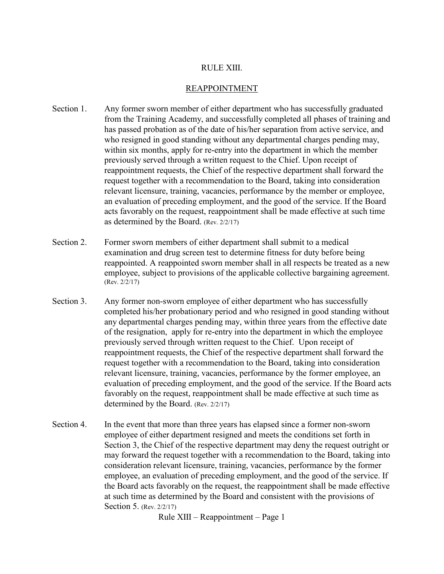#### RULE XIII.

#### REAPPOINTMENT

- Section 1. Any former sworn member of either department who has successfully graduated from the Training Academy, and successfully completed all phases of training and has passed probation as of the date of his/her separation from active service, and who resigned in good standing without any departmental charges pending may, within six months, apply for re-entry into the department in which the member previously served through a written request to the Chief. Upon receipt of reappointment requests, the Chief of the respective department shall forward the request together with a recommendation to the Board, taking into consideration relevant licensure, training, vacancies, performance by the member or employee, an evaluation of preceding employment, and the good of the service. If the Board acts favorably on the request, reappointment shall be made effective at such time as determined by the Board. (Rev. 2/2/17)
- Section 2. Former sworn members of either department shall submit to a medical examination and drug screen test to determine fitness for duty before being reappointed. A reappointed sworn member shall in all respects be treated as a new employee, subject to provisions of the applicable collective bargaining agreement. (Rev. 2/2/17)
- Section 3. Any former non-sworn employee of either department who has successfully completed his/her probationary period and who resigned in good standing without any departmental charges pending may, within three years from the effective date of the resignation, apply for re-entry into the department in which the employee previously served through written request to the Chief. Upon receipt of reappointment requests, the Chief of the respective department shall forward the request together with a recommendation to the Board, taking into consideration relevant licensure, training, vacancies, performance by the former employee, an evaluation of preceding employment, and the good of the service. If the Board acts favorably on the request, reappointment shall be made effective at such time as determined by the Board. (Rev. 2/2/17)
- Section 4. In the event that more than three years has elapsed since a former non-sworn employee of either department resigned and meets the conditions set forth in Section 3, the Chief of the respective department may deny the request outright or may forward the request together with a recommendation to the Board, taking into consideration relevant licensure, training, vacancies, performance by the former employee, an evaluation of preceding employment, and the good of the service. If the Board acts favorably on the request, the reappointment shall be made effective at such time as determined by the Board and consistent with the provisions of Section 5. (Rev. 2/2/17)

Rule XIII – Reappointment – Page 1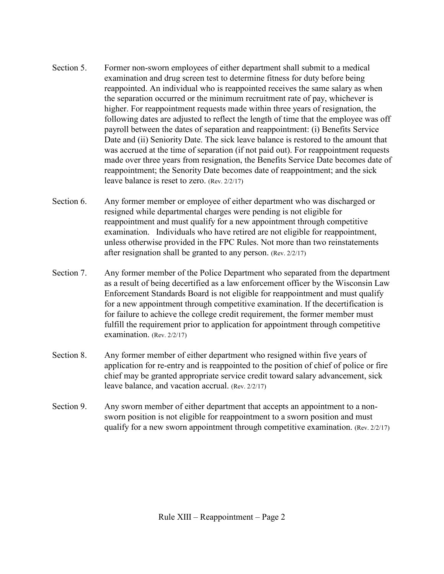- Section 5. Former non-sworn employees of either department shall submit to a medical examination and drug screen test to determine fitness for duty before being reappointed. An individual who is reappointed receives the same salary as when the separation occurred or the minimum recruitment rate of pay, whichever is higher. For reappointment requests made within three years of resignation, the following dates are adjusted to reflect the length of time that the employee was off payroll between the dates of separation and reappointment: (i) Benefits Service Date and (ii) Seniority Date. The sick leave balance is restored to the amount that was accrued at the time of separation (if not paid out). For reappointment requests made over three years from resignation, the Benefits Service Date becomes date of reappointment; the Senority Date becomes date of reappointment; and the sick leave balance is reset to zero. (Rev. 2/2/17)
- Section 6. Any former member or employee of either department who was discharged or resigned while departmental charges were pending is not eligible for reappointment and must qualify for a new appointment through competitive examination. Individuals who have retired are not eligible for reappointment, unless otherwise provided in the FPC Rules. Not more than two reinstatements after resignation shall be granted to any person. (Rev. 2/2/17)
- Section 7. Any former member of the Police Department who separated from the department as a result of being decertified as a law enforcement officer by the Wisconsin Law Enforcement Standards Board is not eligible for reappointment and must qualify for a new appointment through competitive examination. If the decertification is for failure to achieve the college credit requirement, the former member must fulfill the requirement prior to application for appointment through competitive examination. (Rev. 2/2/17)
- Section 8. Any former member of either department who resigned within five years of application for re-entry and is reappointed to the position of chief of police or fire chief may be granted appropriate service credit toward salary advancement, sick leave balance, and vacation accrual. (Rev. 2/2/17)
- Section 9. Any sworn member of either department that accepts an appointment to a nonsworn position is not eligible for reappointment to a sworn position and must qualify for a new sworn appointment through competitive examination. (Rev. 2/2/17)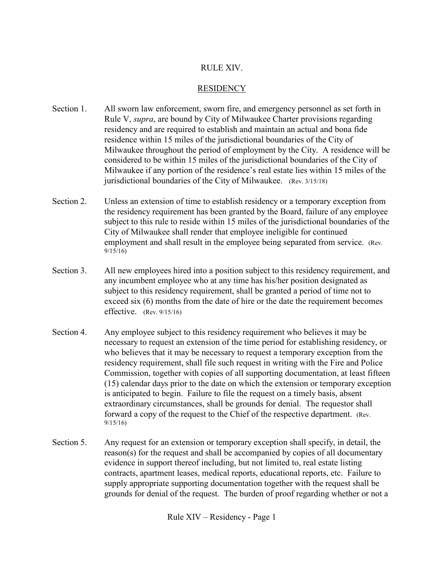#### RULE XIV.

#### **RESIDENCY**

- Section 1. All sworn law enforcement, sworn fire, and emergency personnel as set forth in Rule V, *supra*, are bound by City of Milwaukee Charter provisions regarding residency and are required to establish and maintain an actual and bona fide residence within 15 miles of the jurisdictional boundaries of the City of Milwaukee throughout the period of employment by the City. A residence will be considered to be within 15 miles of the jurisdictional boundaries of the City of Milwaukee if any portion of the residence's real estate lies within 15 miles of the jurisdictional boundaries of the City of Milwaukee. (Rev. 3/15/18)
- Section 2. Unless an extension of time to establish residency or a temporary exception from the residency requirement has been granted by the Board, failure of any employee subject to this rule to reside within 15 miles of the jurisdictional boundaries of the City of Milwaukee shall render that employee ineligible for continued employment and shall result in the employee being separated from service. (Rev.  $9/15/16$
- Section 3. All new employees hired into a position subject to this residency requirement, and any incumbent employee who at any time has his/her position designated as subject to this residency requirement, shall be granted a period of time not to exceed six (6) months from the date of hire or the date the requirement becomes effective. (Rev. 9/15/16)
- Section 4. Any employee subject to this residency requirement who believes it may be necessary to request an extension of the time period for establishing residency, or who believes that it may be necessary to request a temporary exception from the residency requirement, shall file such request in writing with the Fire and Police Commission, together with copies of all supporting documentation, at least fifteen (15) calendar days prior to the date on which the extension or temporary exception is anticipated to begin. Failure to file the request on a timely basis, absent extraordinary circumstances, shall be grounds for denial. The requestor shall forward a copy of the request to the Chief of the respective department. (Rev. 9/15/16)
- Section 5. Any request for an extension or temporary exception shall specify, in detail, the reason(s) for the request and shall be accompanied by copies of all documentary evidence in support thereof including, but not limited to, real estate listing contracts, apartment leases, medical reports, educational reports, etc. Failure to supply appropriate supporting documentation together with the request shall be grounds for denial of the request. The burden of proof regarding whether or not a

Rule XIV – Residency - Page 1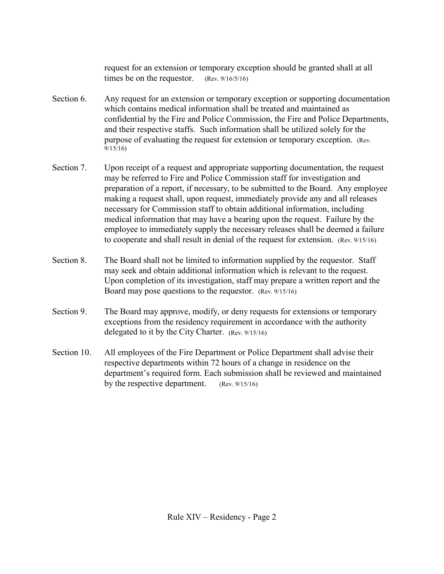request for an extension or temporary exception should be granted shall at all times be on the requestor. (Rev. 9/16/5/16)

- Section 6. Any request for an extension or temporary exception or supporting documentation which contains medical information shall be treated and maintained as confidential by the Fire and Police Commission, the Fire and Police Departments, and their respective staffs. Such information shall be utilized solely for the purpose of evaluating the request for extension or temporary exception. (Rev.  $9/15/16$
- Section 7. Upon receipt of a request and appropriate supporting documentation, the request may be referred to Fire and Police Commission staff for investigation and preparation of a report, if necessary, to be submitted to the Board. Any employee making a request shall, upon request, immediately provide any and all releases necessary for Commission staff to obtain additional information, including medical information that may have a bearing upon the request. Failure by the employee to immediately supply the necessary releases shall be deemed a failure to cooperate and shall result in denial of the request for extension. (Rev. 9/15/16)
- Section 8. The Board shall not be limited to information supplied by the requestor. Staff may seek and obtain additional information which is relevant to the request. Upon completion of its investigation, staff may prepare a written report and the Board may pose questions to the requestor. (Rev. 9/15/16)
- Section 9. The Board may approve, modify, or deny requests for extensions or temporary exceptions from the residency requirement in accordance with the authority delegated to it by the City Charter. (Rev. 9/15/16)
- Section 10. All employees of the Fire Department or Police Department shall advise their respective departments within 72 hours of a change in residence on the department's required form. Each submission shall be reviewed and maintained by the respective department. (Rev. 9/15/16)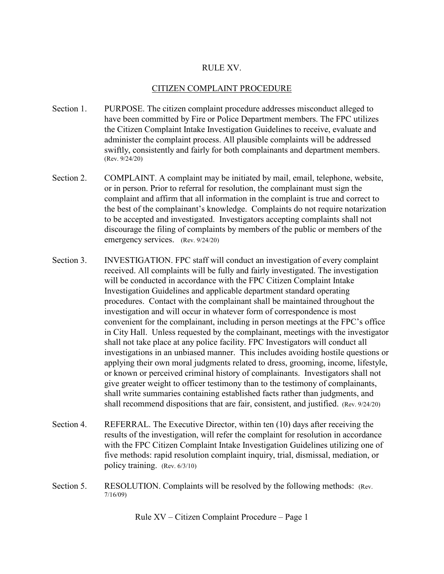#### RULE XV.

#### CITIZEN COMPLAINT PROCEDURE

- Section 1. PURPOSE. The citizen complaint procedure addresses misconduct alleged to have been committed by Fire or Police Department members. The FPC utilizes the Citizen Complaint Intake Investigation Guidelines to receive, evaluate and administer the complaint process. All plausible complaints will be addressed swiftly, consistently and fairly for both complainants and department members. (Rev. 9/24/20)
- Section 2. COMPLAINT. A complaint may be initiated by mail, email, telephone, website, or in person. Prior to referral for resolution, the complainant must sign the complaint and affirm that all information in the complaint is true and correct to the best of the complainant's knowledge. Complaints do not require notarization to be accepted and investigated. Investigators accepting complaints shall not discourage the filing of complaints by members of the public or members of the emergency services. (Rev. 9/24/20)
- Section 3. INVESTIGATION. FPC staff will conduct an investigation of every complaint received. All complaints will be fully and fairly investigated. The investigation will be conducted in accordance with the FPC Citizen Complaint Intake Investigation Guidelines and applicable department standard operating procedures. Contact with the complainant shall be maintained throughout the investigation and will occur in whatever form of correspondence is most convenient for the complainant, including in person meetings at the FPC's office in City Hall. Unless requested by the complainant, meetings with the investigator shall not take place at any police facility. FPC Investigators will conduct all investigations in an unbiased manner. This includes avoiding hostile questions or applying their own moral judgments related to dress, grooming, income, lifestyle, or known or perceived criminal history of complainants. Investigators shall not give greater weight to officer testimony than to the testimony of complainants, shall write summaries containing established facts rather than judgments, and shall recommend dispositions that are fair, consistent, and justified. (Rev. 9/24/20)
- Section 4. REFERRAL. The Executive Director, within ten (10) days after receiving the results of the investigation, will refer the complaint for resolution in accordance with the FPC Citizen Complaint Intake Investigation Guidelines utilizing one of five methods: rapid resolution complaint inquiry, trial, dismissal, mediation, or policy training. (Rev. 6/3/10)
- Section 5. RESOLUTION. Complaints will be resolved by the following methods: (Rev. 7/16/09)

Rule XV – Citizen Complaint Procedure – Page 1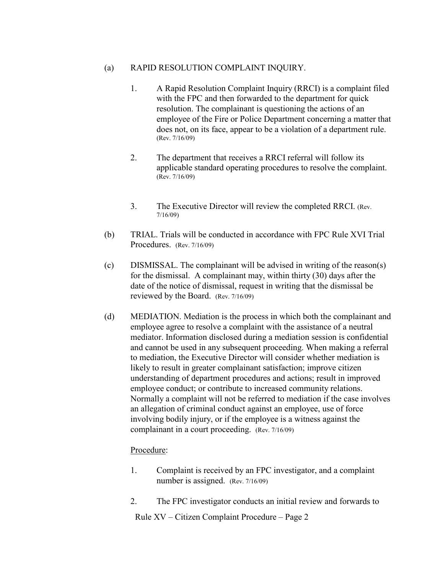#### (a) RAPID RESOLUTION COMPLAINT INQUIRY.

- 1. A Rapid Resolution Complaint Inquiry (RRCI) is a complaint filed with the FPC and then forwarded to the department for quick resolution. The complainant is questioning the actions of an employee of the Fire or Police Department concerning a matter that does not, on its face, appear to be a violation of a department rule.<br>(Rev. 7/16/09)
- 2. The department that receives a RRCI referral will follow its applicable standard operating procedures to resolve the complaint. (Rev. 7/16/09)
- 3. The Executive Director will review the completed RRCI. (Rev. 7/16/09)
- (b) TRIAL. Trials will be conducted in accordance with FPC Rule XVI Trial Procedures. (Rev. 7/16/09)
- (c) DISMISSAL. The complainant will be advised in writing of the reason(s) for the dismissal. A complainant may, within thirty (30) days after the date of the notice of dismissal, request in writing that the dismissal be reviewed by the Board. (Rev. 7/16/09)
- (d) MEDIATION. Mediation is the process in which both the complainant and employee agree to resolve a complaint with the assistance of a neutral mediator. Information disclosed during a mediation session is confidential and cannot be used in any subsequent proceeding. When making a referral to mediation, the Executive Director will consider whether mediation is likely to result in greater complainant satisfaction; improve citizen understanding of department procedures and actions; result in improved employee conduct; or contribute to increased community relations. Normally a complaint will not be referred to mediation if the case involves an allegation of criminal conduct against an employee, use of force involving bodily injury, or if the employee is a witness against the complainant in a court proceeding. (Rev. 7/16/09)

#### Procedure:

- 1. Complaint is received by an FPC investigator, and a complaint number is assigned. (Rev. 7/16/09)
- 2. The FPC investigator conducts an initial review and forwards to

Rule XV – Citizen Complaint Procedure – Page 2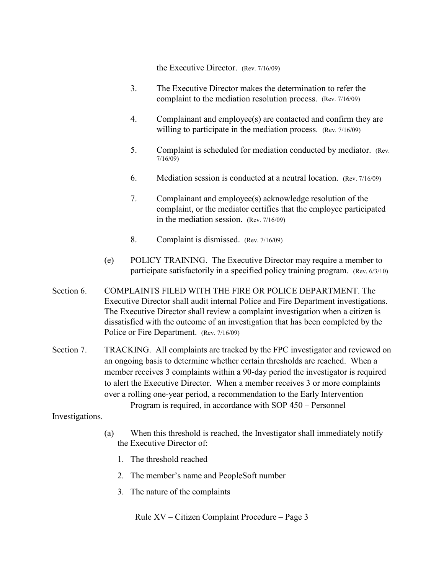the Executive Director. (Rev. 7/16/09)

- 3. The Executive Director makes the determination to refer the complaint to the mediation resolution process. (Rev. 7/16/09)
- 4. Complainant and employee(s) are contacted and confirm they are willing to participate in the mediation process. (Rev. 7/16/09)
- 5. Complaint is scheduled for mediation conducted by mediator. (Rev. 7/16/09)
- 6. Mediation session is conducted at a neutral location. (Rev. 7/16/09)
- 7. Complainant and employee(s) acknowledge resolution of the complaint, or the mediator certifies that the employee participated in the mediation session. (Rev. 7/16/09)
- 8. Complaint is dismissed. (Rev. 7/16/09)
- (e) POLICY TRAINING. The Executive Director may require a member to participate satisfactorily in a specified policy training program. (Rev. 6/3/10)
- Section 6. COMPLAINTS FILED WITH THE FIRE OR POLICE DEPARTMENT. The Executive Director shall audit internal Police and Fire Department investigations. The Executive Director shall review a complaint investigation when a citizen is dissatisfied with the outcome of an investigation that has been completed by the Police or Fire Department. (Rev. 7/16/09)
- Section 7. TRACKING. All complaints are tracked by the FPC investigator and reviewed on an ongoing basis to determine whether certain thresholds are reached. When a member receives 3 complaints within a 90-day period the investigator is required to alert the Executive Director. When a member receives 3 or more complaints over a rolling one-year period, a recommendation to the Early Intervention

Program is required, in accordance with SOP 450 – Personnel

Investigations.

- (a) When this threshold is reached, the Investigator shall immediately notify the Executive Director of:
	- 1. The threshold reached
	- 2. The member's name and PeopleSoft number
	- 3. The nature of the complaints

Rule XV – Citizen Complaint Procedure – Page 3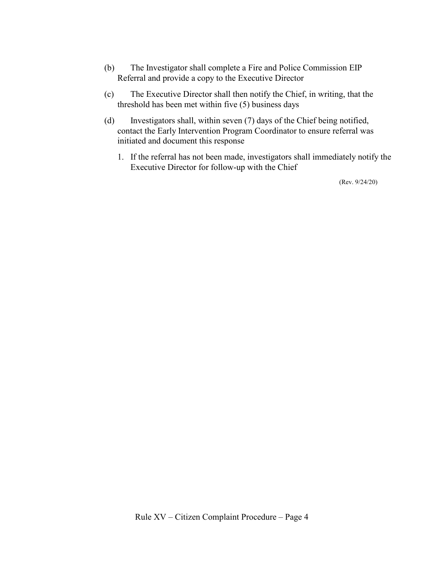- (b) The Investigator shall complete a Fire and Police Commission EIP Referral and provide a copy to the Executive Director
- (c) The Executive Director shall then notify the Chief, in writing, that the threshold has been met within five (5) business days
- (d) Investigators shall, within seven (7) days of the Chief being notified, contact the Early Intervention Program Coordinator to ensure referral was initiated and document this response
	- 1. If the referral has not been made, investigators shall immediately notify the Executive Director for follow-up with the Chief

(Rev. 9/24/20)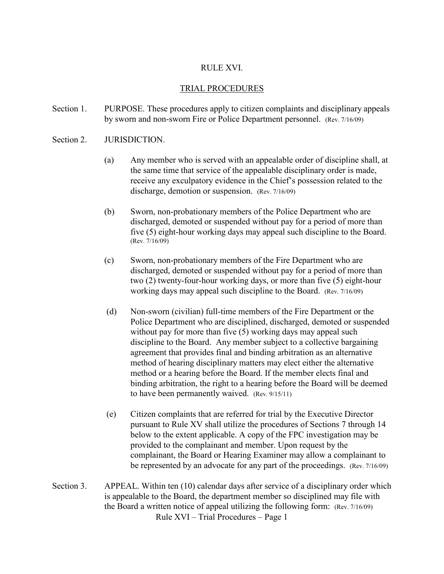#### RULE XVI.

#### TRIAL PROCEDURES

- Section 1. PURPOSE. These procedures apply to citizen complaints and disciplinary appeals by sworn and non-sworn Fire or Police Department personnel. (Rev. 7/16/09)
- Section 2. **JURISDICTION.** 
	- (a) Any member who is served with an appealable order of discipline shall, at the same time that service of the appealable disciplinary order is made, receive any exculpatory evidence in the Chief's possession related to the discharge, demotion or suspension. (Rev. 7/16/09)
	- (b) Sworn, non-probationary members of the Police Department who are discharged, demoted or suspended without pay for a period of more than five (5) eight-hour working days may appeal such discipline to the Board. (Rev. 7/16/09)
	- (c) Sworn, non-probationary members of the Fire Department who are discharged, demoted or suspended without pay for a period of more than two (2) twenty-four-hour working days, or more than five (5) eight-hour working days may appeal such discipline to the Board. (Rev. 7/16/09)
	- (d) Non-sworn (civilian) full-time members of the Fire Department or the Police Department who are disciplined, discharged, demoted or suspended without pay for more than five (5) working days may appeal such discipline to the Board. Any member subject to a collective bargaining agreement that provides final and binding arbitration as an alternative method of hearing disciplinary matters may elect either the alternative method or a hearing before the Board. If the member elects final and binding arbitration, the right to a hearing before the Board will be deemed to have been permanently waived. (Rev. 9/15/11)
	- (e) Citizen complaints that are referred for trial by the Executive Director pursuant to Rule XV shall utilize the procedures of Sections 7 through 14 below to the extent applicable. A copy of the FPC investigation may be provided to the complainant and member. Upon request by the complainant, the Board or Hearing Examiner may allow a complainant to be represented by an advocate for any part of the proceedings. (Rev. 7/16/09)
- Rule XVI Trial Procedures Page 1 Section 3. APPEAL. Within ten (10) calendar days after service of a disciplinary order which is appealable to the Board, the department member so disciplined may file with the Board a written notice of appeal utilizing the following form: (Rev. 7/16/09)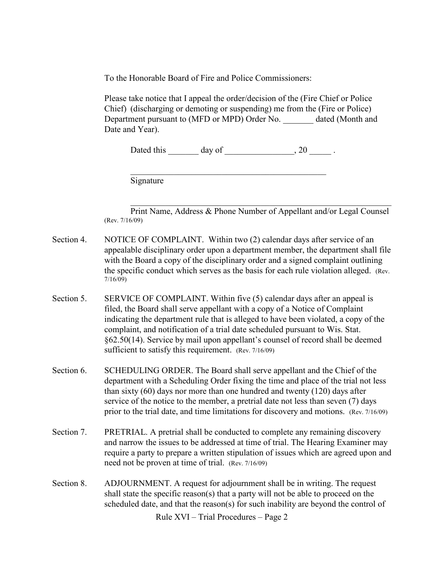To the Honorable Board of Fire and Police Commissioners:

Please take notice that I appeal the order/decision of the (Fire Chief or Police Chief) (discharging or demoting or suspending) me from the (Fire or Police) Department pursuant to (MFD or MPD) Order No. dated (Month and Date and Year).

Dated this day of the control of the control of the control of the control of the control of the control of the control of the control of the control of the control of the control of the control of the control of the contr

Signature

Print Name, Address & Phone Number of Appellant and/or Legal Counsel (Rev. 7/16/09)

 $\mathcal{L}_\mathcal{L}$  , and the contribution of the contribution of the contribution of the contribution of the contribution of the contribution of the contribution of the contribution of the contribution of the contribution of

- Section 4. NOTICE OF COMPLAINT. Within two (2) calendar days after service of an appealable disciplinary order upon a department member, the department shall file with the Board a copy of the disciplinary order and a signed complaint outlining the specific conduct which serves as the basis for each rule violation alleged. (Rev. 7/16/09)
- Section 5. SERVICE OF COMPLAINT. Within five (5) calendar days after an appeal is filed, the Board shall serve appellant with a copy of a Notice of Complaint indicating the department rule that is alleged to have been violated, a copy of the complaint, and notification of a trial date scheduled pursuant to Wis. Stat. §62.50(14). Service by mail upon appellant's counsel of record shall be deemed sufficient to satisfy this requirement. (Rev. 7/16/09)
- Section 6. SCHEDULING ORDER. The Board shall serve appellant and the Chief of the department with a Scheduling Order fixing the time and place of the trial not less than sixty (60) days nor more than one hundred and twenty (120) days after service of the notice to the member, a pretrial date not less than seven (7) days prior to the trial date, and time limitations for discovery and motions. (Rev. 7/16/09)
- Section 7. PRETRIAL. A pretrial shall be conducted to complete any remaining discovery and narrow the issues to be addressed at time of trial. The Hearing Examiner may require a party to prepare a written stipulation of issues which are agreed upon and need not be proven at time of trial. (Rev. 7/16/09)
- Section 8. ADJOURNMENT. A request for adjournment shall be in writing. The request shall state the specific reason(s) that a party will not be able to proceed on the scheduled date, and that the reason(s) for such inability are beyond the control of

Rule XVI – Trial Procedures – Page 2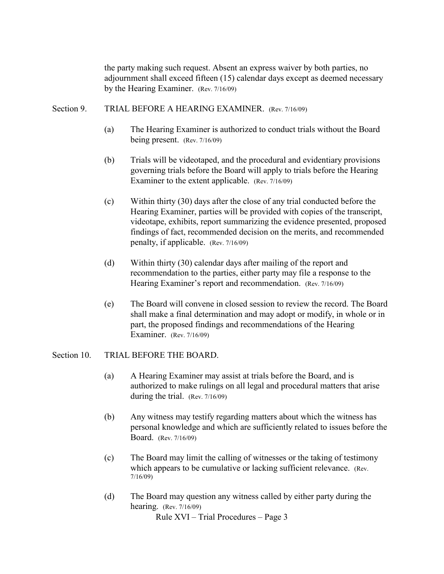the party making such request. Absent an express waiver by both parties, no adjournment shall exceed fifteen (15) calendar days except as deemed necessary by the Hearing Examiner. (Rev. 7/16/09)

#### Section 9. TRIAL BEFORE A HEARING EXAMINER. (Rev. 7/16/09)

- (a) The Hearing Examiner is authorized to conduct trials without the Board being present. (Rev. 7/16/09)
- (b) Trials will be videotaped, and the procedural and evidentiary provisions governing trials before the Board will apply to trials before the Hearing Examiner to the extent applicable. (Rev. 7/16/09)
- (c) Within thirty (30) days after the close of any trial conducted before the Hearing Examiner, parties will be provided with copies of the transcript, videotape, exhibits, report summarizing the evidence presented, proposed findings of fact, recommended decision on the merits, and recommended penalty, if applicable. (Rev. 7/16/09)
- (d) Within thirty (30) calendar days after mailing of the report and recommendation to the parties, either party may file a response to the Hearing Examiner's report and recommendation. (Rev. 7/16/09)
- (e) The Board will convene in closed session to review the record. The Board shall make a final determination and may adopt or modify, in whole or in part, the proposed findings and recommendations of the Hearing Examiner. (Rev. 7/16/09)

#### Section 10. TRIAL BEFORE THE BOARD.

- (a) A Hearing Examiner may assist at trials before the Board, and is authorized to make rulings on all legal and procedural matters that arise during the trial. (Rev. 7/16/09)
- (b) Any witness may testify regarding matters about which the witness has personal knowledge and which are sufficiently related to issues before the Board. (Rev. 7/16/09)
- (c) The Board may limit the calling of witnesses or the taking of testimony which appears to be cumulative or lacking sufficient relevance. (Rev. 7/16/09)
- (d) The Board may question any witness called by either party during the hearing. (Rev. 7/16/09)

Rule XVI – Trial Procedures – Page 3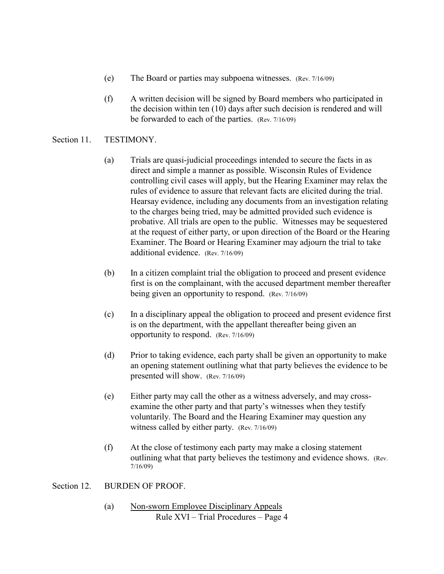- (e) The Board or parties may subpoena witnesses. (Rev. 7/16/09)
- (f) A written decision will be signed by Board members who participated in the decision within ten (10) days after such decision is rendered and will be forwarded to each of the parties. (Rev. 7/16/09)

#### Section 11. TESTIMONY.

- (a) Trials are quasi-judicial proceedings intended to secure the facts in as direct and simple a manner as possible. Wisconsin Rules of Evidence controlling civil cases will apply, but the Hearing Examiner may relax the rules of evidence to assure that relevant facts are elicited during the trial. Hearsay evidence, including any documents from an investigation relating to the charges being tried, may be admitted provided such evidence is probative. All trials are open to the public. Witnesses may be sequestered at the request of either party, or upon direction of the Board or the Hearing Examiner. The Board or Hearing Examiner may adjourn the trial to take additional evidence. (Rev. 7/16/09)
- (b) In a citizen complaint trial the obligation to proceed and present evidence first is on the complainant, with the accused department member thereafter being given an opportunity to respond. (Rev. 7/16/09)
- (c) In a disciplinary appeal the obligation to proceed and present evidence first is on the department, with the appellant thereafter being given an opportunity to respond. (Rev. 7/16/09)
- (d) Prior to taking evidence, each party shall be given an opportunity to make an opening statement outlining what that party believes the evidence to be presented will show. (Rev. 7/16/09)
- (e) Either party may call the other as a witness adversely, and may crossexamine the other party and that party's witnesses when they testify voluntarily. The Board and the Hearing Examiner may question any witness called by either party. (Rev. 7/16/09)
- (f) At the close of testimony each party may make a closing statement outlining what that party believes the testimony and evidence shows. (Rev. 7/16/09)

#### Section 12. BURDEN OF PROOF.

Rule XVI – Trial Procedures – Page 4 (a) Non-sworn Employee Disciplinary Appeals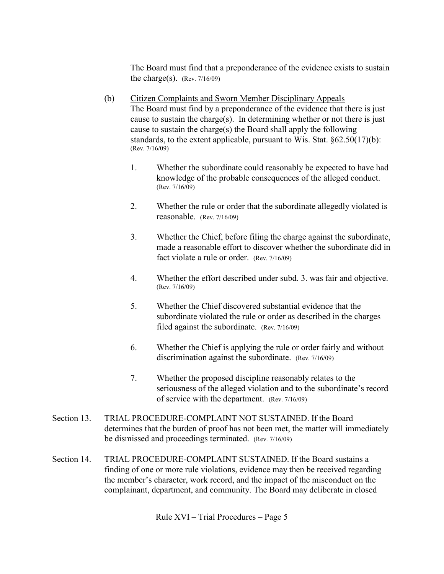The Board must find that a preponderance of the evidence exists to sustain the charge(s). (Rev.  $7/16/09$ )

- (b) Citizen Complaints and Sworn Member Disciplinary Appeals The Board must find by a preponderance of the evidence that there is just cause to sustain the charge(s). In determining whether or not there is just cause to sustain the charge(s) the Board shall apply the following standards, to the extent applicable, pursuant to Wis. Stat. §62.50(17)(b): (Rev. 7/16/09)
	- 1. Whether the subordinate could reasonably be expected to have had knowledge of the probable consequences of the alleged conduct. (Rev. 7/16/09)
	- 2. Whether the rule or order that the subordinate allegedly violated is reasonable. (Rev. 7/16/09)
	- 3. Whether the Chief, before filing the charge against the subordinate, made a reasonable effort to discover whether the subordinate did in fact violate a rule or order. (Rev. 7/16/09)
	- 4. Whether the effort described under subd. 3. was fair and objective. (Rev. 7/16/09)
	- 5. Whether the Chief discovered substantial evidence that the subordinate violated the rule or order as described in the charges filed against the subordinate. (Rev. 7/16/09)
	- 6. Whether the Chief is applying the rule or order fairly and without discrimination against the subordinate. (Rev. 7/16/09)
	- 7. Whether the proposed discipline reasonably relates to the seriousness of the alleged violation and to the subordinate's record of service with the department. (Rev. 7/16/09)
- Section 13. TRIAL PROCEDURE-COMPLAINT NOT SUSTAINED. If the Board determines that the burden of proof has not been met, the matter will immediately be dismissed and proceedings terminated. (Rev. 7/16/09)
- Section 14. TRIAL PROCEDURE-COMPLAINT SUSTAINED. If the Board sustains a finding of one or more rule violations, evidence may then be received regarding the member's character, work record, and the impact of the misconduct on the complainant, department, and community. The Board may deliberate in closed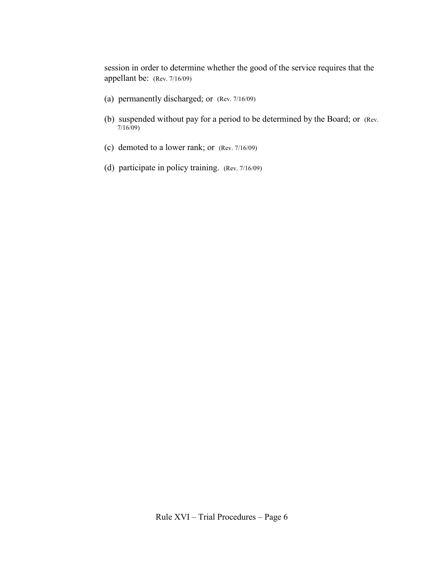session in order to determine whether the good of the service requires that the appellant be: (Rev. 7/16/09)

- (a) permanently discharged; or (Rev. 7/16/09)
- (b) suspended without pay for a period to be determined by the Board; or (Rev. 7/16/09)
- (c) demoted to a lower rank; or (Rev. 7/16/09)
- (d) participate in policy training. (Rev. 7/16/09)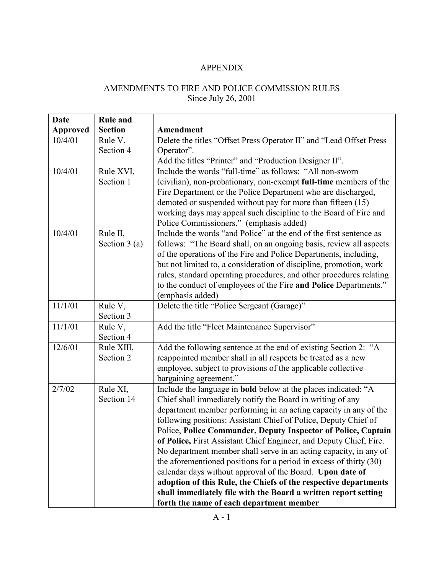#### APPENDIX

## AMENDMENTS TO FIRE AND POLICE COMMISSION RULES Since July 26, 2001

| Date            | <b>Rule and</b> |                                                                       |
|-----------------|-----------------|-----------------------------------------------------------------------|
| <b>Approved</b> | <b>Section</b>  | Amendment                                                             |
| 10/4/01         | Rule V,         | Delete the titles "Offset Press Operator II" and "Lead Offset Press   |
|                 | Section 4       | Operator".                                                            |
|                 |                 | Add the titles "Printer" and "Production Designer II".                |
| 10/4/01         | Rule XVI,       | Include the words "full-time" as follows: "All non-sworn              |
|                 | Section 1       | (civilian), non-probationary, non-exempt full-time members of the     |
|                 |                 | Fire Department or the Police Department who are discharged,          |
|                 |                 | demoted or suspended without pay for more than fifteen (15)           |
|                 |                 | working days may appeal such discipline to the Board of Fire and      |
|                 |                 | Police Commissioners." (emphasis added)                               |
| 10/4/01         | Rule II,        | Include the words "and Police" at the end of the first sentence as    |
|                 | Section $3(a)$  | follows: "The Board shall, on an ongoing basis, review all aspects    |
|                 |                 | of the operations of the Fire and Police Departments, including,      |
|                 |                 | but not limited to, a consideration of discipline, promotion, work    |
|                 |                 | rules, standard operating procedures, and other procedures relating   |
|                 |                 | to the conduct of employees of the Fire and Police Departments."      |
|                 |                 | (emphasis added)                                                      |
| 11/1/01         | Rule V,         | Delete the title "Police Sergeant (Garage)"                           |
|                 | Section 3       |                                                                       |
| 11/1/01         | Rule V,         | Add the title "Fleet Maintenance Supervisor"                          |
|                 | Section 4       |                                                                       |
| 12/6/01         | Rule XIII,      | Add the following sentence at the end of existing Section 2: "A       |
|                 | Section 2       | reappointed member shall in all respects be treated as a new          |
|                 |                 | employee, subject to provisions of the applicable collective          |
|                 |                 | bargaining agreement."                                                |
| 2/7/02          | Rule XI,        | Include the language in <b>bold</b> below at the places indicated: "A |
|                 | Section 14      | Chief shall immediately notify the Board in writing of any            |
|                 |                 | department member performing in an acting capacity in any of the      |
|                 |                 | following positions: Assistant Chief of Police, Deputy Chief of       |
|                 |                 | Police, Police Commander, Deputy Inspector of Police, Captain         |
|                 |                 | of Police, First Assistant Chief Engineer, and Deputy Chief, Fire.    |
|                 |                 | No department member shall serve in an acting capacity, in any of     |
|                 |                 | the aforementioned positions for a period in excess of thirty $(30)$  |
|                 |                 | calendar days without approval of the Board. Upon date of             |
|                 |                 | adoption of this Rule, the Chiefs of the respective departments       |
|                 |                 | shall immediately file with the Board a written report setting        |
|                 |                 | forth the name of each department member                              |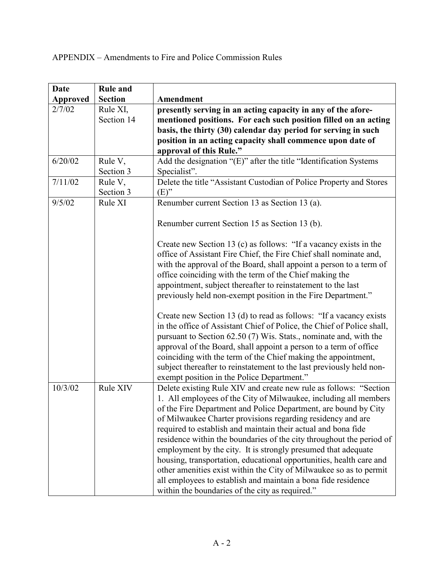| <b>Date</b> | <b>Rule and</b> |                                                                        |
|-------------|-----------------|------------------------------------------------------------------------|
| Approved    | <b>Section</b>  | Amendment                                                              |
| 2/7/02      | Rule XI,        | presently serving in an acting capacity in any of the afore-           |
|             | Section 14      | mentioned positions. For each such position filled on an acting        |
|             |                 | basis, the thirty (30) calendar day period for serving in such         |
|             |                 | position in an acting capacity shall commence upon date of             |
|             |                 | approval of this Rule."                                                |
| 6/20/02     | Rule V,         | Add the designation "(E)" after the title "Identification Systems      |
|             | Section 3       | Specialist".                                                           |
| 7/11/02     | Rule V,         | Delete the title "Assistant Custodian of Police Property and Stores    |
|             | Section 3       | $(E)$ "                                                                |
| 9/5/02      | Rule XI         | Renumber current Section 13 as Section 13 (a).                         |
|             |                 |                                                                        |
|             |                 | Renumber current Section 15 as Section 13 (b).                         |
|             |                 |                                                                        |
|             |                 | Create new Section 13 (c) as follows: "If a vacancy exists in the      |
|             |                 | office of Assistant Fire Chief, the Fire Chief shall nominate and,     |
|             |                 | with the approval of the Board, shall appoint a person to a term of    |
|             |                 | office coinciding with the term of the Chief making the                |
|             |                 | appointment, subject thereafter to reinstatement to the last           |
|             |                 | previously held non-exempt position in the Fire Department."           |
|             |                 |                                                                        |
|             |                 | Create new Section 13 (d) to read as follows: "If a vacancy exists     |
|             |                 | in the office of Assistant Chief of Police, the Chief of Police shall, |
|             |                 | pursuant to Section 62.50 (7) Wis. Stats., nominate and, with the      |
|             |                 | approval of the Board, shall appoint a person to a term of office      |
|             |                 | coinciding with the term of the Chief making the appointment,          |
|             |                 | subject thereafter to reinstatement to the last previously held non-   |
|             |                 | exempt position in the Police Department."                             |
| 10/3/02     | Rule XIV        | Delete existing Rule XIV and create new rule as follows: "Section      |
|             |                 | 1. All employees of the City of Milwaukee, including all members       |
|             |                 | of the Fire Department and Police Department, are bound by City        |
|             |                 | of Milwaukee Charter provisions regarding residency and are            |
|             |                 | required to establish and maintain their actual and bona fide          |
|             |                 | residence within the boundaries of the city throughout the period of   |
|             |                 | employment by the city. It is strongly presumed that adequate          |
|             |                 | housing, transportation, educational opportunities, health care and    |
|             |                 | other amenities exist within the City of Milwaukee so as to permit     |
|             |                 |                                                                        |
|             |                 | all employees to establish and maintain a bona fide residence          |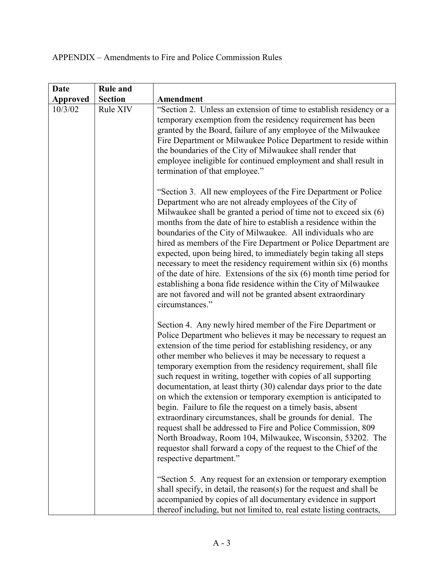| <b>Date</b>     | <b>Rule and</b> |                                                                                                                                                                                                                                                                                                                                                                                                                                                                                                                                                                                                                                                                                                                                                                                                                                                                                                                                                                                    |
|-----------------|-----------------|------------------------------------------------------------------------------------------------------------------------------------------------------------------------------------------------------------------------------------------------------------------------------------------------------------------------------------------------------------------------------------------------------------------------------------------------------------------------------------------------------------------------------------------------------------------------------------------------------------------------------------------------------------------------------------------------------------------------------------------------------------------------------------------------------------------------------------------------------------------------------------------------------------------------------------------------------------------------------------|
| <b>Approved</b> | <b>Section</b>  | Amendment                                                                                                                                                                                                                                                                                                                                                                                                                                                                                                                                                                                                                                                                                                                                                                                                                                                                                                                                                                          |
| 10/3/02         | Rule XIV        | "Section 2. Unless an extension of time to establish residency or a<br>temporary exemption from the residency requirement has been<br>granted by the Board, failure of any employee of the Milwaukee<br>Fire Department or Milwaukee Police Department to reside within<br>the boundaries of the City of Milwaukee shall render that<br>employee ineligible for continued employment and shall result in<br>termination of that employee."                                                                                                                                                                                                                                                                                                                                                                                                                                                                                                                                         |
|                 |                 | "Section 3. All new employees of the Fire Department or Police<br>Department who are not already employees of the City of<br>Milwaukee shall be granted a period of time not to exceed six (6)<br>months from the date of hire to establish a residence within the<br>boundaries of the City of Milwaukee. All individuals who are<br>hired as members of the Fire Department or Police Department are<br>expected, upon being hired, to immediately begin taking all steps<br>necessary to meet the residency requirement within six (6) months<br>of the date of hire. Extensions of the six $(6)$ month time period for<br>establishing a bona fide residence within the City of Milwaukee<br>are not favored and will not be granted absent extraordinary<br>circumstances."                                                                                                                                                                                                   |
|                 |                 | Section 4. Any newly hired member of the Fire Department or<br>Police Department who believes it may be necessary to request an<br>extension of the time period for establishing residency, or any<br>other member who believes it may be necessary to request a<br>temporary exemption from the residency requirement, shall file<br>such request in writing, together with copies of all supporting<br>documentation, at least thirty (30) calendar days prior to the date<br>on which the extension or temporary exemption is anticipated to<br>begin. Failure to file the request on a timely basis, absent<br>extraordinary circumstances, shall be grounds for denial. The<br>request shall be addressed to Fire and Police Commission, 809<br>North Broadway, Room 104, Milwaukee, Wisconsin, 53202. The<br>requestor shall forward a copy of the request to the Chief of the<br>respective department."<br>"Section 5. Any request for an extension or temporary exemption |
|                 |                 | shall specify, in detail, the reason(s) for the request and shall be<br>accompanied by copies of all documentary evidence in support<br>thereof including, but not limited to, real estate listing contracts,                                                                                                                                                                                                                                                                                                                                                                                                                                                                                                                                                                                                                                                                                                                                                                      |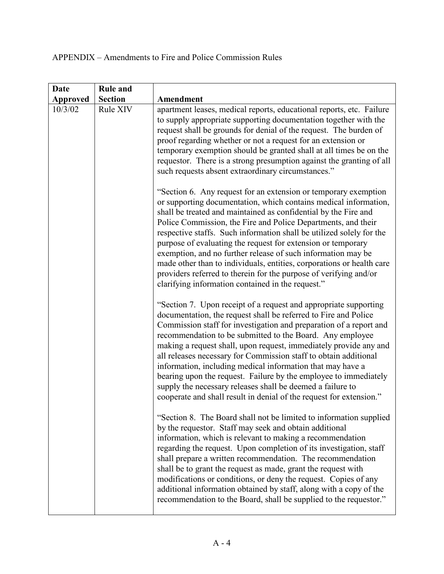| <b>Date</b>     | <b>Rule and</b> |                                                                                                                                                                                                                                                                                                                                                                                                                                                                                                                                                                                                                                                                                        |
|-----------------|-----------------|----------------------------------------------------------------------------------------------------------------------------------------------------------------------------------------------------------------------------------------------------------------------------------------------------------------------------------------------------------------------------------------------------------------------------------------------------------------------------------------------------------------------------------------------------------------------------------------------------------------------------------------------------------------------------------------|
| <b>Approved</b> | <b>Section</b>  | Amendment                                                                                                                                                                                                                                                                                                                                                                                                                                                                                                                                                                                                                                                                              |
| 10/3/02         | Rule XIV        | apartment leases, medical reports, educational reports, etc. Failure<br>to supply appropriate supporting documentation together with the<br>request shall be grounds for denial of the request. The burden of<br>proof regarding whether or not a request for an extension or<br>temporary exemption should be granted shall at all times be on the<br>requestor. There is a strong presumption against the granting of all<br>such requests absent extraordinary circumstances."                                                                                                                                                                                                      |
|                 |                 | "Section 6. Any request for an extension or temporary exemption<br>or supporting documentation, which contains medical information,<br>shall be treated and maintained as confidential by the Fire and<br>Police Commission, the Fire and Police Departments, and their<br>respective staffs. Such information shall be utilized solely for the<br>purpose of evaluating the request for extension or temporary<br>exemption, and no further release of such information may be<br>made other than to individuals, entities, corporations or health care<br>providers referred to therein for the purpose of verifying and/or<br>clarifying information contained in the request."     |
|                 |                 | "Section 7. Upon receipt of a request and appropriate supporting<br>documentation, the request shall be referred to Fire and Police<br>Commission staff for investigation and preparation of a report and<br>recommendation to be submitted to the Board. Any employee<br>making a request shall, upon request, immediately provide any and<br>all releases necessary for Commission staff to obtain additional<br>information, including medical information that may have a<br>bearing upon the request. Failure by the employee to immediately<br>supply the necessary releases shall be deemed a failure to<br>cooperate and shall result in denial of the request for extension." |
|                 |                 | "Section 8. The Board shall not be limited to information supplied<br>by the requestor. Staff may seek and obtain additional<br>information, which is relevant to making a recommendation<br>regarding the request. Upon completion of its investigation, staff<br>shall prepare a written recommendation. The recommendation<br>shall be to grant the request as made, grant the request with<br>modifications or conditions, or deny the request. Copies of any<br>additional information obtained by staff, along with a copy of the<br>recommendation to the Board, shall be supplied to the requestor."                                                                           |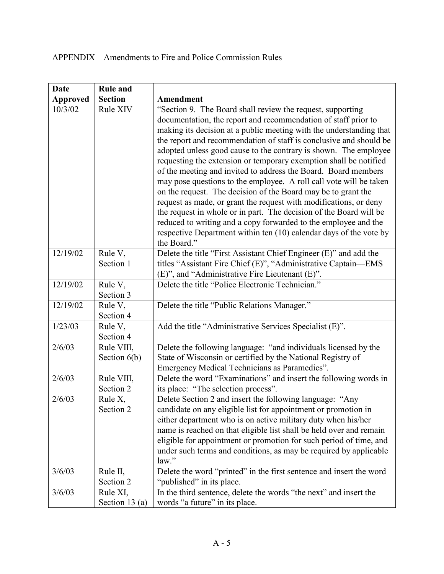| <b>Date</b>     | <b>Rule and</b>              |                                                                                                                                                                                                                                                                                                                                                                                                                                                                                                                                                                                                                                                                                                                                                                                                                                                                                                                 |
|-----------------|------------------------------|-----------------------------------------------------------------------------------------------------------------------------------------------------------------------------------------------------------------------------------------------------------------------------------------------------------------------------------------------------------------------------------------------------------------------------------------------------------------------------------------------------------------------------------------------------------------------------------------------------------------------------------------------------------------------------------------------------------------------------------------------------------------------------------------------------------------------------------------------------------------------------------------------------------------|
| <b>Approved</b> | <b>Section</b>               | Amendment                                                                                                                                                                                                                                                                                                                                                                                                                                                                                                                                                                                                                                                                                                                                                                                                                                                                                                       |
| 10/3/02         | Rule XIV                     | "Section 9. The Board shall review the request, supporting<br>documentation, the report and recommendation of staff prior to<br>making its decision at a public meeting with the understanding that<br>the report and recommendation of staff is conclusive and should be<br>adopted unless good cause to the contrary is shown. The employee<br>requesting the extension or temporary exemption shall be notified<br>of the meeting and invited to address the Board. Board members<br>may pose questions to the employee. A roll call vote will be taken<br>on the request. The decision of the Board may be to grant the<br>request as made, or grant the request with modifications, or deny<br>the request in whole or in part. The decision of the Board will be<br>reduced to writing and a copy forwarded to the employee and the<br>respective Department within ten (10) calendar days of the vote by |
| 12/19/02        | Rule V,<br>Section 1         | the Board."<br>Delete the title "First Assistant Chief Engineer (E)" and add the<br>titles "Assistant Fire Chief (E)", "Administrative Captain-EMS<br>(E)", and "Administrative Fire Lieutenant (E)".                                                                                                                                                                                                                                                                                                                                                                                                                                                                                                                                                                                                                                                                                                           |
| 12/19/02        | Rule V,<br>Section 3         | Delete the title "Police Electronic Technician."                                                                                                                                                                                                                                                                                                                                                                                                                                                                                                                                                                                                                                                                                                                                                                                                                                                                |
| 12/19/02        | Rule V,<br>Section 4         | Delete the title "Public Relations Manager."                                                                                                                                                                                                                                                                                                                                                                                                                                                                                                                                                                                                                                                                                                                                                                                                                                                                    |
| 1/23/03         | Rule V,<br>Section 4         | Add the title "Administrative Services Specialist (E)".                                                                                                                                                                                                                                                                                                                                                                                                                                                                                                                                                                                                                                                                                                                                                                                                                                                         |
| 2/6/03          | Rule VIII,<br>Section $6(b)$ | Delete the following language: "and individuals licensed by the<br>State of Wisconsin or certified by the National Registry of<br>Emergency Medical Technicians as Paramedics".                                                                                                                                                                                                                                                                                                                                                                                                                                                                                                                                                                                                                                                                                                                                 |
| 2/6/03          | Rule VIII,<br>Section 2      | Delete the word "Examinations" and insert the following words in<br>its place: "The selection process".                                                                                                                                                                                                                                                                                                                                                                                                                                                                                                                                                                                                                                                                                                                                                                                                         |
| 2/6/03          | Rule X,<br>Section 2         | Delete Section 2 and insert the following language: "Any<br>candidate on any eligible list for appointment or promotion in<br>either department who is on active military duty when his/her<br>name is reached on that eligible list shall be held over and remain<br>eligible for appointment or promotion for such period of time, and<br>under such terms and conditions, as may be required by applicable<br>law."                                                                                                                                                                                                                                                                                                                                                                                                                                                                                          |
| 3/6/03          | Rule II,<br>Section 2        | Delete the word "printed" in the first sentence and insert the word<br>"published" in its place.                                                                                                                                                                                                                                                                                                                                                                                                                                                                                                                                                                                                                                                                                                                                                                                                                |
| 3/6/03          | Rule XI,<br>Section 13 $(a)$ | In the third sentence, delete the words "the next" and insert the<br>words "a future" in its place.                                                                                                                                                                                                                                                                                                                                                                                                                                                                                                                                                                                                                                                                                                                                                                                                             |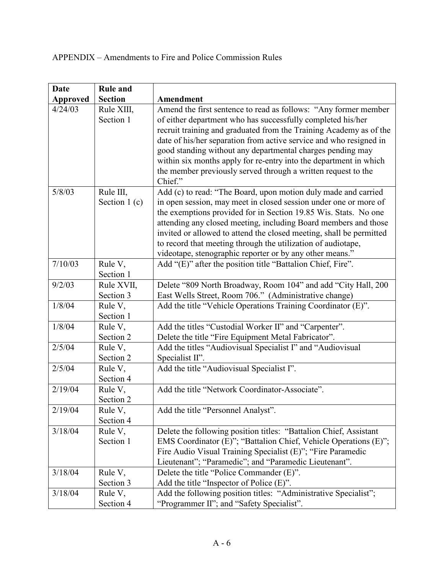| <b>Date</b>     | <b>Rule and</b>             |                                                                                                                                                                                                                                                                                                                                                                                                                                                                             |
|-----------------|-----------------------------|-----------------------------------------------------------------------------------------------------------------------------------------------------------------------------------------------------------------------------------------------------------------------------------------------------------------------------------------------------------------------------------------------------------------------------------------------------------------------------|
| <b>Approved</b> | <b>Section</b>              | <b>Amendment</b>                                                                                                                                                                                                                                                                                                                                                                                                                                                            |
| 4/24/03         | Rule XIII,<br>Section 1     | Amend the first sentence to read as follows: "Any former member<br>of either department who has successfully completed his/her<br>recruit training and graduated from the Training Academy as of the<br>date of his/her separation from active service and who resigned in<br>good standing without any departmental charges pending may<br>within six months apply for re-entry into the department in which                                                               |
|                 |                             | the member previously served through a written request to the<br>Chief."                                                                                                                                                                                                                                                                                                                                                                                                    |
| 5/8/03          | Rule III,<br>Section $1(c)$ | Add (c) to read: "The Board, upon motion duly made and carried<br>in open session, may meet in closed session under one or more of<br>the exemptions provided for in Section 19.85 Wis. Stats. No one<br>attending any closed meeting, including Board members and those<br>invited or allowed to attend the closed meeting, shall be permitted<br>to record that meeting through the utilization of audiotape,<br>videotape, stenographic reporter or by any other means." |
| 7/10/03         | Rule V,<br>Section 1        | Add "(E)" after the position title "Battalion Chief, Fire".                                                                                                                                                                                                                                                                                                                                                                                                                 |
| 9/2/03          | Rule XVII,<br>Section 3     | Delete "809 North Broadway, Room 104" and add "City Hall, 200<br>East Wells Street, Room 706." (Administrative change)                                                                                                                                                                                                                                                                                                                                                      |
| 1/8/04          | Rule V,<br>Section 1        | Add the title "Vehicle Operations Training Coordinator (E)".                                                                                                                                                                                                                                                                                                                                                                                                                |
| 1/8/04          | Rule V,<br>Section 2        | Add the titles "Custodial Worker II" and "Carpenter".<br>Delete the title "Fire Equipment Metal Fabricator".                                                                                                                                                                                                                                                                                                                                                                |
| 2/5/04          | Rule V,<br>Section 2        | Add the titles "Audiovisual Specialist I" and "Audiovisual<br>Specialist II".                                                                                                                                                                                                                                                                                                                                                                                               |
| 2/5/04          | Rule V,<br>Section 4        | Add the title "Audiovisual Specialist I".                                                                                                                                                                                                                                                                                                                                                                                                                                   |
| 2/19/04         | Rule V,<br>Section 2        | Add the title "Network Coordinator-Associate".                                                                                                                                                                                                                                                                                                                                                                                                                              |
| 2/19/04         | Rule V,<br>Section 4        | Add the title "Personnel Analyst".                                                                                                                                                                                                                                                                                                                                                                                                                                          |
| 3/18/04         | Rule V,<br>Section 1        | Delete the following position titles: "Battalion Chief, Assistant<br>EMS Coordinator (E)"; "Battalion Chief, Vehicle Operations (E)";<br>Fire Audio Visual Training Specialist (E)"; "Fire Paramedic<br>Lieutenant"; "Paramedic"; and "Paramedic Lieutenant".                                                                                                                                                                                                               |
| 3/18/04         | Rule V,<br>Section 3        | Delete the title "Police Commander (E)".<br>Add the title "Inspector of Police $(E)$ ".                                                                                                                                                                                                                                                                                                                                                                                     |
| 3/18/04         | Rule V,<br>Section 4        | Add the following position titles: "Administrative Specialist";<br>"Programmer II"; and "Safety Specialist".                                                                                                                                                                                                                                                                                                                                                                |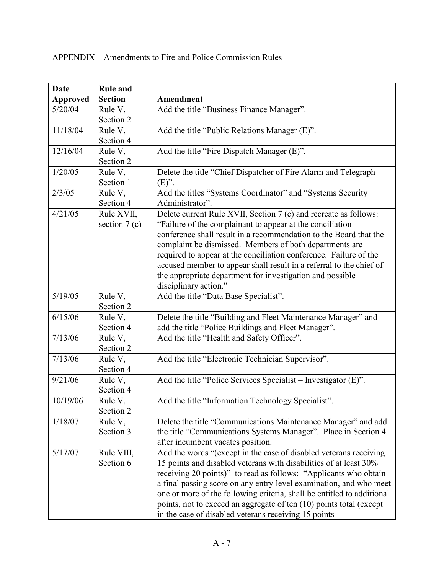| <b>Date</b>     | <b>Rule and</b>      |                                                                        |
|-----------------|----------------------|------------------------------------------------------------------------|
| <b>Approved</b> | <b>Section</b>       | Amendment                                                              |
| 5/20/04         | Rule V,              | Add the title "Business Finance Manager".                              |
|                 | Section 2            |                                                                        |
| 11/18/04        | Rule V,              | Add the title "Public Relations Manager (E)".                          |
|                 | Section 4            |                                                                        |
| 12/16/04        | Rule V,              | Add the title "Fire Dispatch Manager (E)".                             |
|                 | Section 2            |                                                                        |
| 1/20/05         | Rule V,              | Delete the title "Chief Dispatcher of Fire Alarm and Telegraph         |
|                 | Section 1            | $(E)$ ".                                                               |
| 2/3/05          | Rule V,              | Add the titles "Systems Coordinator" and "Systems Security             |
|                 | Section 4            | Administrator".                                                        |
| 4/21/05         | Rule XVII,           | Delete current Rule XVII, Section 7 (c) and recreate as follows:       |
|                 | section $7(c)$       | "Failure of the complainant to appear at the conciliation              |
|                 |                      | conference shall result in a recommendation to the Board that the      |
|                 |                      | complaint be dismissed. Members of both departments are                |
|                 |                      | required to appear at the conciliation conference. Failure of the      |
|                 |                      | accused member to appear shall result in a referral to the chief of    |
|                 |                      | the appropriate department for investigation and possible              |
|                 |                      | disciplinary action."                                                  |
| 5/19/05         | Rule V,              | Add the title "Data Base Specialist".                                  |
|                 | Section 2            |                                                                        |
| 6/15/06         | Rule V,              | Delete the title "Building and Fleet Maintenance Manager" and          |
|                 | Section 4            | add the title "Police Buildings and Fleet Manager".                    |
| 7/13/06         | Rule V,<br>Section 2 | Add the title "Health and Safety Officer".                             |
| 7/13/06         | Rule V,              |                                                                        |
|                 | Section 4            | Add the title "Electronic Technician Supervisor".                      |
| 9/21/06         | Rule V,              | Add the title "Police Services Specialist - Investigator (E)".         |
|                 | Section 4            |                                                                        |
| 10/19/06        | Rule V,              | Add the title "Information Technology Specialist".                     |
|                 | Section 2            |                                                                        |
| 1/18/07         | Rule V,              | Delete the title "Communications Maintenance Manager" and add          |
|                 | Section 3            | the title "Communications Systems Manager". Place in Section 4         |
|                 |                      | after incumbent vacates position.                                      |
| 5/17/07         | Rule VIII,           | Add the words "(except in the case of disabled veterans receiving      |
|                 | Section 6            | 15 points and disabled veterans with disabilities of at least 30%      |
|                 |                      | receiving 20 points)" to read as follows: "Applicants who obtain       |
|                 |                      | a final passing score on any entry-level examination, and who meet     |
|                 |                      | one or more of the following criteria, shall be entitled to additional |
|                 |                      | points, not to exceed an aggregate of ten (10) points total (except    |
|                 |                      | in the case of disabled veterans receiving 15 points                   |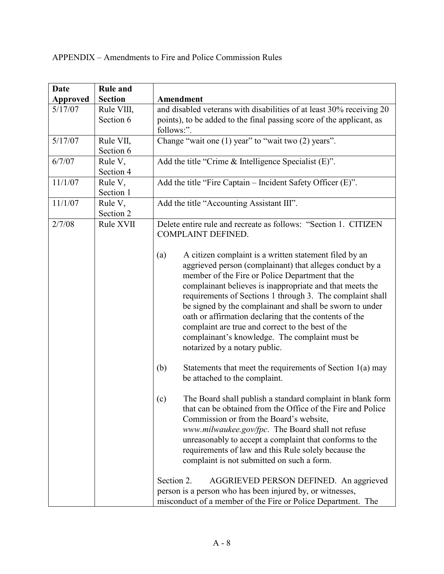| <b>Date</b>     | <b>Rule and</b>         |                                                                                                                                                                                                                                                                                                                                                                                                                                                                                                                                                                      |
|-----------------|-------------------------|----------------------------------------------------------------------------------------------------------------------------------------------------------------------------------------------------------------------------------------------------------------------------------------------------------------------------------------------------------------------------------------------------------------------------------------------------------------------------------------------------------------------------------------------------------------------|
| <b>Approved</b> | <b>Section</b>          | Amendment                                                                                                                                                                                                                                                                                                                                                                                                                                                                                                                                                            |
| 5/17/07         | Rule VIII,<br>Section 6 | and disabled veterans with disabilities of at least 30% receiving 20<br>points), to be added to the final passing score of the applicant, as<br>follows:".                                                                                                                                                                                                                                                                                                                                                                                                           |
| 5/17/07         | Rule VII,<br>Section 6  | Change "wait one (1) year" to "wait two (2) years".                                                                                                                                                                                                                                                                                                                                                                                                                                                                                                                  |
| 6/7/07          | Rule V,<br>Section 4    | Add the title "Crime & Intelligence Specialist (E)".                                                                                                                                                                                                                                                                                                                                                                                                                                                                                                                 |
| 11/1/07         | Rule V,<br>Section 1    | Add the title "Fire Captain - Incident Safety Officer (E)".                                                                                                                                                                                                                                                                                                                                                                                                                                                                                                          |
| 11/1/07         | Rule V,<br>Section 2    | Add the title "Accounting Assistant III".                                                                                                                                                                                                                                                                                                                                                                                                                                                                                                                            |
| 2/7/08          | Rule XVII               | Delete entire rule and recreate as follows: "Section 1. CITIZEN<br>COMPLAINT DEFINED.                                                                                                                                                                                                                                                                                                                                                                                                                                                                                |
|                 |                         | A citizen complaint is a written statement filed by an<br>(a)<br>aggrieved person (complainant) that alleges conduct by a<br>member of the Fire or Police Department that the<br>complainant believes is inappropriate and that meets the<br>requirements of Sections 1 through 3. The complaint shall<br>be signed by the complainant and shall be sworn to under<br>oath or affirmation declaring that the contents of the<br>complaint are true and correct to the best of the<br>complainant's knowledge. The complaint must be<br>notarized by a notary public. |
|                 |                         | (b)<br>Statements that meet the requirements of Section $1(a)$ may<br>be attached to the complaint.                                                                                                                                                                                                                                                                                                                                                                                                                                                                  |
|                 |                         | (c)<br>The Board shall publish a standard complaint in blank form<br>that can be obtained from the Office of the Fire and Police<br>Commission or from the Board's website,<br>www.milwaukee.gov/fpc. The Board shall not refuse<br>unreasonably to accept a complaint that conforms to the<br>requirements of law and this Rule solely because the<br>complaint is not submitted on such a form.                                                                                                                                                                    |
|                 |                         | Section 2.<br>AGGRIEVED PERSON DEFINED. An aggrieved<br>person is a person who has been injured by, or witnesses,<br>misconduct of a member of the Fire or Police Department. The                                                                                                                                                                                                                                                                                                                                                                                    |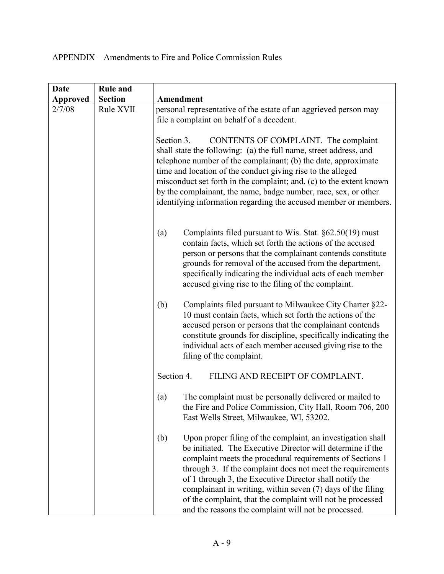| <b>Date</b>     | <b>Rule and</b> |                                                                                                                                                                                                                                                                                                                                                                                                                                                                                                             |
|-----------------|-----------------|-------------------------------------------------------------------------------------------------------------------------------------------------------------------------------------------------------------------------------------------------------------------------------------------------------------------------------------------------------------------------------------------------------------------------------------------------------------------------------------------------------------|
| <b>Approved</b> | <b>Section</b>  | Amendment                                                                                                                                                                                                                                                                                                                                                                                                                                                                                                   |
| 2/7/08          | Rule XVII       | personal representative of the estate of an aggrieved person may<br>file a complaint on behalf of a decedent.                                                                                                                                                                                                                                                                                                                                                                                               |
|                 |                 | CONTENTS OF COMPLAINT. The complaint<br>Section 3.<br>shall state the following: (a) the full name, street address, and<br>telephone number of the complainant; (b) the date, approximate<br>time and location of the conduct giving rise to the alleged<br>misconduct set forth in the complaint; and, (c) to the extent known<br>by the complainant, the name, badge number, race, sex, or other<br>identifying information regarding the accused member or members.                                      |
|                 |                 | (a)<br>Complaints filed pursuant to Wis. Stat. $\S62.50(19)$ must<br>contain facts, which set forth the actions of the accused<br>person or persons that the complainant contends constitute<br>grounds for removal of the accused from the department,<br>specifically indicating the individual acts of each member<br>accused giving rise to the filing of the complaint.                                                                                                                                |
|                 |                 | Complaints filed pursuant to Milwaukee City Charter §22-<br>(b)<br>10 must contain facts, which set forth the actions of the<br>accused person or persons that the complainant contends<br>constitute grounds for discipline, specifically indicating the<br>individual acts of each member accused giving rise to the<br>filing of the complaint.                                                                                                                                                          |
|                 |                 | Section 4.<br>FILING AND RECEIPT OF COMPLAINT.                                                                                                                                                                                                                                                                                                                                                                                                                                                              |
|                 |                 | The complaint must be personally delivered or mailed to<br>(a)<br>the Fire and Police Commission, City Hall, Room 706, 200<br>East Wells Street, Milwaukee, WI, 53202.                                                                                                                                                                                                                                                                                                                                      |
|                 |                 | Upon proper filing of the complaint, an investigation shall<br>(b)<br>be initiated. The Executive Director will determine if the<br>complaint meets the procedural requirements of Sections 1<br>through 3. If the complaint does not meet the requirements<br>of 1 through 3, the Executive Director shall notify the<br>complainant in writing, within seven (7) days of the filing<br>of the complaint, that the complaint will not be processed<br>and the reasons the complaint will not be processed. |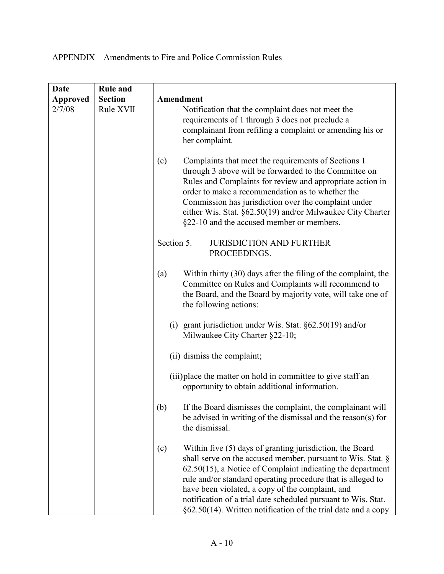| Date     | <b>Rule and</b> |                                                                                                                                                                                                                                                                                                                                                                                                                                                      |
|----------|-----------------|------------------------------------------------------------------------------------------------------------------------------------------------------------------------------------------------------------------------------------------------------------------------------------------------------------------------------------------------------------------------------------------------------------------------------------------------------|
| Approved | <b>Section</b>  | Amendment                                                                                                                                                                                                                                                                                                                                                                                                                                            |
| 2/7/08   | Rule XVII       | Notification that the complaint does not meet the<br>requirements of 1 through 3 does not preclude a<br>complainant from refiling a complaint or amending his or<br>her complaint.                                                                                                                                                                                                                                                                   |
|          |                 | Complaints that meet the requirements of Sections 1<br>(c)<br>through 3 above will be forwarded to the Committee on<br>Rules and Complaints for review and appropriate action in<br>order to make a recommendation as to whether the<br>Commission has jurisdiction over the complaint under<br>either Wis. Stat. §62.50(19) and/or Milwaukee City Charter<br>§22-10 and the accused member or members.                                              |
|          |                 | Section 5.<br><b>JURISDICTION AND FURTHER</b><br>PROCEEDINGS.                                                                                                                                                                                                                                                                                                                                                                                        |
|          |                 | Within thirty (30) days after the filing of the complaint, the<br>(a)<br>Committee on Rules and Complaints will recommend to<br>the Board, and the Board by majority vote, will take one of<br>the following actions:                                                                                                                                                                                                                                |
|          |                 | (i) grant jurisdiction under Wis. Stat. $\S 62.50(19)$ and/or<br>Milwaukee City Charter §22-10;                                                                                                                                                                                                                                                                                                                                                      |
|          |                 | (ii) dismiss the complaint;                                                                                                                                                                                                                                                                                                                                                                                                                          |
|          |                 | (iii) place the matter on hold in committee to give staff an<br>opportunity to obtain additional information.                                                                                                                                                                                                                                                                                                                                        |
|          |                 | (b)<br>If the Board dismisses the complaint, the complainant will<br>be advised in writing of the dismissal and the reason(s) for<br>the dismissal.                                                                                                                                                                                                                                                                                                  |
|          |                 | Within five (5) days of granting jurisdiction, the Board<br>(c)<br>shall serve on the accused member, pursuant to Wis. Stat. §<br>$62.50(15)$ , a Notice of Complaint indicating the department<br>rule and/or standard operating procedure that is alleged to<br>have been violated, a copy of the complaint, and<br>notification of a trial date scheduled pursuant to Wis. Stat.<br>§62.50(14). Written notification of the trial date and a copy |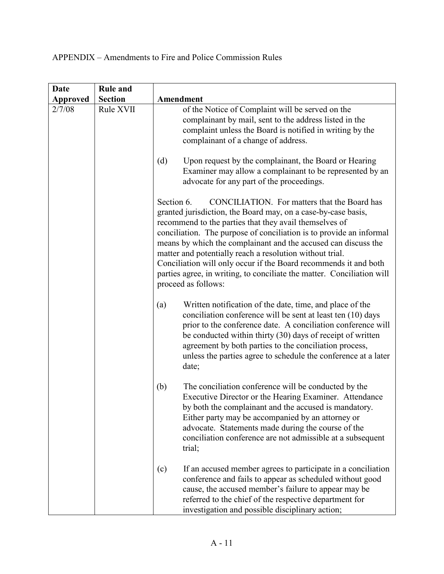| <b>Date</b> | <b>Rule and</b> |                                                                                                                                                                                                                                                                                                                                                                                                                                                                                                                                                                 |
|-------------|-----------------|-----------------------------------------------------------------------------------------------------------------------------------------------------------------------------------------------------------------------------------------------------------------------------------------------------------------------------------------------------------------------------------------------------------------------------------------------------------------------------------------------------------------------------------------------------------------|
| Approved    | <b>Section</b>  | Amendment                                                                                                                                                                                                                                                                                                                                                                                                                                                                                                                                                       |
| 2/7/08      | Rule XVII       | of the Notice of Complaint will be served on the<br>complainant by mail, sent to the address listed in the<br>complaint unless the Board is notified in writing by the<br>complainant of a change of address.<br>Upon request by the complainant, the Board or Hearing<br>(d)<br>Examiner may allow a complainant to be represented by an<br>advocate for any part of the proceedings.                                                                                                                                                                          |
|             |                 | CONCILIATION. For matters that the Board has<br>Section 6.<br>granted jurisdiction, the Board may, on a case-by-case basis,<br>recommend to the parties that they avail themselves of<br>conciliation. The purpose of conciliation is to provide an informal<br>means by which the complainant and the accused can discuss the<br>matter and potentially reach a resolution without trial.<br>Conciliation will only occur if the Board recommends it and both<br>parties agree, in writing, to conciliate the matter. Conciliation will<br>proceed as follows: |
|             |                 | Written notification of the date, time, and place of the<br>(a)<br>conciliation conference will be sent at least ten (10) days<br>prior to the conference date. A conciliation conference will<br>be conducted within thirty (30) days of receipt of written<br>agreement by both parties to the conciliation process,<br>unless the parties agree to schedule the conference at a later<br>date;                                                                                                                                                               |
|             |                 | The conciliation conference will be conducted by the<br>(b)<br>Executive Director or the Hearing Examiner. Attendance<br>by both the complainant and the accused is mandatory.<br>Either party may be accompanied by an attorney or<br>advocate. Statements made during the course of the<br>conciliation conference are not admissible at a subsequent<br>trial;                                                                                                                                                                                               |
|             |                 | If an accused member agrees to participate in a conciliation<br>(c)<br>conference and fails to appear as scheduled without good<br>cause, the accused member's failure to appear may be<br>referred to the chief of the respective department for<br>investigation and possible disciplinary action;                                                                                                                                                                                                                                                            |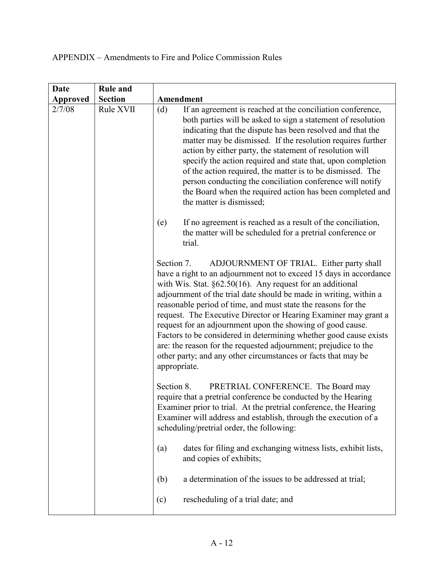| <b>Date</b>     | <b>Rule and</b> |                                                                                                                                                                                                                                                                                                                                                                                                                                                                                                                                                                                                                                                                                               |
|-----------------|-----------------|-----------------------------------------------------------------------------------------------------------------------------------------------------------------------------------------------------------------------------------------------------------------------------------------------------------------------------------------------------------------------------------------------------------------------------------------------------------------------------------------------------------------------------------------------------------------------------------------------------------------------------------------------------------------------------------------------|
| <b>Approved</b> | <b>Section</b>  | Amendment                                                                                                                                                                                                                                                                                                                                                                                                                                                                                                                                                                                                                                                                                     |
| 2/7/08          | Rule XVII       | If an agreement is reached at the conciliation conference,<br>(d)<br>both parties will be asked to sign a statement of resolution<br>indicating that the dispute has been resolved and that the<br>matter may be dismissed. If the resolution requires further<br>action by either party, the statement of resolution will<br>specify the action required and state that, upon completion<br>of the action required, the matter is to be dismissed. The<br>person conducting the conciliation conference will notify<br>the Board when the required action has been completed and<br>the matter is dismissed;                                                                                 |
|                 |                 | If no agreement is reached as a result of the conciliation,<br>(e)<br>the matter will be scheduled for a pretrial conference or<br>trial.                                                                                                                                                                                                                                                                                                                                                                                                                                                                                                                                                     |
|                 |                 | Section 7.<br>ADJOURNMENT OF TRIAL. Either party shall<br>have a right to an adjournment not to exceed 15 days in accordance<br>with Wis. Stat. $\S62.50(16)$ . Any request for an additional<br>adjournment of the trial date should be made in writing, within a<br>reasonable period of time, and must state the reasons for the<br>request. The Executive Director or Hearing Examiner may grant a<br>request for an adjournment upon the showing of good cause.<br>Factors to be considered in determining whether good cause exists<br>are: the reason for the requested adjournment; prejudice to the<br>other party; and any other circumstances or facts that may be<br>appropriate. |
|                 |                 | Section 8.<br>PRETRIAL CONFERENCE. The Board may<br>require that a pretrial conference be conducted by the Hearing<br>Examiner prior to trial. At the pretrial conference, the Hearing<br>Examiner will address and establish, through the execution of a<br>scheduling/pretrial order, the following:                                                                                                                                                                                                                                                                                                                                                                                        |
|                 |                 | dates for filing and exchanging witness lists, exhibit lists,<br>(a)<br>and copies of exhibits;                                                                                                                                                                                                                                                                                                                                                                                                                                                                                                                                                                                               |
|                 |                 | a determination of the issues to be addressed at trial;<br>(b)                                                                                                                                                                                                                                                                                                                                                                                                                                                                                                                                                                                                                                |
|                 |                 | rescheduling of a trial date; and<br>(c)                                                                                                                                                                                                                                                                                                                                                                                                                                                                                                                                                                                                                                                      |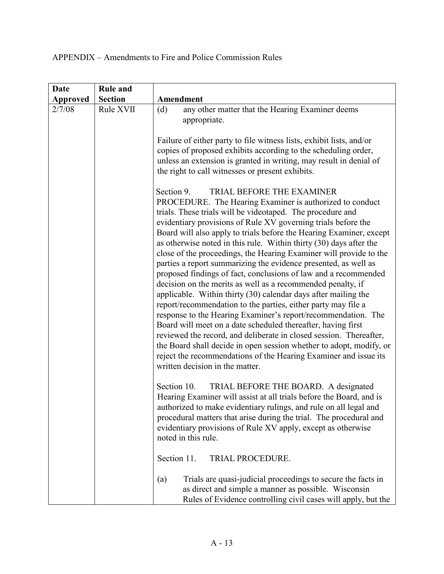| <b>Date</b>     | <b>Rule and</b> |                                                                                                                                                                                                                                                                                                                                                                                                                                                                                                                                                                                                                                                                                                                                                                                                                                                                                                                                                                                                                                                                                                                                                                                           |
|-----------------|-----------------|-------------------------------------------------------------------------------------------------------------------------------------------------------------------------------------------------------------------------------------------------------------------------------------------------------------------------------------------------------------------------------------------------------------------------------------------------------------------------------------------------------------------------------------------------------------------------------------------------------------------------------------------------------------------------------------------------------------------------------------------------------------------------------------------------------------------------------------------------------------------------------------------------------------------------------------------------------------------------------------------------------------------------------------------------------------------------------------------------------------------------------------------------------------------------------------------|
| <b>Approved</b> | <b>Section</b>  | Amendment                                                                                                                                                                                                                                                                                                                                                                                                                                                                                                                                                                                                                                                                                                                                                                                                                                                                                                                                                                                                                                                                                                                                                                                 |
| 2/7/08          | Rule XVII       | any other matter that the Hearing Examiner deems<br>(d)<br>appropriate.<br>Failure of either party to file witness lists, exhibit lists, and/or<br>copies of proposed exhibits according to the scheduling order,<br>unless an extension is granted in writing, may result in denial of<br>the right to call witnesses or present exhibits.                                                                                                                                                                                                                                                                                                                                                                                                                                                                                                                                                                                                                                                                                                                                                                                                                                               |
|                 |                 | Section 9.<br><b>TRIAL BEFORE THE EXAMINER</b><br>PROCEDURE. The Hearing Examiner is authorized to conduct<br>trials. These trials will be videotaped. The procedure and<br>evidentiary provisions of Rule XV governing trials before the<br>Board will also apply to trials before the Hearing Examiner, except<br>as otherwise noted in this rule. Within thirty (30) days after the<br>close of the proceedings, the Hearing Examiner will provide to the<br>parties a report summarizing the evidence presented, as well as<br>proposed findings of fact, conclusions of law and a recommended<br>decision on the merits as well as a recommended penalty, if<br>applicable. Within thirty (30) calendar days after mailing the<br>report/recommendation to the parties, either party may file a<br>response to the Hearing Examiner's report/recommendation. The<br>Board will meet on a date scheduled thereafter, having first<br>reviewed the record, and deliberate in closed session. Thereafter,<br>the Board shall decide in open session whether to adopt, modify, or<br>reject the recommendations of the Hearing Examiner and issue its<br>written decision in the matter. |
|                 |                 | Section 10.<br>TRIAL BEFORE THE BOARD. A designated<br>Hearing Examiner will assist at all trials before the Board, and is<br>authorized to make evidentiary rulings, and rule on all legal and<br>procedural matters that arise during the trial. The procedural and<br>evidentiary provisions of Rule XV apply, except as otherwise<br>noted in this rule.                                                                                                                                                                                                                                                                                                                                                                                                                                                                                                                                                                                                                                                                                                                                                                                                                              |
|                 |                 | Section 11.<br>TRIAL PROCEDURE.                                                                                                                                                                                                                                                                                                                                                                                                                                                                                                                                                                                                                                                                                                                                                                                                                                                                                                                                                                                                                                                                                                                                                           |
|                 |                 | Trials are quasi-judicial proceedings to secure the facts in<br>(a)<br>as direct and simple a manner as possible. Wisconsin<br>Rules of Evidence controlling civil cases will apply, but the                                                                                                                                                                                                                                                                                                                                                                                                                                                                                                                                                                                                                                                                                                                                                                                                                                                                                                                                                                                              |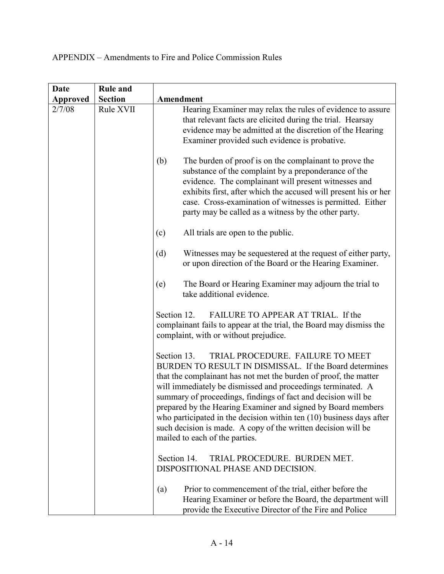| <b>Date</b>     | <b>Rule and</b> |                                                                                                                                                                                                                                                                                                                                                                                                                                                                                                                                                                                                                 |
|-----------------|-----------------|-----------------------------------------------------------------------------------------------------------------------------------------------------------------------------------------------------------------------------------------------------------------------------------------------------------------------------------------------------------------------------------------------------------------------------------------------------------------------------------------------------------------------------------------------------------------------------------------------------------------|
| <b>Approved</b> | <b>Section</b>  | Amendment                                                                                                                                                                                                                                                                                                                                                                                                                                                                                                                                                                                                       |
| 2/7/08          | Rule XVII       | Hearing Examiner may relax the rules of evidence to assure<br>that relevant facts are elicited during the trial. Hearsay<br>evidence may be admitted at the discretion of the Hearing<br>Examiner provided such evidence is probative.<br>(b)<br>The burden of proof is on the complainant to prove the<br>substance of the complaint by a preponderance of the<br>evidence. The complainant will present witnesses and<br>exhibits first, after which the accused will present his or her<br>case. Cross-examination of witnesses is permitted. Either<br>party may be called as a witness by the other party. |
|                 |                 | (c)<br>All trials are open to the public.                                                                                                                                                                                                                                                                                                                                                                                                                                                                                                                                                                       |
|                 |                 | Witnesses may be sequestered at the request of either party,<br>(d)<br>or upon direction of the Board or the Hearing Examiner.                                                                                                                                                                                                                                                                                                                                                                                                                                                                                  |
|                 |                 | The Board or Hearing Examiner may adjourn the trial to<br>(e)<br>take additional evidence.                                                                                                                                                                                                                                                                                                                                                                                                                                                                                                                      |
|                 |                 | FAILURE TO APPEAR AT TRIAL. If the<br>Section 12.<br>complainant fails to appear at the trial, the Board may dismiss the<br>complaint, with or without prejudice.                                                                                                                                                                                                                                                                                                                                                                                                                                               |
|                 |                 | Section 13.<br>TRIAL PROCEDURE. FAILURE TO MEET<br>BURDEN TO RESULT IN DISMISSAL. If the Board determines<br>that the complainant has not met the burden of proof, the matter<br>will immediately be dismissed and proceedings terminated. A<br>summary of proceedings, findings of fact and decision will be<br>prepared by the Hearing Examiner and signed by Board members<br>who participated in the decision within ten $(10)$ business days after<br>such decision is made. A copy of the written decision will be<br>mailed to each of the parties.                                                      |
|                 |                 | TRIAL PROCEDURE. BURDEN MET.<br>Section 14.<br>DISPOSITIONAL PHASE AND DECISION.                                                                                                                                                                                                                                                                                                                                                                                                                                                                                                                                |
|                 |                 | Prior to commencement of the trial, either before the<br>(a)<br>Hearing Examiner or before the Board, the department will<br>provide the Executive Director of the Fire and Police                                                                                                                                                                                                                                                                                                                                                                                                                              |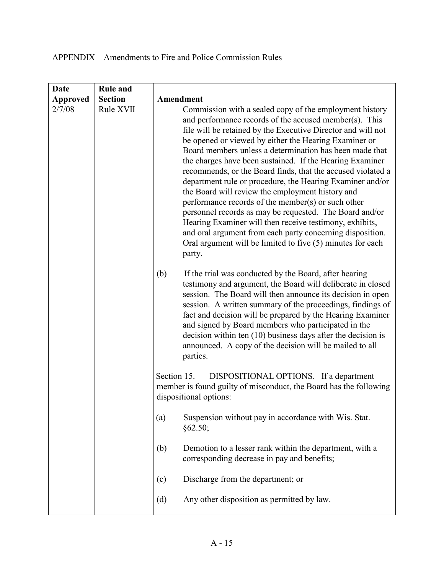| <b>Date</b>     | <b>Rule and</b> |                                                                                                                                                                                                                                                                                                                                                                                                                                                                                                                                                                                                                                                                                                                                                                                                                                                                    |
|-----------------|-----------------|--------------------------------------------------------------------------------------------------------------------------------------------------------------------------------------------------------------------------------------------------------------------------------------------------------------------------------------------------------------------------------------------------------------------------------------------------------------------------------------------------------------------------------------------------------------------------------------------------------------------------------------------------------------------------------------------------------------------------------------------------------------------------------------------------------------------------------------------------------------------|
| <b>Approved</b> | <b>Section</b>  | Amendment                                                                                                                                                                                                                                                                                                                                                                                                                                                                                                                                                                                                                                                                                                                                                                                                                                                          |
| 2/7/08          | Rule XVII       | Commission with a sealed copy of the employment history<br>and performance records of the accused member(s). This<br>file will be retained by the Executive Director and will not<br>be opened or viewed by either the Hearing Examiner or<br>Board members unless a determination has been made that<br>the charges have been sustained. If the Hearing Examiner<br>recommends, or the Board finds, that the accused violated a<br>department rule or procedure, the Hearing Examiner and/or<br>the Board will review the employment history and<br>performance records of the member(s) or such other<br>personnel records as may be requested. The Board and/or<br>Hearing Examiner will then receive testimony, exhibits,<br>and oral argument from each party concerning disposition.<br>Oral argument will be limited to five (5) minutes for each<br>party. |
|                 |                 | (b)<br>If the trial was conducted by the Board, after hearing<br>testimony and argument, the Board will deliberate in closed<br>session. The Board will then announce its decision in open<br>session. A written summary of the proceedings, findings of<br>fact and decision will be prepared by the Hearing Examiner<br>and signed by Board members who participated in the<br>decision within ten $(10)$ business days after the decision is<br>announced. A copy of the decision will be mailed to all<br>parties.                                                                                                                                                                                                                                                                                                                                             |
|                 |                 | DISPOSITIONAL OPTIONS. If a department<br>Section 15.<br>member is found guilty of misconduct, the Board has the following<br>dispositional options:                                                                                                                                                                                                                                                                                                                                                                                                                                                                                                                                                                                                                                                                                                               |
|                 |                 | Suspension without pay in accordance with Wis. Stat.<br>(a)<br>§62.50;                                                                                                                                                                                                                                                                                                                                                                                                                                                                                                                                                                                                                                                                                                                                                                                             |
|                 |                 | (b)<br>Demotion to a lesser rank within the department, with a<br>corresponding decrease in pay and benefits;                                                                                                                                                                                                                                                                                                                                                                                                                                                                                                                                                                                                                                                                                                                                                      |
|                 |                 | Discharge from the department; or<br>(c)                                                                                                                                                                                                                                                                                                                                                                                                                                                                                                                                                                                                                                                                                                                                                                                                                           |
|                 |                 | Any other disposition as permitted by law.<br>(d)                                                                                                                                                                                                                                                                                                                                                                                                                                                                                                                                                                                                                                                                                                                                                                                                                  |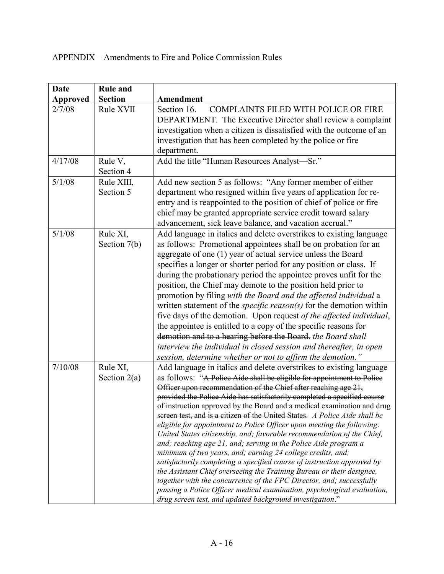| <b>Date</b>     | <b>Rule and</b>            |                                                                                                                                                                                                                                                                                                                                                                                                                                                                                                                                                                                                                                                                                                                                                                                                                                                                                                                                                                                                                                                                                                                |
|-----------------|----------------------------|----------------------------------------------------------------------------------------------------------------------------------------------------------------------------------------------------------------------------------------------------------------------------------------------------------------------------------------------------------------------------------------------------------------------------------------------------------------------------------------------------------------------------------------------------------------------------------------------------------------------------------------------------------------------------------------------------------------------------------------------------------------------------------------------------------------------------------------------------------------------------------------------------------------------------------------------------------------------------------------------------------------------------------------------------------------------------------------------------------------|
| <b>Approved</b> | <b>Section</b>             | Amendment                                                                                                                                                                                                                                                                                                                                                                                                                                                                                                                                                                                                                                                                                                                                                                                                                                                                                                                                                                                                                                                                                                      |
| 2/7/08          | Rule XVII                  | Section 16.<br><b>COMPLAINTS FILED WITH POLICE OR FIRE</b><br>DEPARTMENT. The Executive Director shall review a complaint<br>investigation when a citizen is dissatisfied with the outcome of an<br>investigation that has been completed by the police or fire<br>department.                                                                                                                                                                                                                                                                                                                                                                                                                                                                                                                                                                                                                                                                                                                                                                                                                                 |
| 4/17/08         | Rule V,<br>Section 4       | Add the title "Human Resources Analyst-Sr."                                                                                                                                                                                                                                                                                                                                                                                                                                                                                                                                                                                                                                                                                                                                                                                                                                                                                                                                                                                                                                                                    |
| 5/1/08          | Rule XIII,<br>Section 5    | Add new section 5 as follows: "Any former member of either<br>department who resigned within five years of application for re-<br>entry and is reappointed to the position of chief of police or fire<br>chief may be granted appropriate service credit toward salary<br>advancement, sick leave balance, and vacation accrual."                                                                                                                                                                                                                                                                                                                                                                                                                                                                                                                                                                                                                                                                                                                                                                              |
| 5/1/08          | Rule XI,<br>Section 7(b)   | Add language in italics and delete overstrikes to existing language<br>as follows: Promotional appointees shall be on probation for an<br>aggregate of one (1) year of actual service unless the Board<br>specifies a longer or shorter period for any position or class. If<br>during the probationary period the appointee proves unfit for the<br>position, the Chief may demote to the position held prior to<br>promotion by filing with the Board and the affected individual a<br>written statement of the <i>specific reason(s)</i> for the demotion within<br>five days of the demotion. Upon request of the affected individual,<br>the appointee is entitled to a copy of the specific reasons for<br>demotion and to a hearing before the Board. the Board shall<br>interview the individual in closed session and thereafter, in open<br>session, determine whether or not to affirm the demotion."                                                                                                                                                                                               |
| 7/10/08         | Rule XI,<br>Section $2(a)$ | Add language in italics and delete overstrikes to existing language<br>as follows: "A Police Aide shall be eligible for appointment to Police<br>Officer upon recommendation of the Chief after reaching age 21,<br>provided the Police Aide has satisfactorily completed a specified course<br>of instruction approved by the Board and a medical examination and drug<br>screen test, and is a citizen of the United States. A Police Aide shall be<br>eligible for appointment to Police Officer upon meeting the following:<br>United States citizenship, and; favorable recommendation of the Chief,<br>and; reaching age 21, and; serving in the Police Aide program a<br>minimum of two years, and; earning 24 college credits, and;<br>satisfactorily completing a specified course of instruction approved by<br>the Assistant Chief overseeing the Training Bureau or their designee,<br>together with the concurrence of the FPC Director, and; successfully<br>passing a Police Officer medical examination, psychological evaluation,<br>drug screen test, and updated background investigation." |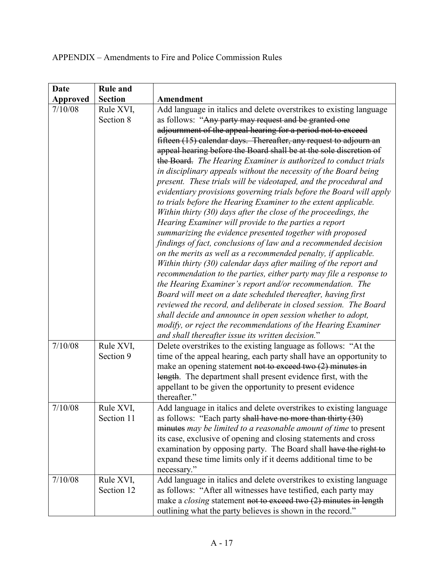| <b>Date</b> | <b>Rule and</b>         |                                                                                                                                                                                                                                                                                                                                                                                                                                                                                                                                                                                                                                                                                                                                                                                                                                                                                                                                                                                                                                                                                                                                                                                                                                                                                                                                                                                                                                                                                                                                                           |
|-------------|-------------------------|-----------------------------------------------------------------------------------------------------------------------------------------------------------------------------------------------------------------------------------------------------------------------------------------------------------------------------------------------------------------------------------------------------------------------------------------------------------------------------------------------------------------------------------------------------------------------------------------------------------------------------------------------------------------------------------------------------------------------------------------------------------------------------------------------------------------------------------------------------------------------------------------------------------------------------------------------------------------------------------------------------------------------------------------------------------------------------------------------------------------------------------------------------------------------------------------------------------------------------------------------------------------------------------------------------------------------------------------------------------------------------------------------------------------------------------------------------------------------------------------------------------------------------------------------------------|
| Approved    | <b>Section</b>          | Amendment                                                                                                                                                                                                                                                                                                                                                                                                                                                                                                                                                                                                                                                                                                                                                                                                                                                                                                                                                                                                                                                                                                                                                                                                                                                                                                                                                                                                                                                                                                                                                 |
| 7/10/08     | Rule XVI,<br>Section 8  | Add language in italics and delete overstrikes to existing language<br>as follows: "Any party may request and be granted one<br>adjournment of the appeal hearing for a period not to exceed<br>fifteen (15) calendar days. Thereafter, any request to adjourn an<br>appeal hearing before the Board shall be at the sole discretion of<br>the Board. The Hearing Examiner is authorized to conduct trials<br>in disciplinary appeals without the necessity of the Board being<br>present. These trials will be videotaped, and the procedural and<br>evidentiary provisions governing trials before the Board will apply<br>to trials before the Hearing Examiner to the extent applicable.<br>Within thirty (30) days after the close of the proceedings, the<br>Hearing Examiner will provide to the parties a report<br>summarizing the evidence presented together with proposed<br>findings of fact, conclusions of law and a recommended decision<br>on the merits as well as a recommended penalty, if applicable.<br>Within thirty (30) calendar days after mailing of the report and<br>recommendation to the parties, either party may file a response to<br>the Hearing Examiner's report and/or recommendation. The<br>Board will meet on a date scheduled thereafter, having first<br>reviewed the record, and deliberate in closed session. The Board<br>shall decide and announce in open session whether to adopt,<br>modify, or reject the recommendations of the Hearing Examiner<br>and shall thereafter issue its written decision." |
| 7/10/08     | Rule XVI,<br>Section 9  | Delete overstrikes to the existing language as follows: "At the<br>time of the appeal hearing, each party shall have an opportunity to<br>make an opening statement not to exceed two $(2)$ minutes in<br>length. The department shall present evidence first, with the<br>appellant to be given the opportunity to present evidence<br>thereafter."                                                                                                                                                                                                                                                                                                                                                                                                                                                                                                                                                                                                                                                                                                                                                                                                                                                                                                                                                                                                                                                                                                                                                                                                      |
| 7/10/08     | Rule XVI,<br>Section 11 | Add language in italics and delete overstrikes to existing language<br>as follows: "Each party shall have no more than thirty (30)<br>minutes may be limited to a reasonable amount of time to present<br>its case, exclusive of opening and closing statements and cross<br>examination by opposing party. The Board shall have the right to<br>expand these time limits only if it deems additional time to be<br>necessary."                                                                                                                                                                                                                                                                                                                                                                                                                                                                                                                                                                                                                                                                                                                                                                                                                                                                                                                                                                                                                                                                                                                           |
| 7/10/08     | Rule XVI,<br>Section 12 | Add language in italics and delete overstrikes to existing language<br>as follows: "After all witnesses have testified, each party may<br>make a <i>closing</i> statement not to exceed two $(2)$ minutes in length<br>outlining what the party believes is shown in the record."                                                                                                                                                                                                                                                                                                                                                                                                                                                                                                                                                                                                                                                                                                                                                                                                                                                                                                                                                                                                                                                                                                                                                                                                                                                                         |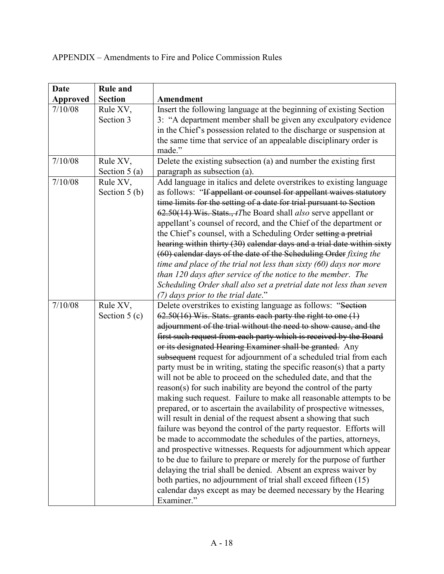| <b>Date</b>     | <b>Rule and</b>            |                                                                                                                                                                                                                                                                                                                                                                                                                                                                                                                                                                                                                                                                                                                                                                                                                                                                                                                                                                                                                                                                                                                                                                                                                                                                                                                                                     |
|-----------------|----------------------------|-----------------------------------------------------------------------------------------------------------------------------------------------------------------------------------------------------------------------------------------------------------------------------------------------------------------------------------------------------------------------------------------------------------------------------------------------------------------------------------------------------------------------------------------------------------------------------------------------------------------------------------------------------------------------------------------------------------------------------------------------------------------------------------------------------------------------------------------------------------------------------------------------------------------------------------------------------------------------------------------------------------------------------------------------------------------------------------------------------------------------------------------------------------------------------------------------------------------------------------------------------------------------------------------------------------------------------------------------------|
| <b>Approved</b> | <b>Section</b>             | Amendment                                                                                                                                                                                                                                                                                                                                                                                                                                                                                                                                                                                                                                                                                                                                                                                                                                                                                                                                                                                                                                                                                                                                                                                                                                                                                                                                           |
| 7/10/08         | Rule XV,<br>Section 3      | Insert the following language at the beginning of existing Section<br>3: "A department member shall be given any exculpatory evidence<br>in the Chief's possession related to the discharge or suspension at<br>the same time that service of an appealable disciplinary order is<br>made."                                                                                                                                                                                                                                                                                                                                                                                                                                                                                                                                                                                                                                                                                                                                                                                                                                                                                                                                                                                                                                                         |
| 7/10/08         | Rule XV,<br>Section $5(a)$ | Delete the existing subsection (a) and number the existing first<br>paragraph as subsection (a).                                                                                                                                                                                                                                                                                                                                                                                                                                                                                                                                                                                                                                                                                                                                                                                                                                                                                                                                                                                                                                                                                                                                                                                                                                                    |
| 7/10/08         | Rule XV,<br>Section $5(b)$ | Add language in italics and delete overstrikes to existing language<br>as follows: "If appellant or counsel for appellant waives statutory<br>time limits for the setting of a date for trial pursuant to Section<br>62.50(14) Wis. Stats., <i>tThe Board shall also serve appellant or</i><br>appellant's counsel of record, and the Chief of the department or<br>the Chief's counsel, with a Scheduling Order setting a pretrial<br>hearing within thirty (30) calendar days and a trial date within sixty<br>(60) calendar days of the date of the Scheduling Order fixing the<br>time and place of the trial not less than sixty $(60)$ days nor more<br>than 120 days after service of the notice to the member. The<br>Scheduling Order shall also set a pretrial date not less than seven<br>(7) days prior to the trial date."                                                                                                                                                                                                                                                                                                                                                                                                                                                                                                             |
| 7/10/08         | Rule XV,<br>Section $5(c)$ | Delete overstrikes to existing language as follows: "Section<br>62.50(16) Wis. Stats. grants each party the right to one (1)<br>adjournment of the trial without the need to show cause, and the<br>first such request from each party which is received by the Board<br>or its designated Hearing Examiner shall be granted. Any<br>subsequent request for adjournment of a scheduled trial from each<br>party must be in writing, stating the specific reason(s) that a party<br>will not be able to proceed on the scheduled date, and that the<br>reason(s) for such inability are beyond the control of the party<br>making such request. Failure to make all reasonable attempts to be<br>prepared, or to ascertain the availability of prospective witnesses,<br>will result in denial of the request absent a showing that such<br>failure was beyond the control of the party requestor. Efforts will<br>be made to accommodate the schedules of the parties, attorneys,<br>and prospective witnesses. Requests for adjournment which appear<br>to be due to failure to prepare or merely for the purpose of further<br>delaying the trial shall be denied. Absent an express waiver by<br>both parties, no adjournment of trial shall exceed fifteen (15)<br>calendar days except as may be deemed necessary by the Hearing<br>Examiner." |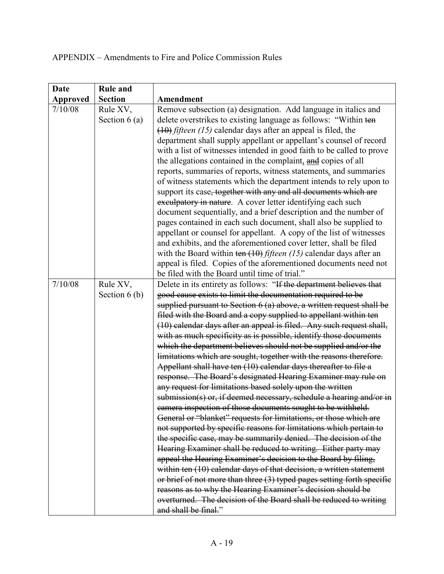| <b>Date</b>     | <b>Rule and</b> |                                                                        |
|-----------------|-----------------|------------------------------------------------------------------------|
| <b>Approved</b> | <b>Section</b>  | Amendment                                                              |
| 7/10/08         | Rule XV,        | Remove subsection (a) designation. Add language in italics and         |
|                 | Section $6(a)$  | delete overstrikes to existing language as follows: "Within ten        |
|                 |                 | $(10)$ fifteen (15) calendar days after an appeal is filed, the        |
|                 |                 | department shall supply appellant or appellant's counsel of record     |
|                 |                 | with a list of witnesses intended in good faith to be called to prove  |
|                 |                 | the allegations contained in the complaint, and copies of all          |
|                 |                 | reports, summaries of reports, witness statements, and summaries       |
|                 |                 | of witness statements which the department intends to rely upon to     |
|                 |                 | support its case, together with any and all documents which are        |
|                 |                 | exculpatory in nature. A cover letter identifying each such            |
|                 |                 | document sequentially, and a brief description and the number of       |
|                 |                 | pages contained in each such document, shall also be supplied to       |
|                 |                 | appellant or counsel for appellant. A copy of the list of witnesses    |
|                 |                 | and exhibits, and the aforementioned cover letter, shall be filed      |
|                 |                 | with the Board within ten $(10)$ fifteen (15) calendar days after an   |
|                 |                 | appeal is filed. Copies of the aforementioned documents need not       |
|                 |                 | be filed with the Board until time of trial."                          |
| 7/10/08         | Rule XV,        | Delete in its entirety as follows: "If the department believes that    |
|                 | Section $6(b)$  | good cause exists to limit the documentation required to be            |
|                 |                 | supplied pursuant to Section 6 (a) above, a written request shall be   |
|                 |                 | filed with the Board and a copy supplied to appellant within ten       |
|                 |                 | (10) calendar days after an appeal is filed. Any such request shall,   |
|                 |                 | with as much specificity as is possible, identify those documents      |
|                 |                 | which the department believes should not be supplied and/or the        |
|                 |                 | limitations which are sought, together with the reasons therefore.     |
|                 |                 | Appellant shall have ten (10) calendar days thereafter to file a       |
|                 |                 | response. The Board's designated Hearing Examiner may rule on          |
|                 |                 | any request for limitations based solely upon the written              |
|                 |                 | submission(s) or, if deemed necessary, schedule a hearing and/or in    |
|                 |                 | camera inspection of those documents sought to be withheld.            |
|                 |                 | General or "blanket" requests for limitations, or those which are      |
|                 |                 | not supported by specific reasons for limitations which pertain to     |
|                 |                 | the specific case, may be summarily denied. The decision of the        |
|                 |                 | Hearing Examiner shall be reduced to writing. Either party may         |
|                 |                 | appeal the Hearing Examiner's decision to the Board by filing,         |
|                 |                 | within ten (10) calendar days of that decision, a written statement    |
|                 |                 | or brief of not more than three (3) typed pages setting forth specific |
|                 |                 | reasons as to why the Hearing Examiner's decision should be            |
|                 |                 | overturned. The decision of the Board shall be reduced to writing      |
|                 |                 | and shall be final."                                                   |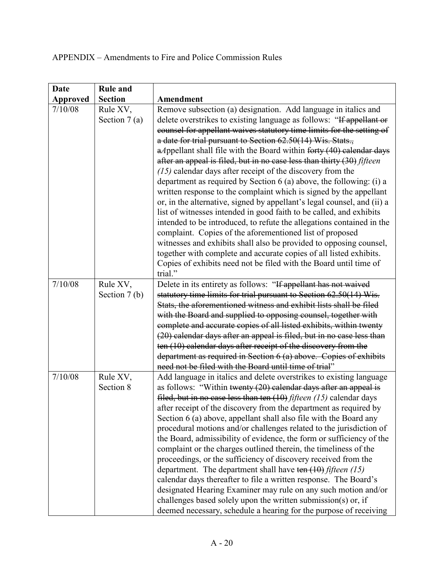| <b>Date</b>     | <b>Rule and</b>            |                                                                                                                                                                                                                                                                                                                                                                                                                                                                                                                                                                                                                                                                                                                                                                                                                                                                                                                                                                                                                                                                                       |
|-----------------|----------------------------|---------------------------------------------------------------------------------------------------------------------------------------------------------------------------------------------------------------------------------------------------------------------------------------------------------------------------------------------------------------------------------------------------------------------------------------------------------------------------------------------------------------------------------------------------------------------------------------------------------------------------------------------------------------------------------------------------------------------------------------------------------------------------------------------------------------------------------------------------------------------------------------------------------------------------------------------------------------------------------------------------------------------------------------------------------------------------------------|
| <b>Approved</b> | <b>Section</b>             | Amendment                                                                                                                                                                                                                                                                                                                                                                                                                                                                                                                                                                                                                                                                                                                                                                                                                                                                                                                                                                                                                                                                             |
| 7/10/08         | Rule XV,<br>Section $7(a)$ | Remove subsection (a) designation. Add language in italics and<br>delete overstrikes to existing language as follows: "If appellant or<br>counsel for appellant waives statutory time limits for the setting of<br>a date for trial pursuant to Section 62.50(14) Wis. Stats.,<br>$a$ Appellant shall file with the Board within forty $(40)$ calendar days<br>after an appeal is filed, but in no case less than thirty (30) fifteen<br>$(15)$ calendar days after receipt of the discovery from the<br>department as required by Section 6 (a) above, the following: (i) a<br>written response to the complaint which is signed by the appellant<br>or, in the alternative, signed by appellant's legal counsel, and (ii) a<br>list of witnesses intended in good faith to be called, and exhibits<br>intended to be introduced, to refute the allegations contained in the<br>complaint. Copies of the aforementioned list of proposed<br>witnesses and exhibits shall also be provided to opposing counsel,<br>together with complete and accurate copies of all listed exhibits. |
|                 |                            | Copies of exhibits need not be filed with the Board until time of<br>trial."                                                                                                                                                                                                                                                                                                                                                                                                                                                                                                                                                                                                                                                                                                                                                                                                                                                                                                                                                                                                          |
| 7/10/08         | Rule XV,<br>Section $7(b)$ | Delete in its entirety as follows: "If appellant has not waived<br>statutory time limits for trial pursuant to Section 62.50(14) Wis.<br>Stats, the aforementioned witness and exhibit lists shall be filed<br>with the Board and supplied to opposing counsel, together with<br>complete and accurate copies of all listed exhibits, within twenty<br>(20) calendar days after an appeal is filed, but in no case less than<br>ten (10) calendar days after receipt of the discovery from the<br>department as required in Section 6 (a) above. Copies of exhibits<br>need not be filed with the Board until time of trial"                                                                                                                                                                                                                                                                                                                                                                                                                                                          |
| 7/10/08         | Rule XV,<br>Section 8      | Add language in italics and delete overstrikes to existing language<br>as follows: "Within twenty (20) calendar days after an appeal is<br>filed, but in no case less than ten $(10)$ <i>fifteen</i> $(15)$ calendar days<br>after receipt of the discovery from the department as required by<br>Section 6 (a) above, appellant shall also file with the Board any<br>procedural motions and/or challenges related to the jurisdiction of<br>the Board, admissibility of evidence, the form or sufficiency of the<br>complaint or the charges outlined therein, the timeliness of the<br>proceedings, or the sufficiency of discovery received from the<br>department. The department shall have ten $(10)$ fifteen (15)<br>calendar days thereafter to file a written response. The Board's<br>designated Hearing Examiner may rule on any such motion and/or<br>challenges based solely upon the written submission(s) or, if<br>deemed necessary, schedule a hearing for the purpose of receiving                                                                                 |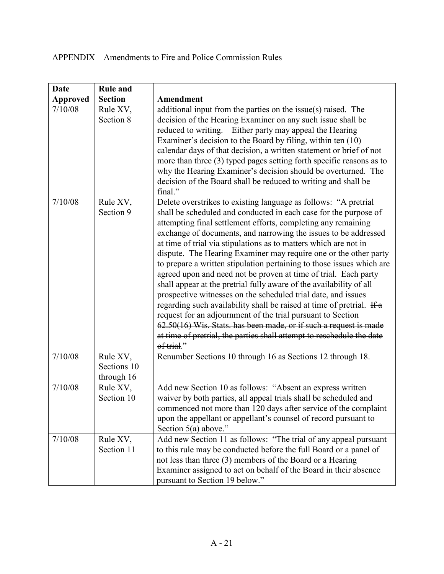| Date            | <b>Rule and</b>                       |                                                                                                                                                                                                                                                                                                                                                                                                                                                                                                                                                                                                                                                                                                                                                                                                                                                                                                                                                                                                         |
|-----------------|---------------------------------------|---------------------------------------------------------------------------------------------------------------------------------------------------------------------------------------------------------------------------------------------------------------------------------------------------------------------------------------------------------------------------------------------------------------------------------------------------------------------------------------------------------------------------------------------------------------------------------------------------------------------------------------------------------------------------------------------------------------------------------------------------------------------------------------------------------------------------------------------------------------------------------------------------------------------------------------------------------------------------------------------------------|
| <b>Approved</b> | <b>Section</b>                        | Amendment                                                                                                                                                                                                                                                                                                                                                                                                                                                                                                                                                                                                                                                                                                                                                                                                                                                                                                                                                                                               |
| 7/10/08         | Rule XV,<br>Section 8                 | additional input from the parties on the issue(s) raised. The<br>decision of the Hearing Examiner on any such issue shall be<br>reduced to writing. Either party may appeal the Hearing<br>Examiner's decision to the Board by filing, within ten (10)<br>calendar days of that decision, a written statement or brief of not<br>more than three $(3)$ typed pages setting forth specific reasons as to<br>why the Hearing Examiner's decision should be overturned. The<br>decision of the Board shall be reduced to writing and shall be<br>final."                                                                                                                                                                                                                                                                                                                                                                                                                                                   |
| 7/10/08         | Rule XV,<br>Section 9                 | Delete overstrikes to existing language as follows: "A pretrial<br>shall be scheduled and conducted in each case for the purpose of<br>attempting final settlement efforts, completing any remaining<br>exchange of documents, and narrowing the issues to be addressed<br>at time of trial via stipulations as to matters which are not in<br>dispute. The Hearing Examiner may require one or the other party<br>to prepare a written stipulation pertaining to those issues which are<br>agreed upon and need not be proven at time of trial. Each party<br>shall appear at the pretrial fully aware of the availability of all<br>prospective witnesses on the scheduled trial date, and issues<br>regarding such availability shall be raised at time of pretrial. If a<br>request for an adjournment of the trial pursuant to Section<br>62.50(16) Wis. Stats. has been made, or if such a request is made<br>at time of pretrial, the parties shall attempt to reschedule the date<br>of trial." |
| 7/10/08         | Rule XV,<br>Sections 10<br>through 16 | Renumber Sections 10 through 16 as Sections 12 through 18.                                                                                                                                                                                                                                                                                                                                                                                                                                                                                                                                                                                                                                                                                                                                                                                                                                                                                                                                              |
| 7/10/08         | Rule XV,<br>Section 10                | Add new Section 10 as follows: "Absent an express written<br>waiver by both parties, all appeal trials shall be scheduled and<br>commenced not more than 120 days after service of the complaint<br>upon the appellant or appellant's counsel of record pursuant to<br>Section $5(a)$ above."                                                                                                                                                                                                                                                                                                                                                                                                                                                                                                                                                                                                                                                                                                           |
| 7/10/08         | Rule XV,<br>Section 11                | Add new Section 11 as follows: "The trial of any appeal pursuant<br>to this rule may be conducted before the full Board or a panel of<br>not less than three (3) members of the Board or a Hearing<br>Examiner assigned to act on behalf of the Board in their absence<br>pursuant to Section 19 below."                                                                                                                                                                                                                                                                                                                                                                                                                                                                                                                                                                                                                                                                                                |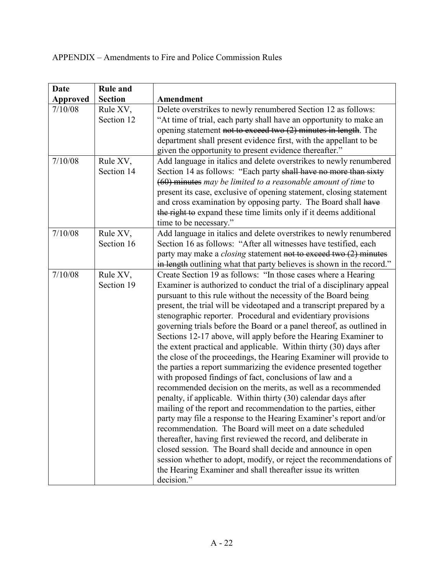| <b>Rule and</b><br>Date           |                                                                                                                                      |
|-----------------------------------|--------------------------------------------------------------------------------------------------------------------------------------|
| <b>Section</b><br><b>Approved</b> | Amendment                                                                                                                            |
| 7/10/08<br>Rule XV,               | Delete overstrikes to newly renumbered Section 12 as follows:                                                                        |
| Section 12                        | "At time of trial, each party shall have an opportunity to make an                                                                   |
|                                   | opening statement not to exceed two $(2)$ minutes in length. The                                                                     |
|                                   | department shall present evidence first, with the appellant to be                                                                    |
|                                   | given the opportunity to present evidence thereafter."                                                                               |
| 7/10/08<br>Rule XV,               | Add language in italics and delete overstrikes to newly renumbered                                                                   |
| Section 14                        | Section 14 as follows: "Each party shall have no more than sixty                                                                     |
|                                   | $(60)$ minutes may be limited to a reasonable amount of time to                                                                      |
|                                   | present its case, exclusive of opening statement, closing statement                                                                  |
|                                   | and cross examination by opposing party. The Board shall have                                                                        |
|                                   | the right to expand these time limits only if it deems additional                                                                    |
|                                   | time to be necessary."                                                                                                               |
| 7/10/08<br>Rule XV,               | Add language in italics and delete overstrikes to newly renumbered                                                                   |
| Section 16                        | Section 16 as follows: "After all witnesses have testified, each                                                                     |
|                                   | party may make a <i>closing</i> statement not to exceed two (2) minutes                                                              |
|                                   | in length outlining what that party believes is shown in the record."                                                                |
| 7/10/08<br>Rule XV,               | Create Section 19 as follows: "In those cases where a Hearing                                                                        |
| Section 19                        | Examiner is authorized to conduct the trial of a disciplinary appeal                                                                 |
|                                   | pursuant to this rule without the necessity of the Board being                                                                       |
|                                   | present, the trial will be videotaped and a transcript prepared by a                                                                 |
|                                   | stenographic reporter. Procedural and evidentiary provisions                                                                         |
|                                   | governing trials before the Board or a panel thereof, as outlined in                                                                 |
|                                   | Sections 12-17 above, will apply before the Hearing Examiner to                                                                      |
|                                   | the extent practical and applicable. Within thirty (30) days after                                                                   |
|                                   | the close of the proceedings, the Hearing Examiner will provide to                                                                   |
|                                   | the parties a report summarizing the evidence presented together                                                                     |
|                                   | with proposed findings of fact, conclusions of law and a                                                                             |
|                                   | recommended decision on the merits, as well as a recommended                                                                         |
|                                   | penalty, if applicable. Within thirty (30) calendar days after                                                                       |
|                                   | mailing of the report and recommendation to the parties, either<br>party may file a response to the Hearing Examiner's report and/or |
|                                   | recommendation. The Board will meet on a date scheduled                                                                              |
|                                   | thereafter, having first reviewed the record, and deliberate in                                                                      |
|                                   | closed session. The Board shall decide and announce in open                                                                          |
|                                   | session whether to adopt, modify, or reject the recommendations of                                                                   |
|                                   | the Hearing Examiner and shall thereafter issue its written                                                                          |
| decision."                        |                                                                                                                                      |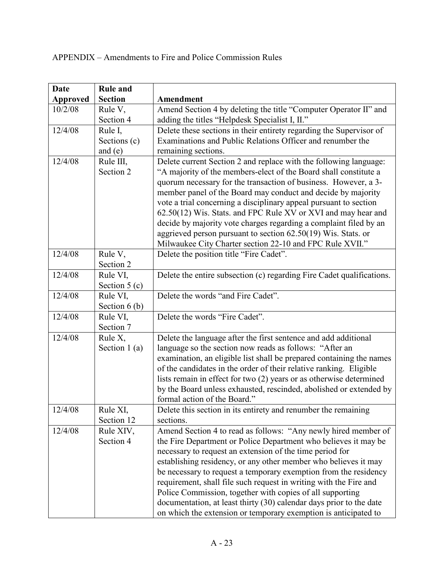| <b>Date</b>     | <b>Rule and</b> |                                                                       |
|-----------------|-----------------|-----------------------------------------------------------------------|
| <b>Approved</b> | <b>Section</b>  | Amendment                                                             |
| 10/2/08         | Rule V,         | Amend Section 4 by deleting the title "Computer Operator II" and      |
|                 | Section 4       | adding the titles "Helpdesk Specialist I, II."                        |
| 12/4/08         | Rule I,         | Delete these sections in their entirety regarding the Supervisor of   |
|                 | Sections (c)    | Examinations and Public Relations Officer and renumber the            |
|                 | and $(e)$       | remaining sections.                                                   |
| 12/4/08         | Rule III,       | Delete current Section 2 and replace with the following language:     |
|                 | Section 2       | "A majority of the members-elect of the Board shall constitute a      |
|                 |                 | quorum necessary for the transaction of business. However, a 3-       |
|                 |                 | member panel of the Board may conduct and decide by majority          |
|                 |                 | vote a trial concerning a disciplinary appeal pursuant to section     |
|                 |                 | 62.50(12) Wis. Stats. and FPC Rule XV or XVI and may hear and         |
|                 |                 | decide by majority vote charges regarding a complaint filed by an     |
|                 |                 | aggrieved person pursuant to section 62.50(19) Wis. Stats. or         |
|                 |                 | Milwaukee City Charter section 22-10 and FPC Rule XVII."              |
| 12/4/08         | Rule V,         | Delete the position title "Fire Cadet".                               |
|                 | Section 2       |                                                                       |
| 12/4/08         | Rule VI,        | Delete the entire subsection (c) regarding Fire Cadet qualifications. |
|                 | Section $5(c)$  |                                                                       |
| 12/4/08         | Rule VI,        | Delete the words "and Fire Cadet".                                    |
|                 | Section $6(b)$  |                                                                       |
| 12/4/08         | Rule VI,        | Delete the words "Fire Cadet".                                        |
|                 | Section 7       |                                                                       |
| 12/4/08         | Rule X,         | Delete the language after the first sentence and add additional       |
|                 | Section $1(a)$  | language so the section now reads as follows: "After an               |
|                 |                 | examination, an eligible list shall be prepared containing the names  |
|                 |                 | of the candidates in the order of their relative ranking. Eligible    |
|                 |                 | lists remain in effect for two (2) years or as otherwise determined   |
|                 |                 | by the Board unless exhausted, rescinded, abolished or extended by    |
|                 |                 | formal action of the Board."                                          |
| 12/4/08         | Rule XI,        | Delete this section in its entirety and renumber the remaining        |
|                 | Section 12      | sections.                                                             |
| 12/4/08         | Rule XIV,       | Amend Section 4 to read as follows: "Any newly hired member of        |
|                 | Section 4       | the Fire Department or Police Department who believes it may be       |
|                 |                 | necessary to request an extension of the time period for              |
|                 |                 | establishing residency, or any other member who believes it may       |
|                 |                 | be necessary to request a temporary exemption from the residency      |
|                 |                 | requirement, shall file such request in writing with the Fire and     |
|                 |                 | Police Commission, together with copies of all supporting             |
|                 |                 | documentation, at least thirty (30) calendar days prior to the date   |
|                 |                 | on which the extension or temporary exemption is anticipated to       |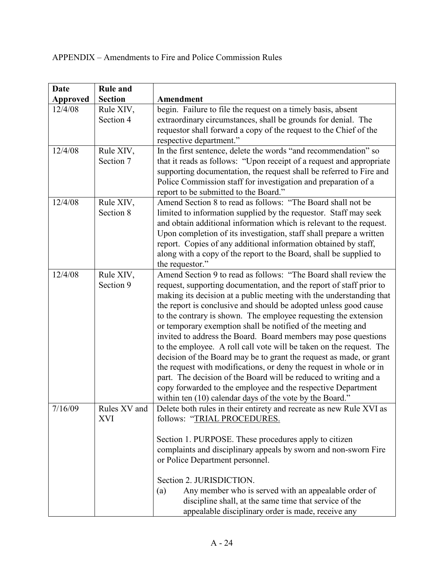| <b>Date</b>     | <b>Rule and</b>            |                                                                                                                                                                                                                                                                                                                                                                                                                                                                                                                                                                                                                                                                                                                                                                                                                                                                                                           |  |  |
|-----------------|----------------------------|-----------------------------------------------------------------------------------------------------------------------------------------------------------------------------------------------------------------------------------------------------------------------------------------------------------------------------------------------------------------------------------------------------------------------------------------------------------------------------------------------------------------------------------------------------------------------------------------------------------------------------------------------------------------------------------------------------------------------------------------------------------------------------------------------------------------------------------------------------------------------------------------------------------|--|--|
| <b>Approved</b> | <b>Section</b>             | Amendment                                                                                                                                                                                                                                                                                                                                                                                                                                                                                                                                                                                                                                                                                                                                                                                                                                                                                                 |  |  |
| 12/4/08         | Rule XIV,<br>Section 4     | begin. Failure to file the request on a timely basis, absent<br>extraordinary circumstances, shall be grounds for denial. The<br>requestor shall forward a copy of the request to the Chief of the<br>respective department."                                                                                                                                                                                                                                                                                                                                                                                                                                                                                                                                                                                                                                                                             |  |  |
| 12/4/08         | Rule XIV,<br>Section 7     | In the first sentence, delete the words "and recommendation" so<br>that it reads as follows: "Upon receipt of a request and appropriate<br>supporting documentation, the request shall be referred to Fire and<br>Police Commission staff for investigation and preparation of a<br>report to be submitted to the Board."                                                                                                                                                                                                                                                                                                                                                                                                                                                                                                                                                                                 |  |  |
| 12/4/08         | Rule XIV,<br>Section 8     | Amend Section 8 to read as follows: "The Board shall not be<br>limited to information supplied by the requestor. Staff may seek<br>and obtain additional information which is relevant to the request.<br>Upon completion of its investigation, staff shall prepare a written<br>report. Copies of any additional information obtained by staff,<br>along with a copy of the report to the Board, shall be supplied to<br>the requestor."                                                                                                                                                                                                                                                                                                                                                                                                                                                                 |  |  |
| 12/4/08         | Rule XIV,<br>Section 9     | Amend Section 9 to read as follows: "The Board shall review the<br>request, supporting documentation, and the report of staff prior to<br>making its decision at a public meeting with the understanding that<br>the report is conclusive and should be adopted unless good cause<br>to the contrary is shown. The employee requesting the extension<br>or temporary exemption shall be notified of the meeting and<br>invited to address the Board. Board members may pose questions<br>to the employee. A roll call vote will be taken on the request. The<br>decision of the Board may be to grant the request as made, or grant<br>the request with modifications, or deny the request in whole or in<br>part. The decision of the Board will be reduced to writing and a<br>copy forwarded to the employee and the respective Department<br>within ten (10) calendar days of the vote by the Board." |  |  |
| 7/16/09         | Rules XV and<br><b>XVI</b> | Delete both rules in their entirety and recreate as new Rule XVI as<br>follows: "TRIAL PROCEDURES.<br>Section 1. PURPOSE. These procedures apply to citizen<br>complaints and disciplinary appeals by sworn and non-sworn Fire<br>or Police Department personnel.<br>Section 2. JURISDICTION.<br>Any member who is served with an appealable order of<br>(a)<br>discipline shall, at the same time that service of the<br>appealable disciplinary order is made, receive any                                                                                                                                                                                                                                                                                                                                                                                                                              |  |  |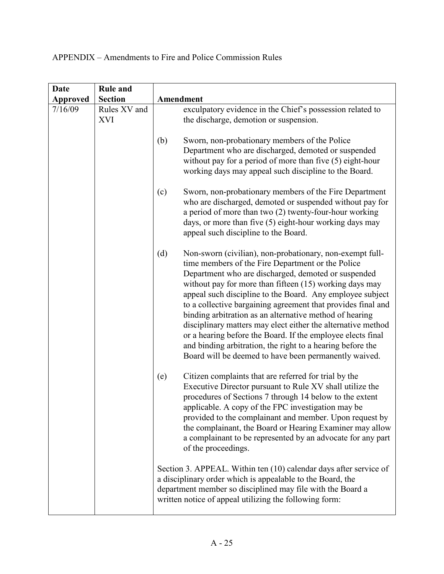| <b>Date</b>     | <b>Rule and</b>            |                                                                                                                                                                                                                                                                                                                                                                                                                                                                                                                                                                                                                                                                                        |  |
|-----------------|----------------------------|----------------------------------------------------------------------------------------------------------------------------------------------------------------------------------------------------------------------------------------------------------------------------------------------------------------------------------------------------------------------------------------------------------------------------------------------------------------------------------------------------------------------------------------------------------------------------------------------------------------------------------------------------------------------------------------|--|
| <b>Approved</b> | <b>Section</b>             | Amendment                                                                                                                                                                                                                                                                                                                                                                                                                                                                                                                                                                                                                                                                              |  |
| 7/16/09         | Rules XV and<br><b>XVI</b> | exculpatory evidence in the Chief's possession related to<br>the discharge, demotion or suspension.<br>Sworn, non-probationary members of the Police<br>(b)<br>Department who are discharged, demoted or suspended<br>without pay for a period of more than five $(5)$ eight-hour<br>working days may appeal such discipline to the Board.                                                                                                                                                                                                                                                                                                                                             |  |
|                 |                            | Sworn, non-probationary members of the Fire Department<br>(c)<br>who are discharged, demoted or suspended without pay for<br>a period of more than two (2) twenty-four-hour working<br>days, or more than five (5) eight-hour working days may<br>appeal such discipline to the Board.                                                                                                                                                                                                                                                                                                                                                                                                 |  |
|                 |                            | (d)<br>Non-sworn (civilian), non-probationary, non-exempt full-<br>time members of the Fire Department or the Police<br>Department who are discharged, demoted or suspended<br>without pay for more than fifteen $(15)$ working days may<br>appeal such discipline to the Board. Any employee subject<br>to a collective bargaining agreement that provides final and<br>binding arbitration as an alternative method of hearing<br>disciplinary matters may elect either the alternative method<br>or a hearing before the Board. If the employee elects final<br>and binding arbitration, the right to a hearing before the<br>Board will be deemed to have been permanently waived. |  |
|                 |                            | Citizen complaints that are referred for trial by the<br>(e)<br>Executive Director pursuant to Rule XV shall utilize the<br>procedures of Sections 7 through 14 below to the extent<br>applicable. A copy of the FPC investigation may be<br>provided to the complainant and member. Upon request by<br>the complainant, the Board or Hearing Examiner may allow<br>a complainant to be represented by an advocate for any part<br>of the proceedings.                                                                                                                                                                                                                                 |  |
|                 |                            | Section 3. APPEAL. Within ten (10) calendar days after service of<br>a disciplinary order which is appealable to the Board, the<br>department member so disciplined may file with the Board a<br>written notice of appeal utilizing the following form:                                                                                                                                                                                                                                                                                                                                                                                                                                |  |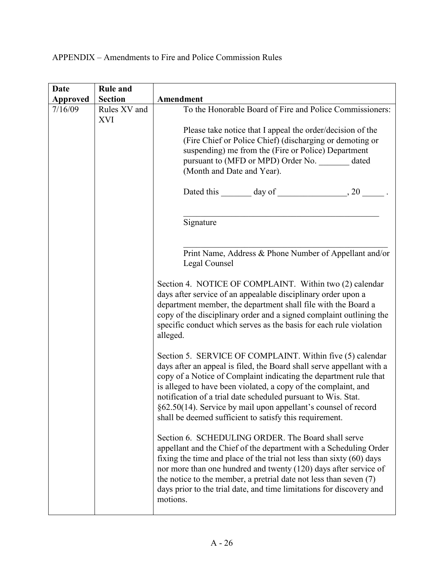| <b>Date</b>     | <b>Rule and</b>            |                                                                                                                                                                                                                                                                                                                                                                                                                                                                         |  |  |  |  |
|-----------------|----------------------------|-------------------------------------------------------------------------------------------------------------------------------------------------------------------------------------------------------------------------------------------------------------------------------------------------------------------------------------------------------------------------------------------------------------------------------------------------------------------------|--|--|--|--|
| <b>Approved</b> | <b>Section</b>             | Amendment                                                                                                                                                                                                                                                                                                                                                                                                                                                               |  |  |  |  |
| 7/16/09         | Rules XV and<br><b>XVI</b> | To the Honorable Board of Fire and Police Commissioners:                                                                                                                                                                                                                                                                                                                                                                                                                |  |  |  |  |
|                 |                            | Please take notice that I appeal the order/decision of the                                                                                                                                                                                                                                                                                                                                                                                                              |  |  |  |  |
|                 |                            | (Fire Chief or Police Chief) (discharging or demoting or                                                                                                                                                                                                                                                                                                                                                                                                                |  |  |  |  |
|                 |                            | suspending) me from the (Fire or Police) Department                                                                                                                                                                                                                                                                                                                                                                                                                     |  |  |  |  |
|                 |                            | pursuant to (MFD or MPD) Order No. _______ dated                                                                                                                                                                                                                                                                                                                                                                                                                        |  |  |  |  |
|                 |                            | (Month and Date and Year).                                                                                                                                                                                                                                                                                                                                                                                                                                              |  |  |  |  |
|                 |                            |                                                                                                                                                                                                                                                                                                                                                                                                                                                                         |  |  |  |  |
|                 |                            | Signature                                                                                                                                                                                                                                                                                                                                                                                                                                                               |  |  |  |  |
|                 |                            | Print Name, Address & Phone Number of Appellant and/or<br>Legal Counsel                                                                                                                                                                                                                                                                                                                                                                                                 |  |  |  |  |
|                 |                            | Section 4. NOTICE OF COMPLAINT. Within two (2) calendar<br>days after service of an appealable disciplinary order upon a<br>department member, the department shall file with the Board a<br>copy of the disciplinary order and a signed complaint outlining the<br>specific conduct which serves as the basis for each rule violation<br>alleged.                                                                                                                      |  |  |  |  |
|                 |                            | Section 5. SERVICE OF COMPLAINT. Within five (5) calendar<br>days after an appeal is filed, the Board shall serve appellant with a<br>copy of a Notice of Complaint indicating the department rule that<br>is alleged to have been violated, a copy of the complaint, and<br>notification of a trial date scheduled pursuant to Wis. Stat.<br>§62.50(14). Service by mail upon appellant's counsel of record<br>shall be deemed sufficient to satisfy this requirement. |  |  |  |  |
|                 |                            | Section 6. SCHEDULING ORDER. The Board shall serve<br>appellant and the Chief of the department with a Scheduling Order<br>fixing the time and place of the trial not less than sixty $(60)$ days<br>nor more than one hundred and twenty (120) days after service of<br>the notice to the member, a pretrial date not less than seven $(7)$<br>days prior to the trial date, and time limitations for discovery and<br>motions.                                        |  |  |  |  |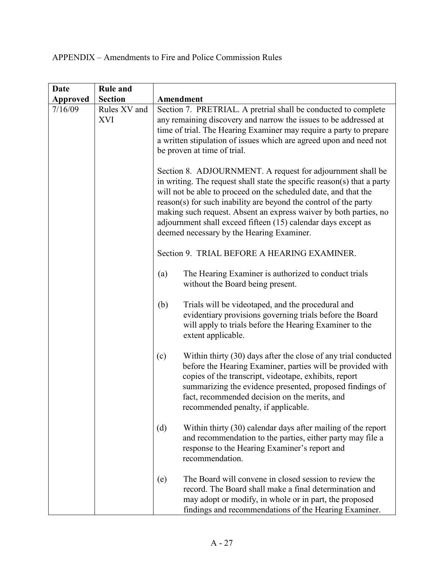| <b>Date</b>     | <b>Rule and</b>            |                                                                                                                                                                                                                                                                                                                                                                                                                                                                 |  |  |
|-----------------|----------------------------|-----------------------------------------------------------------------------------------------------------------------------------------------------------------------------------------------------------------------------------------------------------------------------------------------------------------------------------------------------------------------------------------------------------------------------------------------------------------|--|--|
| <b>Approved</b> | <b>Section</b>             | Amendment                                                                                                                                                                                                                                                                                                                                                                                                                                                       |  |  |
| 7/16/09         | Rules XV and<br><b>XVI</b> | Section 7. PRETRIAL. A pretrial shall be conducted to complete<br>any remaining discovery and narrow the issues to be addressed at<br>time of trial. The Hearing Examiner may require a party to prepare<br>a written stipulation of issues which are agreed upon and need not<br>be proven at time of trial.                                                                                                                                                   |  |  |
|                 |                            | Section 8. ADJOURNMENT. A request for adjournment shall be<br>in writing. The request shall state the specific reason(s) that a party<br>will not be able to proceed on the scheduled date, and that the<br>reason(s) for such inability are beyond the control of the party<br>making such request. Absent an express waiver by both parties, no<br>adjournment shall exceed fifteen (15) calendar days except as<br>deemed necessary by the Hearing Examiner. |  |  |
|                 |                            | Section 9. TRIAL BEFORE A HEARING EXAMINER.                                                                                                                                                                                                                                                                                                                                                                                                                     |  |  |
|                 |                            | The Hearing Examiner is authorized to conduct trials<br>(a)<br>without the Board being present.                                                                                                                                                                                                                                                                                                                                                                 |  |  |
|                 |                            | Trials will be videotaped, and the procedural and<br>(b)<br>evidentiary provisions governing trials before the Board<br>will apply to trials before the Hearing Examiner to the<br>extent applicable.                                                                                                                                                                                                                                                           |  |  |
|                 |                            | Within thirty (30) days after the close of any trial conducted<br>(c)<br>before the Hearing Examiner, parties will be provided with<br>copies of the transcript, videotape, exhibits, report<br>summarizing the evidence presented, proposed findings of<br>fact, recommended decision on the merits, and<br>recommended penalty, if applicable.                                                                                                                |  |  |
|                 |                            | Within thirty (30) calendar days after mailing of the report<br>(d)<br>and recommendation to the parties, either party may file a<br>response to the Hearing Examiner's report and<br>recommendation.                                                                                                                                                                                                                                                           |  |  |
|                 |                            | The Board will convene in closed session to review the<br>(e)<br>record. The Board shall make a final determination and<br>may adopt or modify, in whole or in part, the proposed<br>findings and recommendations of the Hearing Examiner.                                                                                                                                                                                                                      |  |  |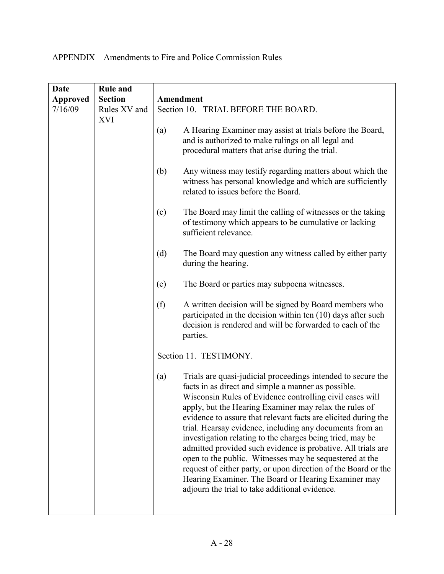| Date            | <b>Rule and</b>            |                                                                                                                                                                                                                                                                                                                                                                                                                                                                                                                                                                                                                                                                                                                                                   |  |  |
|-----------------|----------------------------|---------------------------------------------------------------------------------------------------------------------------------------------------------------------------------------------------------------------------------------------------------------------------------------------------------------------------------------------------------------------------------------------------------------------------------------------------------------------------------------------------------------------------------------------------------------------------------------------------------------------------------------------------------------------------------------------------------------------------------------------------|--|--|
| <b>Approved</b> | <b>Section</b>             | Amendment                                                                                                                                                                                                                                                                                                                                                                                                                                                                                                                                                                                                                                                                                                                                         |  |  |
| 7/16/09         | Rules XV and<br><b>XVI</b> | Section 10. TRIAL BEFORE THE BOARD.                                                                                                                                                                                                                                                                                                                                                                                                                                                                                                                                                                                                                                                                                                               |  |  |
|                 |                            | A Hearing Examiner may assist at trials before the Board,<br>(a)<br>and is authorized to make rulings on all legal and<br>procedural matters that arise during the trial.                                                                                                                                                                                                                                                                                                                                                                                                                                                                                                                                                                         |  |  |
|                 |                            | Any witness may testify regarding matters about which the<br>(b)<br>witness has personal knowledge and which are sufficiently<br>related to issues before the Board.                                                                                                                                                                                                                                                                                                                                                                                                                                                                                                                                                                              |  |  |
|                 |                            | The Board may limit the calling of witnesses or the taking<br>(c)<br>of testimony which appears to be cumulative or lacking<br>sufficient relevance.<br>(d)<br>The Board may question any witness called by either party<br>during the hearing.                                                                                                                                                                                                                                                                                                                                                                                                                                                                                                   |  |  |
|                 |                            |                                                                                                                                                                                                                                                                                                                                                                                                                                                                                                                                                                                                                                                                                                                                                   |  |  |
|                 |                            | The Board or parties may subpoena witnesses.<br>(e)                                                                                                                                                                                                                                                                                                                                                                                                                                                                                                                                                                                                                                                                                               |  |  |
|                 |                            | (f)<br>A written decision will be signed by Board members who<br>participated in the decision within ten (10) days after such<br>decision is rendered and will be forwarded to each of the<br>parties.                                                                                                                                                                                                                                                                                                                                                                                                                                                                                                                                            |  |  |
|                 |                            | Section 11. TESTIMONY.                                                                                                                                                                                                                                                                                                                                                                                                                                                                                                                                                                                                                                                                                                                            |  |  |
|                 |                            | Trials are quasi-judicial proceedings intended to secure the<br>(a)<br>facts in as direct and simple a manner as possible.<br>Wisconsin Rules of Evidence controlling civil cases will<br>apply, but the Hearing Examiner may relax the rules of<br>evidence to assure that relevant facts are elicited during the<br>trial. Hearsay evidence, including any documents from an<br>investigation relating to the charges being tried, may be<br>admitted provided such evidence is probative. All trials are<br>open to the public. Witnesses may be sequestered at the<br>request of either party, or upon direction of the Board or the<br>Hearing Examiner. The Board or Hearing Examiner may<br>adjourn the trial to take additional evidence. |  |  |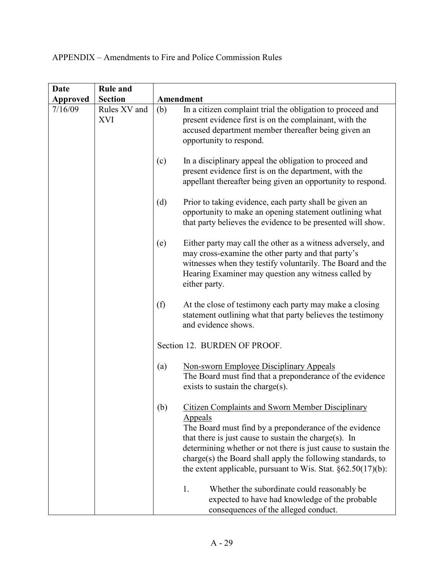| <b>Date</b>     | <b>Rule and</b>            |                                                                                                                                                                                                                                                                                                                                                                                                                                                                                                                     |  |  |
|-----------------|----------------------------|---------------------------------------------------------------------------------------------------------------------------------------------------------------------------------------------------------------------------------------------------------------------------------------------------------------------------------------------------------------------------------------------------------------------------------------------------------------------------------------------------------------------|--|--|
| <b>Approved</b> | <b>Section</b>             | Amendment                                                                                                                                                                                                                                                                                                                                                                                                                                                                                                           |  |  |
| 7/16/09         | Rules XV and<br><b>XVI</b> | In a citizen complaint trial the obligation to proceed and<br>(b)<br>present evidence first is on the complainant, with the<br>accused department member thereafter being given an<br>opportunity to respond.                                                                                                                                                                                                                                                                                                       |  |  |
|                 |                            | (c)<br>In a disciplinary appeal the obligation to proceed and<br>present evidence first is on the department, with the<br>appellant thereafter being given an opportunity to respond.                                                                                                                                                                                                                                                                                                                               |  |  |
|                 |                            | (d)<br>Prior to taking evidence, each party shall be given an<br>opportunity to make an opening statement outlining what<br>that party believes the evidence to be presented will show.                                                                                                                                                                                                                                                                                                                             |  |  |
|                 |                            | (e)<br>Either party may call the other as a witness adversely, and<br>may cross-examine the other party and that party's<br>witnesses when they testify voluntarily. The Board and the<br>Hearing Examiner may question any witness called by<br>either party.                                                                                                                                                                                                                                                      |  |  |
|                 |                            | (f)<br>At the close of testimony each party may make a closing<br>statement outlining what that party believes the testimony<br>and evidence shows.                                                                                                                                                                                                                                                                                                                                                                 |  |  |
|                 |                            | Section 12. BURDEN OF PROOF.                                                                                                                                                                                                                                                                                                                                                                                                                                                                                        |  |  |
|                 |                            | <b>Non-sworn Employee Disciplinary Appeals</b><br>(a)<br>The Board must find that a preponderance of the evidence<br>exists to sustain the charge(s).                                                                                                                                                                                                                                                                                                                                                               |  |  |
|                 |                            | <b>Citizen Complaints and Sworn Member Disciplinary</b><br>(b)<br><b>Appeals</b><br>The Board must find by a preponderance of the evidence<br>that there is just cause to sustain the charge $(s)$ . In<br>determining whether or not there is just cause to sustain the<br>charge(s) the Board shall apply the following standards, to<br>the extent applicable, pursuant to Wis. Stat. $\S 62.50(17)(b)$ :<br>1.<br>Whether the subordinate could reasonably be<br>expected to have had knowledge of the probable |  |  |
|                 |                            | consequences of the alleged conduct.                                                                                                                                                                                                                                                                                                                                                                                                                                                                                |  |  |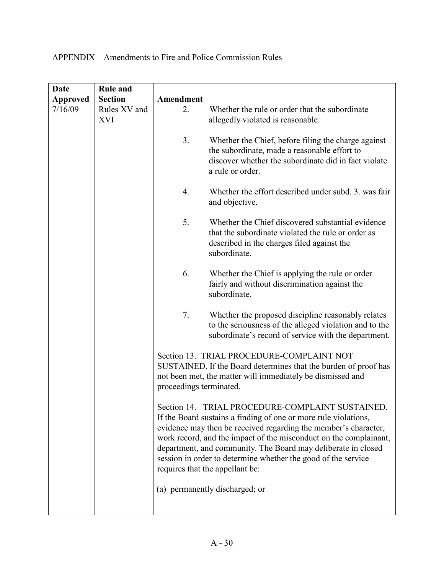| <b>Date</b> | <b>Rule and</b>            |                                                                                                                                                                                                                                                                                                                                                                                                                                                                                                                                                                                                                                           |                                                                                                                                                                                 |
|-------------|----------------------------|-------------------------------------------------------------------------------------------------------------------------------------------------------------------------------------------------------------------------------------------------------------------------------------------------------------------------------------------------------------------------------------------------------------------------------------------------------------------------------------------------------------------------------------------------------------------------------------------------------------------------------------------|---------------------------------------------------------------------------------------------------------------------------------------------------------------------------------|
| Approved    | <b>Section</b>             | Amendment                                                                                                                                                                                                                                                                                                                                                                                                                                                                                                                                                                                                                                 |                                                                                                                                                                                 |
| 7/16/09     | Rules XV and<br><b>XVI</b> | 2.                                                                                                                                                                                                                                                                                                                                                                                                                                                                                                                                                                                                                                        | Whether the rule or order that the subordinate<br>allegedly violated is reasonable.                                                                                             |
|             |                            | 3.                                                                                                                                                                                                                                                                                                                                                                                                                                                                                                                                                                                                                                        | Whether the Chief, before filing the charge against<br>the subordinate, made a reasonable effort to<br>discover whether the subordinate did in fact violate<br>a rule or order. |
|             |                            | 4.                                                                                                                                                                                                                                                                                                                                                                                                                                                                                                                                                                                                                                        | Whether the effort described under subd. 3. was fair<br>and objective.                                                                                                          |
|             |                            | 5.                                                                                                                                                                                                                                                                                                                                                                                                                                                                                                                                                                                                                                        | Whether the Chief discovered substantial evidence<br>that the subordinate violated the rule or order as<br>described in the charges filed against the<br>subordinate.           |
|             |                            | 6.                                                                                                                                                                                                                                                                                                                                                                                                                                                                                                                                                                                                                                        | Whether the Chief is applying the rule or order<br>fairly and without discrimination against the<br>subordinate.                                                                |
|             |                            | 7.                                                                                                                                                                                                                                                                                                                                                                                                                                                                                                                                                                                                                                        | Whether the proposed discipline reasonably relates<br>to the seriousness of the alleged violation and to the<br>subordinate's record of service with the department.            |
|             |                            | Section 13. TRIAL PROCEDURE-COMPLAINT NOT<br>SUSTAINED. If the Board determines that the burden of proof has<br>not been met, the matter will immediately be dismissed and<br>proceedings terminated.<br>Section 14. TRIAL PROCEDURE-COMPLAINT SUSTAINED.<br>If the Board sustains a finding of one or more rule violations,<br>evidence may then be received regarding the member's character,<br>work record, and the impact of the misconduct on the complainant,<br>department, and community. The Board may deliberate in closed<br>session in order to determine whether the good of the service<br>requires that the appellant be: |                                                                                                                                                                                 |
|             |                            |                                                                                                                                                                                                                                                                                                                                                                                                                                                                                                                                                                                                                                           |                                                                                                                                                                                 |
|             |                            |                                                                                                                                                                                                                                                                                                                                                                                                                                                                                                                                                                                                                                           | (a) permanently discharged; or                                                                                                                                                  |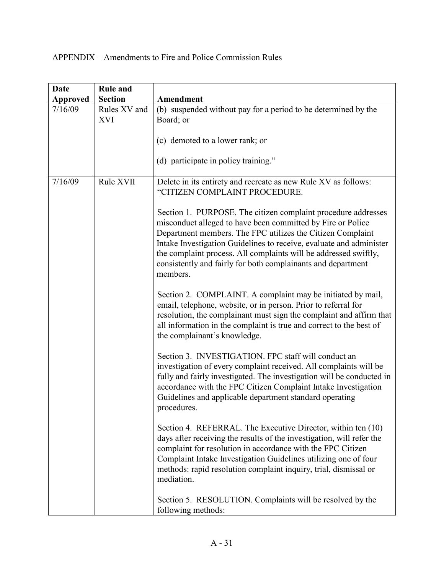| <b>Date</b>     | <b>Rule and</b>            |                                                                                                                                                                                                                                                                                                                                                                                                                                                                                                                                                                                                                                                                                                                                                                                                                                                                                                                                                                                                                                                                                                                                                                                                                                                                                                                                                                                                                                                                                                                                                   |
|-----------------|----------------------------|---------------------------------------------------------------------------------------------------------------------------------------------------------------------------------------------------------------------------------------------------------------------------------------------------------------------------------------------------------------------------------------------------------------------------------------------------------------------------------------------------------------------------------------------------------------------------------------------------------------------------------------------------------------------------------------------------------------------------------------------------------------------------------------------------------------------------------------------------------------------------------------------------------------------------------------------------------------------------------------------------------------------------------------------------------------------------------------------------------------------------------------------------------------------------------------------------------------------------------------------------------------------------------------------------------------------------------------------------------------------------------------------------------------------------------------------------------------------------------------------------------------------------------------------------|
| <b>Approved</b> | <b>Section</b>             | Amendment                                                                                                                                                                                                                                                                                                                                                                                                                                                                                                                                                                                                                                                                                                                                                                                                                                                                                                                                                                                                                                                                                                                                                                                                                                                                                                                                                                                                                                                                                                                                         |
| 7/16/09         | Rules XV and<br><b>XVI</b> | (b) suspended without pay for a period to be determined by the<br>Board; or<br>(c) demoted to a lower rank; or<br>(d) participate in policy training."                                                                                                                                                                                                                                                                                                                                                                                                                                                                                                                                                                                                                                                                                                                                                                                                                                                                                                                                                                                                                                                                                                                                                                                                                                                                                                                                                                                            |
| 7/16/09         | Rule XVII                  | Delete in its entirety and recreate as new Rule XV as follows:<br>"CITIZEN COMPLAINT PROCEDURE.<br>Section 1. PURPOSE. The citizen complaint procedure addresses<br>misconduct alleged to have been committed by Fire or Police<br>Department members. The FPC utilizes the Citizen Complaint<br>Intake Investigation Guidelines to receive, evaluate and administer<br>the complaint process. All complaints will be addressed swiftly,<br>consistently and fairly for both complainants and department<br>members.<br>Section 2. COMPLAINT. A complaint may be initiated by mail,<br>email, telephone, website, or in person. Prior to referral for<br>resolution, the complainant must sign the complaint and affirm that<br>all information in the complaint is true and correct to the best of<br>the complainant's knowledge.<br>Section 3. INVESTIGATION. FPC staff will conduct an<br>investigation of every complaint received. All complaints will be<br>fully and fairly investigated. The investigation will be conducted in<br>accordance with the FPC Citizen Complaint Intake Investigation<br>Guidelines and applicable department standard operating<br>procedures.<br>Section 4. REFERRAL. The Executive Director, within ten (10)<br>days after receiving the results of the investigation, will refer the<br>complaint for resolution in accordance with the FPC Citizen<br>Complaint Intake Investigation Guidelines utilizing one of four<br>methods: rapid resolution complaint inquiry, trial, dismissal or<br>mediation. |
|                 |                            | Section 5. RESOLUTION. Complaints will be resolved by the<br>following methods:                                                                                                                                                                                                                                                                                                                                                                                                                                                                                                                                                                                                                                                                                                                                                                                                                                                                                                                                                                                                                                                                                                                                                                                                                                                                                                                                                                                                                                                                   |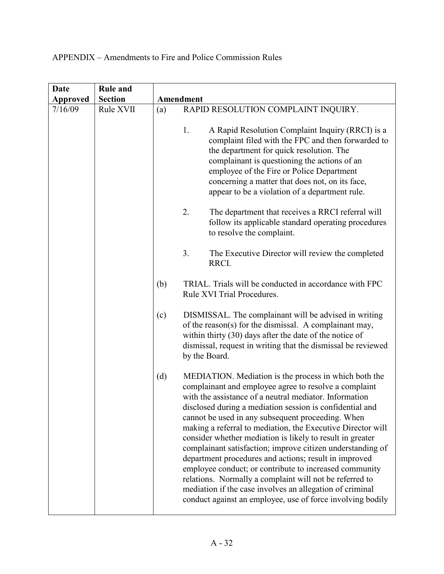| <b>Date</b>     | <b>Rule and</b> |     |                                                                                                                                                                                                                                                                                                                                                                                                                                                                                                                                                                                                                                                                                                                                                                                             |
|-----------------|-----------------|-----|---------------------------------------------------------------------------------------------------------------------------------------------------------------------------------------------------------------------------------------------------------------------------------------------------------------------------------------------------------------------------------------------------------------------------------------------------------------------------------------------------------------------------------------------------------------------------------------------------------------------------------------------------------------------------------------------------------------------------------------------------------------------------------------------|
| <b>Approved</b> | <b>Section</b>  |     | Amendment                                                                                                                                                                                                                                                                                                                                                                                                                                                                                                                                                                                                                                                                                                                                                                                   |
| 7/16/09         | Rule XVII       | (a) | RAPID RESOLUTION COMPLAINT INQUIRY.                                                                                                                                                                                                                                                                                                                                                                                                                                                                                                                                                                                                                                                                                                                                                         |
|                 |                 |     | A Rapid Resolution Complaint Inquiry (RRCI) is a<br>1.<br>complaint filed with the FPC and then forwarded to<br>the department for quick resolution. The<br>complainant is questioning the actions of an<br>employee of the Fire or Police Department<br>concerning a matter that does not, on its face,<br>appear to be a violation of a department rule.                                                                                                                                                                                                                                                                                                                                                                                                                                  |
|                 |                 |     | 2.<br>The department that receives a RRCI referral will<br>follow its applicable standard operating procedures<br>to resolve the complaint.                                                                                                                                                                                                                                                                                                                                                                                                                                                                                                                                                                                                                                                 |
|                 |                 |     | 3.<br>The Executive Director will review the completed<br>RRCI.                                                                                                                                                                                                                                                                                                                                                                                                                                                                                                                                                                                                                                                                                                                             |
|                 |                 | (b) | TRIAL. Trials will be conducted in accordance with FPC<br>Rule XVI Trial Procedures.                                                                                                                                                                                                                                                                                                                                                                                                                                                                                                                                                                                                                                                                                                        |
|                 |                 | (c) | DISMISSAL. The complainant will be advised in writing<br>of the reason(s) for the dismissal. A complainant may,<br>within thirty $(30)$ days after the date of the notice of<br>dismissal, request in writing that the dismissal be reviewed<br>by the Board.                                                                                                                                                                                                                                                                                                                                                                                                                                                                                                                               |
|                 |                 | (d) | MEDIATION. Mediation is the process in which both the<br>complainant and employee agree to resolve a complaint<br>with the assistance of a neutral mediator. Information<br>disclosed during a mediation session is confidential and<br>cannot be used in any subsequent proceeding. When<br>making a referral to mediation, the Executive Director will<br>consider whether mediation is likely to result in greater<br>complainant satisfaction; improve citizen understanding of<br>department procedures and actions; result in improved<br>employee conduct; or contribute to increased community<br>relations. Normally a complaint will not be referred to<br>mediation if the case involves an allegation of criminal<br>conduct against an employee, use of force involving bodily |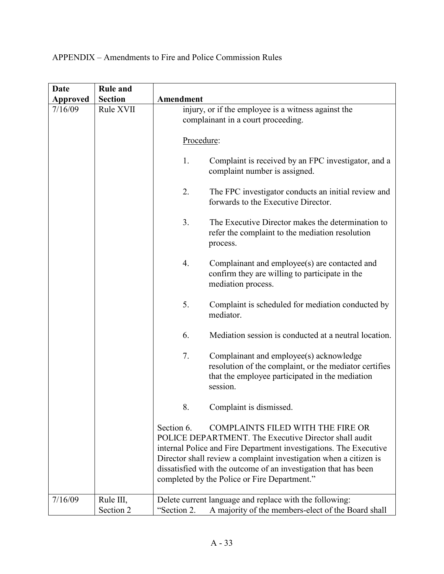| Date            | <b>Rule and</b>        |                                                                                                                                                                                                                                                                                                                                                                              |
|-----------------|------------------------|------------------------------------------------------------------------------------------------------------------------------------------------------------------------------------------------------------------------------------------------------------------------------------------------------------------------------------------------------------------------------|
| <b>Approved</b> | <b>Section</b>         | Amendment                                                                                                                                                                                                                                                                                                                                                                    |
| 7/16/09         | Rule XVII              | injury, or if the employee is a witness against the<br>complainant in a court proceeding.                                                                                                                                                                                                                                                                                    |
|                 |                        | Procedure:                                                                                                                                                                                                                                                                                                                                                                   |
|                 |                        | 1.<br>Complaint is received by an FPC investigator, and a<br>complaint number is assigned.                                                                                                                                                                                                                                                                                   |
|                 |                        | 2.<br>The FPC investigator conducts an initial review and<br>forwards to the Executive Director.                                                                                                                                                                                                                                                                             |
|                 |                        | 3.<br>The Executive Director makes the determination to<br>refer the complaint to the mediation resolution<br>process.                                                                                                                                                                                                                                                       |
|                 |                        | 4.<br>Complainant and employee(s) are contacted and<br>confirm they are willing to participate in the<br>mediation process.                                                                                                                                                                                                                                                  |
|                 |                        | 5.<br>Complaint is scheduled for mediation conducted by<br>mediator.                                                                                                                                                                                                                                                                                                         |
|                 |                        | Mediation session is conducted at a neutral location.<br>6.                                                                                                                                                                                                                                                                                                                  |
|                 |                        | 7.<br>Complainant and employee(s) acknowledge<br>resolution of the complaint, or the mediator certifies<br>that the employee participated in the mediation<br>session.                                                                                                                                                                                                       |
|                 |                        | 8.<br>Complaint is dismissed.                                                                                                                                                                                                                                                                                                                                                |
|                 |                        | Section 6.<br><b>COMPLAINTS FILED WITH THE FIRE OR</b><br>POLICE DEPARTMENT. The Executive Director shall audit<br>internal Police and Fire Department investigations. The Executive<br>Director shall review a complaint investigation when a citizen is<br>dissatisfied with the outcome of an investigation that has been<br>completed by the Police or Fire Department." |
| 7/16/09         | Rule III,<br>Section 2 | Delete current language and replace with the following:<br>A majority of the members-elect of the Board shall<br>"Section 2.                                                                                                                                                                                                                                                 |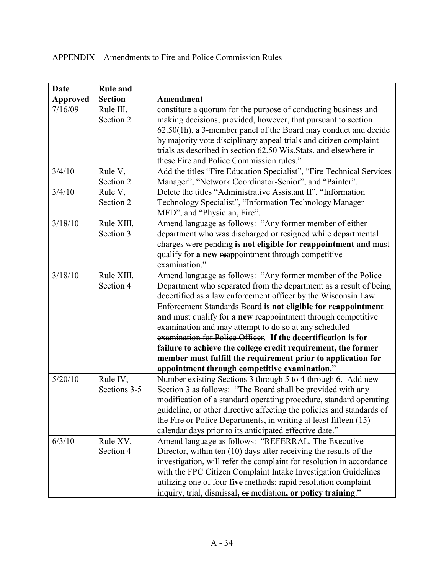| <b>Date</b>     | <b>Rule and</b> |                                                                       |
|-----------------|-----------------|-----------------------------------------------------------------------|
| <b>Approved</b> | <b>Section</b>  | Amendment                                                             |
| 7/16/09         | Rule III,       | constitute a quorum for the purpose of conducting business and        |
|                 | Section 2       | making decisions, provided, however, that pursuant to section         |
|                 |                 | $62.50(1h)$ , a 3-member panel of the Board may conduct and decide    |
|                 |                 | by majority vote disciplinary appeal trials and citizen complaint     |
|                 |                 | trials as described in section 62.50 Wis. Stats. and elsewhere in     |
|                 |                 | these Fire and Police Commission rules."                              |
| 3/4/10          | Rule V,         | Add the titles "Fire Education Specialist", "Fire Technical Services  |
|                 | Section 2       | Manager", "Network Coordinator-Senior", and "Painter".                |
| 3/4/10          | Rule V,         | Delete the titles "Administrative Assistant II", "Information         |
|                 | Section 2       | Technology Specialist", "Information Technology Manager -             |
|                 |                 | MFD", and "Physician, Fire".                                          |
| 3/18/10         | Rule XIII,      | Amend language as follows: "Any former member of either               |
|                 | Section 3       | department who was discharged or resigned while departmental          |
|                 |                 | charges were pending is not eligible for reappointment and must       |
|                 |                 | qualify for a new reappointment through competitive                   |
|                 |                 | examination."                                                         |
| 3/18/10         | Rule XIII,      | Amend language as follows: "Any former member of the Police           |
|                 | Section 4       | Department who separated from the department as a result of being     |
|                 |                 | decertified as a law enforcement officer by the Wisconsin Law         |
|                 |                 | Enforcement Standards Board is not eligible for reappointment         |
|                 |                 | and must qualify for a new reappointment through competitive          |
|                 |                 | examination and may attempt to do so at any scheduled                 |
|                 |                 | examination for Police Officer. If the decertification is for         |
|                 |                 | failure to achieve the college credit requirement, the former         |
|                 |                 | member must fulfill the requirement prior to application for          |
|                 |                 | appointment through competitive examination."                         |
| 5/20/10         | Rule IV,        | Number existing Sections 3 through 5 to 4 through 6. Add new          |
|                 | Sections 3-5    | Section 3 as follows: "The Board shall be provided with any           |
|                 |                 | modification of a standard operating procedure, standard operating    |
|                 |                 | guideline, or other directive affecting the policies and standards of |
|                 |                 | the Fire or Police Departments, in writing at least fifteen (15)      |
|                 |                 | calendar days prior to its anticipated effective date."               |
| 6/3/10          | Rule XV,        | Amend language as follows: "REFERRAL. The Executive                   |
|                 | Section 4       | Director, within ten (10) days after receiving the results of the     |
|                 |                 | investigation, will refer the complaint for resolution in accordance  |
|                 |                 | with the FPC Citizen Complaint Intake Investigation Guidelines        |
|                 |                 | utilizing one of four five methods: rapid resolution complaint        |
|                 |                 | inquiry, trial, dismissal, or mediation, or policy training."         |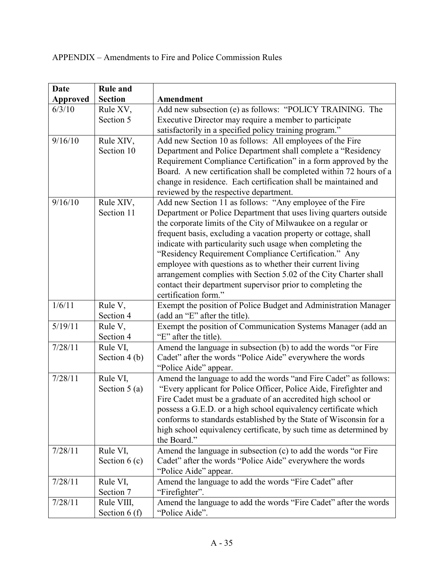| <b>Date</b>     | <b>Rule and</b> |                                                                                       |
|-----------------|-----------------|---------------------------------------------------------------------------------------|
| <b>Approved</b> | <b>Section</b>  | Amendment                                                                             |
| 6/3/10          | Rule XV,        | Add new subsection (e) as follows: "POLICY TRAINING. The                              |
|                 | Section 5       | Executive Director may require a member to participate                                |
|                 |                 | satisfactorily in a specified policy training program."                               |
| 9/16/10         | Rule XIV,       | Add new Section 10 as follows: All employees of the Fire                              |
|                 | Section 10      | Department and Police Department shall complete a "Residency                          |
|                 |                 | Requirement Compliance Certification" in a form approved by the                       |
|                 |                 | Board. A new certification shall be completed within 72 hours of a                    |
|                 |                 | change in residence. Each certification shall be maintained and                       |
|                 |                 | reviewed by the respective department.                                                |
| 9/16/10         | Rule XIV,       | Add new Section 11 as follows: "Any employee of the Fire                              |
|                 | Section 11      | Department or Police Department that uses living quarters outside                     |
|                 |                 | the corporate limits of the City of Milwaukee on a regular or                         |
|                 |                 | frequent basis, excluding a vacation property or cottage, shall                       |
|                 |                 | indicate with particularity such usage when completing the                            |
|                 |                 | "Residency Requirement Compliance Certification." Any                                 |
|                 |                 | employee with questions as to whether their current living                            |
|                 |                 | arrangement complies with Section 5.02 of the City Charter shall                      |
|                 |                 | contact their department supervisor prior to completing the                           |
|                 |                 | certification form."                                                                  |
| 1/6/11          | Rule V,         | Exempt the position of Police Budget and Administration Manager                       |
|                 | Section 4       | (add an "E" after the title).                                                         |
| 5/19/11         | Rule V,         | Exempt the position of Communication Systems Manager (add an<br>"E" after the title). |
| 7/28/11         | Section 4       |                                                                                       |
|                 | Rule VI,        | Amend the language in subsection (b) to add the words "or Fire                        |
|                 | Section $4(b)$  | Cadet" after the words "Police Aide" everywhere the words<br>"Police Aide" appear.    |
| 7/28/11         | Rule VI,        | Amend the language to add the words "and Fire Cadet" as follows:                      |
|                 | Section $5(a)$  | "Every applicant for Police Officer, Police Aide, Firefighter and                     |
|                 |                 | Fire Cadet must be a graduate of an accredited high school or                         |
|                 |                 | possess a G.E.D. or a high school equivalency certificate which                       |
|                 |                 | conforms to standards established by the State of Wisconsin for a                     |
|                 |                 | high school equivalency certificate, by such time as determined by                    |
|                 |                 | the Board."                                                                           |
| 7/28/11         | Rule VI,        | Amend the language in subsection (c) to add the words "or Fire                        |
|                 | Section $6(c)$  | Cadet" after the words "Police Aide" everywhere the words                             |
|                 |                 | "Police Aide" appear.                                                                 |
| 7/28/11         | Rule VI,        | Amend the language to add the words "Fire Cadet" after                                |
|                 | Section 7       | "Firefighter".                                                                        |
| 7/28/11         | Rule VIII,      | Amend the language to add the words "Fire Cadet" after the words                      |
|                 | Section $6(f)$  | "Police Aide".                                                                        |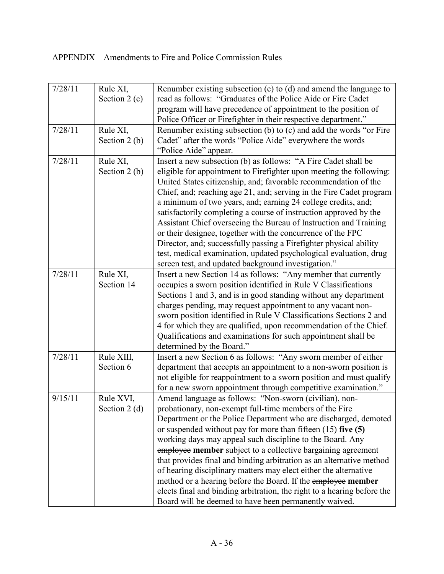| 7/28/11 | Rule XI,<br>Section $2(c)$  | Renumber existing subsection (c) to (d) and amend the language to<br>read as follows: "Graduates of the Police Aide or Fire Cadet<br>program will have precedence of appointment to the position of<br>Police Officer or Firefighter in their respective department."                                                                                                                                                                                                                                                                                                                                                                                                                                                                                       |
|---------|-----------------------------|-------------------------------------------------------------------------------------------------------------------------------------------------------------------------------------------------------------------------------------------------------------------------------------------------------------------------------------------------------------------------------------------------------------------------------------------------------------------------------------------------------------------------------------------------------------------------------------------------------------------------------------------------------------------------------------------------------------------------------------------------------------|
| 7/28/11 | Rule XI,<br>Section $2(b)$  | Renumber existing subsection (b) to (c) and add the words "or Fire<br>Cadet" after the words "Police Aide" everywhere the words<br>"Police Aide" appear.                                                                                                                                                                                                                                                                                                                                                                                                                                                                                                                                                                                                    |
| 7/28/11 | Rule XI,<br>Section $2(b)$  | Insert a new subsection (b) as follows: "A Fire Cadet shall be<br>eligible for appointment to Firefighter upon meeting the following:<br>United States citizenship, and; favorable recommendation of the<br>Chief, and; reaching age 21, and; serving in the Fire Cadet program<br>a minimum of two years, and; earning 24 college credits, and;<br>satisfactorily completing a course of instruction approved by the<br>Assistant Chief overseeing the Bureau of Instruction and Training<br>or their designee, together with the concurrence of the FPC<br>Director, and; successfully passing a Firefighter physical ability<br>test, medical examination, updated psychological evaluation, drug<br>screen test, and updated background investigation." |
| 7/28/11 | Rule XI,<br>Section 14      | Insert a new Section 14 as follows: "Any member that currently<br>occupies a sworn position identified in Rule V Classifications<br>Sections 1 and 3, and is in good standing without any department<br>charges pending, may request appointment to any vacant non-<br>sworn position identified in Rule V Classifications Sections 2 and<br>4 for which they are qualified, upon recommendation of the Chief.<br>Qualifications and examinations for such appointment shall be<br>determined by the Board."                                                                                                                                                                                                                                                |
| 7/28/11 | Rule XIII,<br>Section 6     | Insert a new Section 6 as follows: "Any sworn member of either<br>department that accepts an appointment to a non-sworn position is<br>not eligible for reappointment to a sworn position and must qualify<br>for a new sworn appointment through competitive examination."                                                                                                                                                                                                                                                                                                                                                                                                                                                                                 |
| 9/15/11 | Rule XVI,<br>Section $2(d)$ | Amend language as follows: "Non-sworn (civilian), non-<br>probationary, non-exempt full-time members of the Fire<br>Department or the Police Department who are discharged, demoted<br>or suspended without pay for more than $f$ <del>ifteen (15)</del> five (5)<br>working days may appeal such discipline to the Board. Any<br>employee member subject to a collective bargaining agreement<br>that provides final and binding arbitration as an alternative method<br>of hearing disciplinary matters may elect either the alternative<br>method or a hearing before the Board. If the employee member<br>elects final and binding arbitration, the right to a hearing before the<br>Board will be deemed to have been permanently waived.              |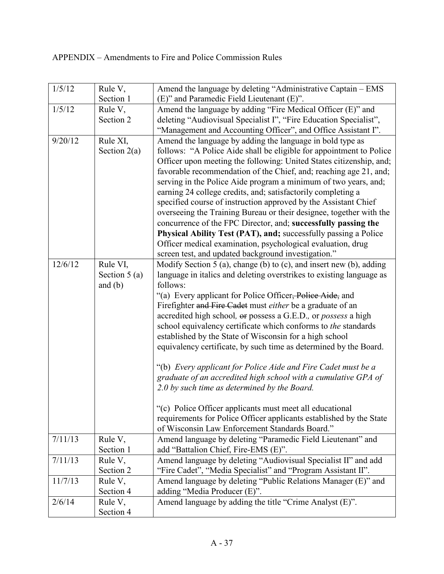| 1/5/12  | Rule V,        | Amend the language by deleting "Administrative Captain - EMS                                                                                |
|---------|----------------|---------------------------------------------------------------------------------------------------------------------------------------------|
|         | Section 1      | (E)" and Paramedic Field Lieutenant (E)".                                                                                                   |
| 1/5/12  | Rule V,        | Amend the language by adding "Fire Medical Officer (E)" and                                                                                 |
|         | Section 2      | deleting "Audiovisual Specialist I", "Fire Education Specialist",                                                                           |
|         |                | "Management and Accounting Officer", and Office Assistant I".                                                                               |
| 9/20/12 | Rule XI,       | Amend the language by adding the language in bold type as                                                                                   |
|         | Section $2(a)$ | follows: "A Police Aide shall be eligible for appointment to Police                                                                         |
|         |                | Officer upon meeting the following: United States citizenship, and;                                                                         |
|         |                | favorable recommendation of the Chief, and; reaching age 21, and;                                                                           |
|         |                | serving in the Police Aide program a minimum of two years, and;                                                                             |
|         |                | earning 24 college credits, and; satisfactorily completing a                                                                                |
|         |                | specified course of instruction approved by the Assistant Chief                                                                             |
|         |                | overseeing the Training Bureau or their designee, together with the                                                                         |
|         |                | concurrence of the FPC Director, and; successfully passing the                                                                              |
|         |                | <b>Physical Ability Test (PAT), and; successfully passing a Police</b>                                                                      |
|         |                | Officer medical examination, psychological evaluation, drug<br>screen test, and updated background investigation."                          |
| 12/6/12 | Rule VI,       |                                                                                                                                             |
|         | Section $5(a)$ | Modify Section 5 (a), change (b) to (c), and insert new (b), adding<br>language in italics and deleting overstrikes to existing language as |
|         | and $(b)$      | follows:                                                                                                                                    |
|         |                | "(a) Every applicant for Police Officer, Police Aide, and                                                                                   |
|         |                | Firefighter and Fire Cadet must either be a graduate of an                                                                                  |
|         |                | accredited high school, or possess a G.E.D., or <i>possess</i> a high                                                                       |
|         |                | school equivalency certificate which conforms to the standards                                                                              |
|         |                | established by the State of Wisconsin for a high school                                                                                     |
|         |                | equivalency certificate, by such time as determined by the Board.                                                                           |
|         |                |                                                                                                                                             |
|         |                | "(b) Every applicant for Police Aide and Fire Cadet must be a                                                                               |
|         |                | graduate of an accredited high school with a cumulative GPA of                                                                              |
|         |                | 2.0 by such time as determined by the Board.                                                                                                |
|         |                |                                                                                                                                             |
|         |                | "(c) Police Officer applicants must meet all educational                                                                                    |
|         |                | requirements for Police Officer applicants established by the State                                                                         |
|         |                | of Wisconsin Law Enforcement Standards Board."                                                                                              |
| 7/11/13 | Rule V,        | Amend language by deleting "Paramedic Field Lieutenant" and                                                                                 |
|         | Section 1      | add "Battalion Chief, Fire-EMS (E)".                                                                                                        |
| 7/11/13 | Rule V,        | Amend language by deleting "Audiovisual Specialist II" and add                                                                              |
|         | Section 2      | "Fire Cadet", "Media Specialist" and "Program Assistant II".                                                                                |
| 11/7/13 | Rule V,        | Amend language by deleting "Public Relations Manager (E)" and                                                                               |
|         | Section 4      | adding "Media Producer (E)".                                                                                                                |
| 2/6/14  | Rule V,        | Amend language by adding the title "Crime Analyst (E)".                                                                                     |
|         | Section 4      |                                                                                                                                             |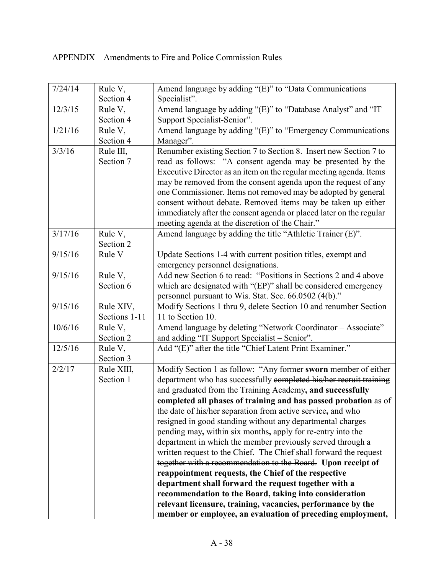| 7/24/14 | Rule V,       | Amend language by adding "(E)" to "Data Communications              |
|---------|---------------|---------------------------------------------------------------------|
|         | Section 4     | Specialist".                                                        |
| 12/3/15 | Rule V,       | Amend language by adding "(E)" to "Database Analyst" and "IT        |
|         | Section 4     | Support Specialist-Senior".                                         |
| 1/21/16 | Rule V,       | Amend language by adding "(E)" to "Emergency Communications         |
|         | Section 4     | Manager".                                                           |
| 3/3/16  | Rule III,     | Renumber existing Section 7 to Section 8. Insert new Section 7 to   |
|         | Section 7     | read as follows: "A consent agenda may be presented by the          |
|         |               | Executive Director as an item on the regular meeting agenda. Items  |
|         |               | may be removed from the consent agenda upon the request of any      |
|         |               | one Commissioner. Items not removed may be adopted by general       |
|         |               | consent without debate. Removed items may be taken up either        |
|         |               | immediately after the consent agenda or placed later on the regular |
|         |               | meeting agenda at the discretion of the Chair."                     |
| 3/17/16 | Rule V,       | Amend language by adding the title "Athletic Trainer (E)".          |
|         | Section 2     |                                                                     |
| 9/15/16 | Rule V        | Update Sections 1-4 with current position titles, exempt and        |
|         |               | emergency personnel designations.                                   |
| 9/15/16 | Rule V,       | Add new Section 6 to read: "Positions in Sections 2 and 4 above     |
|         | Section 6     | which are designated with "(EP)" shall be considered emergency      |
|         |               | personnel pursuant to Wis. Stat. Sec. 66.0502 (4(b)."               |
| 9/15/16 | Rule XIV,     | Modify Sections 1 thru 9, delete Section 10 and renumber Section    |
|         | Sections 1-11 | 11 to Section 10.                                                   |
| 10/6/16 | Rule V,       | Amend language by deleting "Network Coordinator - Associate"        |
|         | Section 2     | and adding "IT Support Specialist – Senior".                        |
| 12/5/16 | Rule V,       | Add "(E)" after the title "Chief Latent Print Examiner."            |
|         | Section 3     |                                                                     |
| 2/2/17  | Rule XIII,    | Modify Section 1 as follow: "Any former sworn member of either      |
|         | Section 1     | department who has successfully completed his/her recruit training  |
|         |               | and graduated from the Training Academy, and successfully           |
|         |               | completed all phases of training and has passed probation as of     |
|         |               | the date of his/her separation from active service, and who         |
|         |               | resigned in good standing without any departmental charges          |
|         |               | pending may, within six months, apply for re-entry into the         |
|         |               | department in which the member previously served through a          |
|         |               | written request to the Chief. The Chief shall forward the request   |
|         |               | together with a recommendation to the Board. Upon receipt of        |
|         |               | reappointment requests, the Chief of the respective                 |
|         |               | department shall forward the request together with a                |
|         |               | recommendation to the Board, taking into consideration              |
|         |               | relevant licensure, training, vacancies, performance by the         |
|         |               | member or employee, an evaluation of preceding employment,          |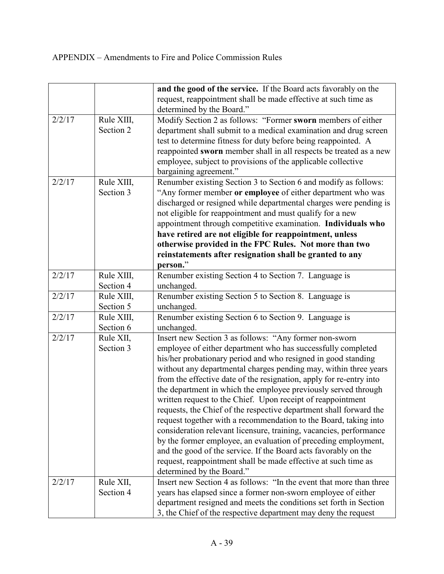|        |            | and the good of the service. If the Board acts favorably on the     |
|--------|------------|---------------------------------------------------------------------|
|        |            | request, reappointment shall be made effective at such time as      |
|        |            | determined by the Board."                                           |
| 2/2/17 | Rule XIII, | Modify Section 2 as follows: "Former sworn members of either        |
|        | Section 2  | department shall submit to a medical examination and drug screen    |
|        |            | test to determine fitness for duty before being reappointed. A      |
|        |            | reappointed sworn member shall in all respects be treated as a new  |
|        |            | employee, subject to provisions of the applicable collective        |
|        |            | bargaining agreement."                                              |
| 2/2/17 | Rule XIII, | Renumber existing Section 3 to Section 6 and modify as follows:     |
|        | Section 3  | "Any former member or employee of either department who was         |
|        |            | discharged or resigned while departmental charges were pending is   |
|        |            | not eligible for reappointment and must qualify for a new           |
|        |            | appointment through competitive examination. Individuals who        |
|        |            | have retired are not eligible for reappointment, unless             |
|        |            | otherwise provided in the FPC Rules. Not more than two              |
|        |            | reinstatements after resignation shall be granted to any            |
|        |            | person."                                                            |
| 2/2/17 | Rule XIII, | Renumber existing Section 4 to Section 7. Language is               |
|        | Section 4  | unchanged.                                                          |
| 2/2/17 | Rule XIII, | Renumber existing Section 5 to Section 8. Language is               |
|        | Section 5  | unchanged.                                                          |
| 2/2/17 | Rule XIII, | Renumber existing Section 6 to Section 9. Language is               |
|        | Section 6  | unchanged.                                                          |
| 2/2/17 | Rule XII,  | Insert new Section 3 as follows: "Any former non-sworn              |
|        | Section 3  | employee of either department who has successfully completed        |
|        |            | his/her probationary period and who resigned in good standing       |
|        |            | without any departmental charges pending may, within three years    |
|        |            | from the effective date of the resignation, apply for re-entry into |
|        |            | the department in which the employee previously served through      |
|        |            | written request to the Chief. Upon receipt of reappointment         |
|        |            | requests, the Chief of the respective department shall forward the  |
|        |            | request together with a recommendation to the Board, taking into    |
|        |            | consideration relevant licensure, training, vacancies, performance  |
|        |            | by the former employee, an evaluation of preceding employment,      |
|        |            | and the good of the service. If the Board acts favorably on the     |
|        |            | request, reappointment shall be made effective at such time as      |
|        |            | determined by the Board."                                           |
| 2/2/17 | Rule XII,  | Insert new Section 4 as follows: "In the event that more than three |
|        | Section 4  | years has elapsed since a former non-sworn employee of either       |
|        |            | department resigned and meets the conditions set forth in Section   |
|        |            | 3, the Chief of the respective department may deny the request      |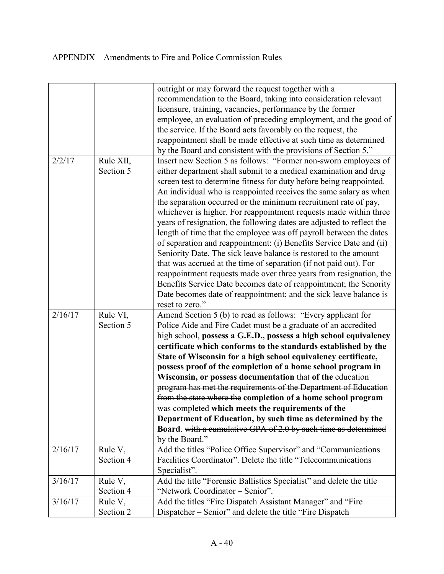|         |           | outright or may forward the request together with a                   |
|---------|-----------|-----------------------------------------------------------------------|
|         |           | recommendation to the Board, taking into consideration relevant       |
|         |           | licensure, training, vacancies, performance by the former             |
|         |           | employee, an evaluation of preceding employment, and the good of      |
|         |           | the service. If the Board acts favorably on the request, the          |
|         |           | reappointment shall be made effective at such time as determined      |
|         |           | by the Board and consistent with the provisions of Section 5."        |
| 2/2/17  | Rule XII, | Insert new Section 5 as follows: "Former non-sworn employees of       |
|         | Section 5 | either department shall submit to a medical examination and drug      |
|         |           | screen test to determine fitness for duty before being reappointed.   |
|         |           | An individual who is reappointed receives the same salary as when     |
|         |           | the separation occurred or the minimum recruitment rate of pay,       |
|         |           | whichever is higher. For reappointment requests made within three     |
|         |           | years of resignation, the following dates are adjusted to reflect the |
|         |           | length of time that the employee was off payroll between the dates    |
|         |           | of separation and reappointment: (i) Benefits Service Date and (ii)   |
|         |           | Seniority Date. The sick leave balance is restored to the amount      |
|         |           | that was accrued at the time of separation (if not paid out). For     |
|         |           |                                                                       |
|         |           | reappointment requests made over three years from resignation, the    |
|         |           | Benefits Service Date becomes date of reappointment; the Senority     |
|         |           | Date becomes date of reappointment; and the sick leave balance is     |
|         |           | reset to zero."                                                       |
| 2/16/17 | Rule VI,  | Amend Section 5 (b) to read as follows: "Every applicant for          |
|         | Section 5 | Police Aide and Fire Cadet must be a graduate of an accredited        |
|         |           | high school, possess a G.E.D., possess a high school equivalency      |
|         |           | certificate which conforms to the standards established by the        |
|         |           | State of Wisconsin for a high school equivalency certificate,         |
|         |           | possess proof of the completion of a home school program in           |
|         |           | Wisconsin, or possess documentation that of the education             |
|         |           | program has met the requirements of the Department of Education       |
|         |           | from the state where the completion of a home school program          |
|         |           | was completed which meets the requirements of the                     |
|         |           | Department of Education, by such time as determined by the            |
|         |           | Board. with a cumulative GPA of 2.0 by such time as determined        |
|         |           | by the Board."                                                        |
| 2/16/17 | Rule V,   | Add the titles "Police Office Supervisor" and "Communications         |
|         | Section 4 | Facilities Coordinator". Delete the title "Telecommunications"        |
|         |           | Specialist".                                                          |
| 3/16/17 | Rule V,   | Add the title "Forensic Ballistics Specialist" and delete the title   |
|         | Section 4 | "Network Coordinator - Senior".                                       |
| 3/16/17 | Rule V,   | Add the titles "Fire Dispatch Assistant Manager" and "Fire            |
|         | Section 2 | Dispatcher – Senior" and delete the title "Fire Dispatch"             |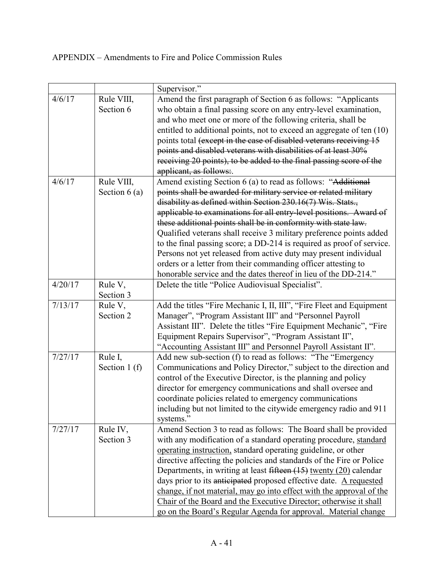|         |                              | Supervisor."                                                                                                                                                                                                                                                                                                                                                                                                                                                                                                                                                                                                                                                                                    |
|---------|------------------------------|-------------------------------------------------------------------------------------------------------------------------------------------------------------------------------------------------------------------------------------------------------------------------------------------------------------------------------------------------------------------------------------------------------------------------------------------------------------------------------------------------------------------------------------------------------------------------------------------------------------------------------------------------------------------------------------------------|
| 4/6/17  | Rule VIII,<br>Section 6      | Amend the first paragraph of Section 6 as follows: "Applicants<br>who obtain a final passing score on any entry-level examination,<br>and who meet one or more of the following criteria, shall be<br>entitled to additional points, not to exceed an aggregate of ten (10)<br>points total (except in the case of disabled veterans receiving 15<br>points and disabled veterans with disabilities of at least 30%<br>receiving 20 points), to be added to the final passing score of the<br>applicant, as follows:.                                                                                                                                                                           |
| 4/6/17  | Rule VIII,<br>Section $6(a)$ | Amend existing Section 6 (a) to read as follows: "Additional<br>points shall be awarded for military service or related military<br>disability as defined within Section 230.16(7) Wis. Stats.,<br>applicable to examinations for all entry-level positions. Award of<br>these additional points shall be in conformity with state law.<br>Qualified veterans shall receive 3 military preference points added<br>to the final passing score; a DD-214 is required as proof of service.<br>Persons not yet released from active duty may present individual<br>orders or a letter from their commanding officer attesting to<br>honorable service and the dates thereof in lieu of the DD-214." |
| 4/20/17 | Rule V,<br>Section 3         | Delete the title "Police Audiovisual Specialist".                                                                                                                                                                                                                                                                                                                                                                                                                                                                                                                                                                                                                                               |
| 7/13/17 | Rule V,<br>Section 2         | Add the titles "Fire Mechanic I, II, III", "Fire Fleet and Equipment<br>Manager", "Program Assistant III" and "Personnel Payroll<br>Assistant III". Delete the titles "Fire Equipment Mechanic", "Fire<br>Equipment Repairs Supervisor", "Program Assistant II",<br>"Accounting Assistant III" and Personnel Payroll Assistant II".                                                                                                                                                                                                                                                                                                                                                             |
| 7/27/17 | Rule I,<br>Section 1 (f)     | Add new sub-section (f) to read as follows: "The "Emergency<br>Communications and Policy Director," subject to the direction and<br>control of the Executive Director, is the planning and policy<br>director for emergency communications and shall oversee and<br>coordinate policies related to emergency communications<br>including but not limited to the citywide emergency radio and 911<br>systems."                                                                                                                                                                                                                                                                                   |
| 7/27/17 | Rule IV,<br>Section 3        | Amend Section 3 to read as follows: The Board shall be provided<br>with any modification of a standard operating procedure, standard<br>operating instruction, standard operating guideline, or other<br>directive affecting the policies and standards of the Fire or Police<br>Departments, in writing at least fifteen $(15)$ twenty $(20)$ calendar<br>days prior to its anticipated proposed effective date. A requested<br>change, if not material, may go into effect with the approval of the<br>Chair of the Board and the Executive Director; otherwise it shall<br>go on the Board's Regular Agenda for approval. Material change                                                    |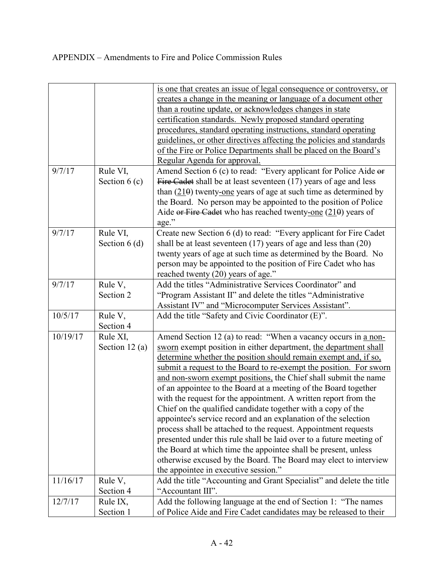|          |                 | is one that creates an issue of legal consequence or controversy, or                           |
|----------|-----------------|------------------------------------------------------------------------------------------------|
|          |                 | creates a change in the meaning or language of a document other                                |
|          |                 | than a routine update, or acknowledges changes in state                                        |
|          |                 | certification standards. Newly proposed standard operating                                     |
|          |                 | procedures, standard operating instructions, standard operating                                |
|          |                 | guidelines, or other directives affecting the policies and standards                           |
|          |                 | of the Fire or Police Departments shall be placed on the Board's                               |
|          |                 | Regular Agenda for approval.                                                                   |
| 9/7/17   | Rule VI,        | Amend Section 6 (c) to read: "Every applicant for Police Aide or                               |
|          | Section $6(c)$  | Fire Cadet shall be at least seventeen (17) years of age and less                              |
|          |                 | than $(210)$ twenty-one years of age at such time as determined by                             |
|          |                 | the Board. No person may be appointed to the position of Police                                |
|          |                 | Aide or Fire Cadet who has reached twenty-one $(210)$ years of                                 |
|          |                 | age."                                                                                          |
| 9/7/17   | Rule VI,        | Create new Section 6 (d) to read: "Every applicant for Fire Cadet                              |
|          | Section $6(d)$  | shall be at least seventeen $(17)$ years of age and less than $(20)$                           |
|          |                 | twenty years of age at such time as determined by the Board. No                                |
|          |                 |                                                                                                |
|          |                 | person may be appointed to the position of Fire Cadet who has                                  |
|          |                 | reached twenty (20) years of age."<br>Add the titles "Administrative Services Coordinator" and |
| 9/7/17   | Rule V,         |                                                                                                |
|          | Section 2       | "Program Assistant II" and delete the titles "Administrative"                                  |
|          |                 | Assistant IV" and "Microcomputer Services Assistant".                                          |
| 10/5/17  | Rule V,         | Add the title "Safety and Civic Coordinator (E)".                                              |
|          | Section 4       |                                                                                                |
| 10/19/17 | Rule XI,        | Amend Section 12 (a) to read: "When a vacancy occurs in a non-                                 |
|          | Section $12(a)$ | sworn exempt position in either department, the department shall                               |
|          |                 | determine whether the position should remain exempt and, if so,                                |
|          |                 | submit a request to the Board to re-exempt the position. For sworn                             |
|          |                 | and non-sworn exempt positions, the Chief shall submit the name                                |
|          |                 | of an appointee to the Board at a meeting of the Board together                                |
|          |                 | with the request for the appointment. A written report from the                                |
|          |                 | Chief on the qualified candidate together with a copy of the                                   |
|          |                 | appointee's service record and an explanation of the selection                                 |
|          |                 | process shall be attached to the request. Appointment requests                                 |
|          |                 | presented under this rule shall be laid over to a future meeting of                            |
|          |                 | the Board at which time the appointee shall be present, unless                                 |
|          |                 | otherwise excused by the Board. The Board may elect to interview                               |
|          |                 | the appointee in executive session."                                                           |
| 11/16/17 | Rule V,         | Add the title "Accounting and Grant Specialist" and delete the title                           |
|          | Section 4       | "Accountant III".                                                                              |
| 12/7/17  | Rule IX,        | Add the following language at the end of Section 1: "The names                                 |
|          | Section 1       | of Police Aide and Fire Cadet candidates may be released to their                              |
|          |                 |                                                                                                |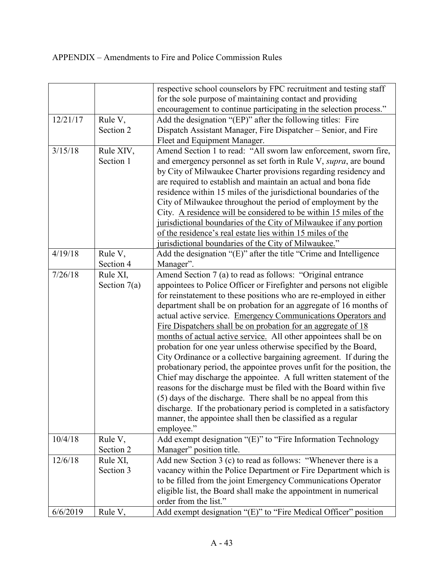|          |                      | respective school counselors by FPC recruitment and testing staff        |
|----------|----------------------|--------------------------------------------------------------------------|
|          |                      | for the sole purpose of maintaining contact and providing                |
|          |                      | encouragement to continue participating in the selection process."       |
| 12/21/17 | Rule V,              | Add the designation "(EP)" after the following titles: Fire              |
|          | Section 2            | Dispatch Assistant Manager, Fire Dispatcher - Senior, and Fire           |
|          |                      | Fleet and Equipment Manager.                                             |
| 3/15/18  | Rule XIV,            | Amend Section 1 to read: "All sworn law enforcement, sworn fire,         |
|          | Section 1            | and emergency personnel as set forth in Rule V, <i>supra</i> , are bound |
|          |                      | by City of Milwaukee Charter provisions regarding residency and          |
|          |                      | are required to establish and maintain an actual and bona fide           |
|          |                      | residence within 15 miles of the jurisdictional boundaries of the        |
|          |                      | City of Milwaukee throughout the period of employment by the             |
|          |                      |                                                                          |
|          |                      | City. A residence will be considered to be within 15 miles of the        |
|          |                      | jurisdictional boundaries of the City of Milwaukee if any portion        |
|          |                      | of the residence's real estate lies within 15 miles of the               |
|          |                      | jurisdictional boundaries of the City of Milwaukee."                     |
| 4/19/18  | Rule V,              | Add the designation "(E)" after the title "Crime and Intelligence        |
|          | Section 4            | Manager".                                                                |
| 7/26/18  | Rule XI,             | Amend Section 7 (a) to read as follows: "Original entrance               |
|          | Section $7(a)$       | appointees to Police Officer or Firefighter and persons not eligible     |
|          |                      | for reinstatement to these positions who are re-employed in either       |
|          |                      | department shall be on probation for an aggregate of 16 months of        |
|          |                      | actual active service. Emergency Communications Operators and            |
|          |                      | Fire Dispatchers shall be on probation for an aggregate of 18            |
|          |                      | months of actual active service. All other appointees shall be on        |
|          |                      | probation for one year unless otherwise specified by the Board,          |
|          |                      | City Ordinance or a collective bargaining agreement. If during the       |
|          |                      | probationary period, the appointee proves unfit for the position, the    |
|          |                      | Chief may discharge the appointee. A full written statement of the       |
|          |                      | reasons for the discharge must be filed with the Board within five       |
|          |                      | (5) days of the discharge. There shall be no appeal from this            |
|          |                      | discharge. If the probationary period is completed in a satisfactory     |
|          |                      | manner, the appointee shall then be classified as a regular              |
|          |                      | employee."                                                               |
| 10/4/18  |                      | Add exempt designation "(E)" to "Fire Information Technology             |
|          | Rule V,<br>Section 2 |                                                                          |
|          |                      | Manager" position title.                                                 |
| 12/6/18  | Rule XI,             | Add new Section 3 (c) to read as follows: "Whenever there is a           |
|          | Section 3            | vacancy within the Police Department or Fire Department which is         |
|          |                      | to be filled from the joint Emergency Communications Operator            |
|          |                      | eligible list, the Board shall make the appointment in numerical         |
|          |                      | order from the list."                                                    |
| 6/6/2019 | Rule V,              | Add exempt designation "(E)" to "Fire Medical Officer" position          |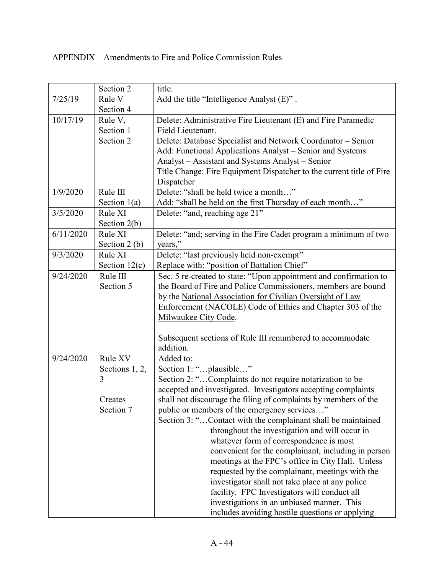|           | Section 2       | title.                                                               |
|-----------|-----------------|----------------------------------------------------------------------|
|           |                 |                                                                      |
| 7/25/19   | Rule V          | Add the title "Intelligence Analyst (E)".                            |
|           | Section 4       |                                                                      |
| 10/17/19  | Rule V,         | Delete: Administrative Fire Lieutenant (E) and Fire Paramedic        |
|           | Section 1       | Field Lieutenant.                                                    |
|           | Section 2       | Delete: Database Specialist and Network Coordinator - Senior         |
|           |                 | Add: Functional Applications Analyst - Senior and Systems            |
|           |                 | Analyst - Assistant and Systems Analyst - Senior                     |
|           |                 | Title Change: Fire Equipment Dispatcher to the current title of Fire |
|           |                 | Dispatcher                                                           |
| 1/9/2020  | Rule III        | Delete: "shall be held twice a month"                                |
|           | Section $1(a)$  | Add: "shall be held on the first Thursday of each month"             |
| 3/5/2020  | Rule XI         | Delete: "and, reaching age 21"                                       |
|           | Section $2(b)$  |                                                                      |
| 6/11/2020 | Rule XI         | Delete: "and; serving in the Fire Cadet program a minimum of two     |
|           | Section $2(b)$  | years,"                                                              |
| 9/3/2020  | Rule XI         | Delete: "last previously held non-exempt"                            |
|           | Section $12(c)$ | Replace with: "position of Battalion Chief"                          |
| 9/24/2020 | Rule III        | Sec. 5 re-created to state: "Upon appointment and confirmation to    |
|           | Section 5       |                                                                      |
|           |                 | the Board of Fire and Police Commissioners, members are bound        |
|           |                 | by the National Association for Civilian Oversight of Law            |
|           |                 | Enforcement (NACOLE) Code of Ethics and Chapter 303 of the           |
|           |                 | Milwaukee City Code.                                                 |
|           |                 |                                                                      |
|           |                 | Subsequent sections of Rule III renumbered to accommodate            |
|           |                 | addition.                                                            |
| 9/24/2020 | Rule XV         | Added to:                                                            |
|           | Sections 1, 2,  | Section 1: "plausible"                                               |
|           | 3               | Section 2: "Complaints do not require notarization to be             |
|           |                 | accepted and investigated. Investigators accepting complaints        |
|           | Creates         | shall not discourage the filing of complaints by members of the      |
|           | Section 7       | public or members of the emergency services"                         |
|           |                 | Section 3: "Contact with the complainant shall be maintained         |
|           |                 | throughout the investigation and will occur in                       |
|           |                 | whatever form of correspondence is most                              |
|           |                 | convenient for the complainant, including in person                  |
|           |                 | meetings at the FPC's office in City Hall. Unless                    |
|           |                 | requested by the complainant, meetings with the                      |
|           |                 | investigator shall not take place at any police                      |
|           |                 | facility. FPC Investigators will conduct all                         |
|           |                 |                                                                      |
|           |                 | investigations in an unbiased manner. This                           |
|           |                 | includes avoiding hostile questions or applying                      |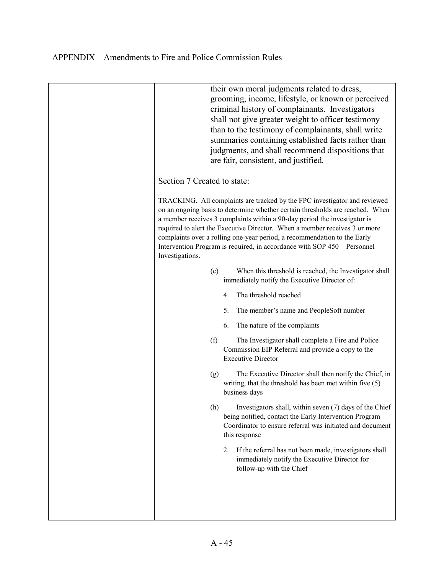|                             | their own moral judgments related to dress,<br>grooming, income, lifestyle, or known or perceived<br>criminal history of complainants. Investigators<br>shall not give greater weight to officer testimony<br>than to the testimony of complainants, shall write<br>summaries containing established facts rather than<br>judgments, and shall recommend dispositions that<br>are fair, consistent, and justified.                                                            |
|-----------------------------|-------------------------------------------------------------------------------------------------------------------------------------------------------------------------------------------------------------------------------------------------------------------------------------------------------------------------------------------------------------------------------------------------------------------------------------------------------------------------------|
| Section 7 Created to state: |                                                                                                                                                                                                                                                                                                                                                                                                                                                                               |
| Investigations.             | TRACKING. All complaints are tracked by the FPC investigator and reviewed<br>on an ongoing basis to determine whether certain thresholds are reached. When<br>a member receives 3 complaints within a 90-day period the investigator is<br>required to alert the Executive Director. When a member receives 3 or more<br>complaints over a rolling one-year period, a recommendation to the Early<br>Intervention Program is required, in accordance with SOP 450 – Personnel |
| (e)                         | When this threshold is reached, the Investigator shall<br>immediately notify the Executive Director of:                                                                                                                                                                                                                                                                                                                                                                       |
|                             | The threshold reached<br>4.                                                                                                                                                                                                                                                                                                                                                                                                                                                   |
|                             | 5.<br>The member's name and PeopleSoft number                                                                                                                                                                                                                                                                                                                                                                                                                                 |
|                             | The nature of the complaints<br>6.                                                                                                                                                                                                                                                                                                                                                                                                                                            |
| (f)                         | The Investigator shall complete a Fire and Police<br>Commission EIP Referral and provide a copy to the<br><b>Executive Director</b>                                                                                                                                                                                                                                                                                                                                           |
| (g)                         | The Executive Director shall then notify the Chief, in<br>writing, that the threshold has been met within five (5)<br>business days                                                                                                                                                                                                                                                                                                                                           |
| (h)                         | Investigators shall, within seven (7) days of the Chief<br>being notified, contact the Early Intervention Program<br>Coordinator to ensure referral was initiated and document<br>this response                                                                                                                                                                                                                                                                               |
|                             | If the referral has not been made, investigators shall<br>2.<br>immediately notify the Executive Director for<br>follow-up with the Chief                                                                                                                                                                                                                                                                                                                                     |
|                             |                                                                                                                                                                                                                                                                                                                                                                                                                                                                               |